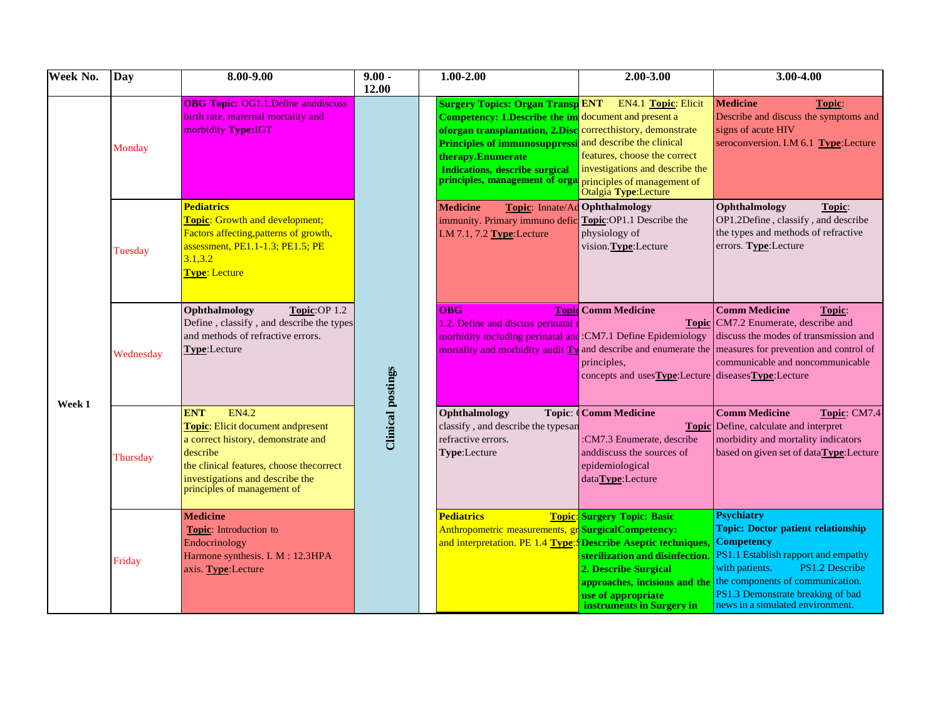| Week No. | <b>Day</b> | 8.00-9.00                                                                                                                                                                                                                       | $9.00 -$<br>12.00        | $1.00 - 2.00$                                                                                                                                                                                                                                                                                                             | 2.00-3.00                                                                                                                                                                         | 3.00-4.00                                                                                                                                                                                                                                                                   |
|----------|------------|---------------------------------------------------------------------------------------------------------------------------------------------------------------------------------------------------------------------------------|--------------------------|---------------------------------------------------------------------------------------------------------------------------------------------------------------------------------------------------------------------------------------------------------------------------------------------------------------------------|-----------------------------------------------------------------------------------------------------------------------------------------------------------------------------------|-----------------------------------------------------------------------------------------------------------------------------------------------------------------------------------------------------------------------------------------------------------------------------|
|          | Monday     | <b>OBG Topic: OG1.1. Define anddiscuss</b><br>birth rate, maternal mortality and<br>morbidity Type:IGT                                                                                                                          |                          | <b>Surgery Topics: Organ Transp ENT</b><br>Competency: 1.Describe the im document and present a<br>oforgan transplantation, 2.Disc correcthistory, demonstrate<br>Principles of immunosuppressi and describe the clinical<br>therapy.Enumerate<br><b>Indications, describe surgical</b><br>principles, management of orga | <b>EN4.1 Topic: Elicit</b><br>features, choose the correct<br>investigations and describe the<br>principles of management of<br>Otalgia Type:Lecture                              | <b>Medicine</b><br>Topic:<br>Describe and discuss the symptoms and<br>signs of acute HIV<br>seroconversion. I.M 6.1 Type:Lecture                                                                                                                                            |
|          | Tuesday    | <b>Pediatrics</b><br><b>Topic:</b> Growth and development;<br>Factors affecting, patterns of growth,<br>assessment, PE1.1-1.3; PE1.5; PE<br>3.1, 3.2<br>Type: Lecture                                                           |                          | <b>Medicine</b><br>immunity. Primary immuno defic Topic: OP1.1 Describe the<br>I.M $7.1$ , $7.2$ Type: Lecture                                                                                                                                                                                                            | <b>Topic:</b> Innate/Ad Ophthalmology<br>physiology of<br>vision. Type: Lecture                                                                                                   | Ophthalmology<br>Topic:<br>OP1.2Define, classify, and describe<br>the types and methods of refractive<br>errors. Type:Lecture                                                                                                                                               |
|          | Wednesday  | Topic:OP 1.2<br>Ophthalmology<br>Define, classify, and describe the types<br>and methods of refractive errors.<br>Type:Lecture                                                                                                  |                          | <b>OBG</b><br>1.2. Define and discuss perinatal<br>morbidity including perinatal and :CM7.1 Define Epidemiology                                                                                                                                                                                                           | <b>Topid Comm Medicine</b><br>principles,<br>concepts and usesType:Lecture diseasesType:Lecture                                                                                   | <b>Comm Medicine</b><br>Topic:<br><b>Topic</b> CM7.2 Enumerate, describe and<br>discuss the modes of transmission and<br>mortality and morbidity audit $T_y$ and describe and enumerate the measures for prevention and control of<br>communicable and noncommunicable      |
| Week 1   | Thursday   | <b>ENT</b><br><b>EN4.2</b><br>Topic: Elicit document andpresent<br>a correct history, demonstrate and<br>describe<br>the clinical features, choose thecorrect<br>investigations and describe the<br>principles of management of | <b>Clinical postings</b> | Ophthalmology<br>classify, and describe the typesan<br>refractive errors.<br>Type:Lecture                                                                                                                                                                                                                                 | <b>Topic: Comm Medicine</b><br>:CM7.3 Enumerate, describe<br>anddiscuss the sources of<br>epidemiological<br>dataType:Lecture                                                     | <b>Comm Medicine</b><br>Topic: CM7.4<br><b>Topic</b> Define, calculate and interpret<br>morbidity and mortality indicators<br>based on given set of dataType:Lecture                                                                                                        |
|          | Friday     | <b>Medicine</b><br>Topic: Introduction to<br>Endocrinology<br>Harmone synthesis. I. M: 12.3HPA<br>axis. Type: Lecture                                                                                                           |                          | <b>Pediatrics</b><br>Anthropometric measurements, gr Surgical Competency:<br>and interpretation. PE 1.4 Type: Describe Aseptic techniques,                                                                                                                                                                                | <b>Topic:</b> Surgery Topic: Basic<br>sterilization and disinfection.<br>2. Describe Surgical<br>approaches, incisions and the<br>use of appropriate<br>instruments in Surgery in | <b>Psychiatry</b><br><b>Topic: Doctor patient relationship</b><br><b>Competency</b><br>PS1.1 Establish rapport and empathy<br>PS1.2 Describe<br>with patients.<br>the components of communication.<br>PS1.3 Demonstrate breaking of bad<br>news in a simulated environment. |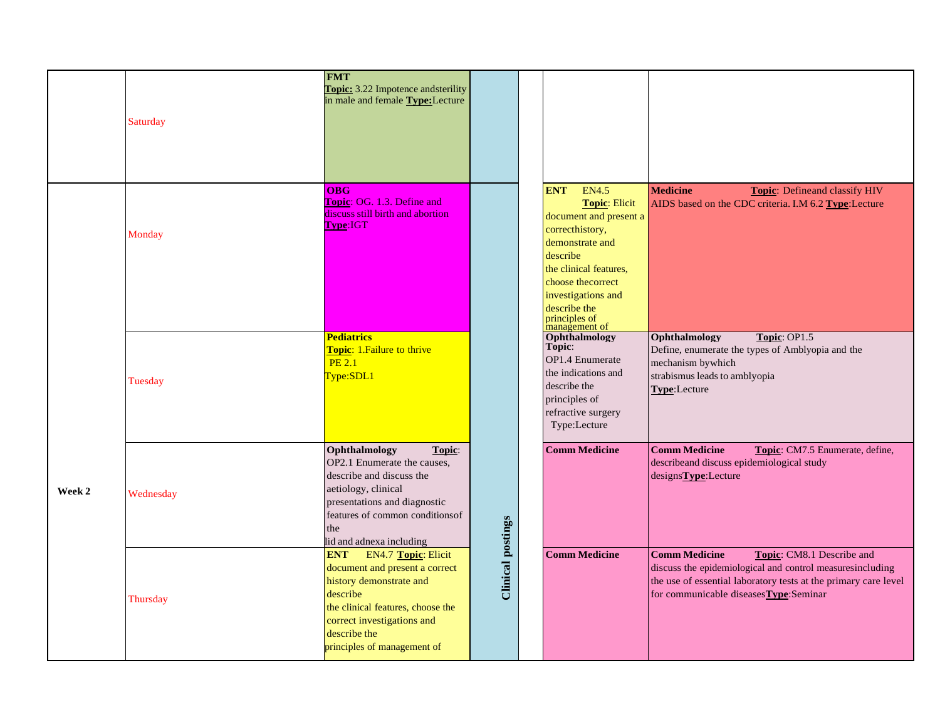|        | Saturday  | <b>FMT</b><br>Topic: 3.22 Impotence and sterility<br>in male and female Type:Lecture                                                                                                                                                |                          |                                                                                                                                                                                                                                                        |                                                                                                                                                                                                                              |
|--------|-----------|-------------------------------------------------------------------------------------------------------------------------------------------------------------------------------------------------------------------------------------|--------------------------|--------------------------------------------------------------------------------------------------------------------------------------------------------------------------------------------------------------------------------------------------------|------------------------------------------------------------------------------------------------------------------------------------------------------------------------------------------------------------------------------|
|        | Monday    | <b>OBG</b><br>Topic: OG. 1.3. Define and<br>discuss still birth and abortion<br>Type:IGT                                                                                                                                            |                          | <b>EN4.5</b><br><b>ENT</b><br><b>Topic: Elicit</b><br>document and present a<br>correcthistory,<br>demonstrate and<br>describe<br>the clinical features,<br>choose the correct<br>investigations and<br>describe the<br>principles of<br>management of | <b>Medicine</b><br><b>Topic:</b> Defineand classify HIV<br>AIDS based on the CDC criteria. I.M 6.2 Type:Lecture                                                                                                              |
|        | Tuesday   | Pediatrics<br>Topic: 1. Failure to thrive<br><b>PE 2.1</b><br>Fype:SDL1                                                                                                                                                             |                          | Ophthalmology<br>Topic:<br><b>OP1.4 Enumerate</b><br>the indications and<br>describe the<br>principles of<br>refractive surgery<br>Type:Lecture                                                                                                        | Ophthalmology<br>Topic: OP1.5<br>Define, enumerate the types of Amblyopia and the<br>mechanism by which<br>strabismus leads to amblyopia<br>Type:Lecture                                                                     |
| Week 2 | Wednesday | Ophthalmology<br>Topic:<br>OP2.1 Enumerate the causes,<br>describe and discuss the<br>aetiology, clinical<br>presentations and diagnostic<br>features of common conditions of<br>the<br>lid and adnexa including                    |                          | <b>Comm Medicine</b>                                                                                                                                                                                                                                   | <b>Comm Medicine</b><br>Topic: CM7.5 Enumerate, define,<br>describeand discuss epidemiological study<br>designs <b>Type</b> :Lecture                                                                                         |
|        | Thursday  | <b>ENT</b><br><b>EN4.7 Topic: Elicit</b><br>document and present a correct<br>history demonstrate and<br>describe<br>the clinical features, choose the<br>correct investigations and<br>describe the<br>principles of management of | <b>Clinical postings</b> | <b>Comm Medicine</b>                                                                                                                                                                                                                                   | <b>Comm Medicine</b><br>Topic: CM8.1 Describe and<br>discuss the epidemiological and control measuresincluding<br>the use of essential laboratory tests at the primary care level<br>for communicable diseases Type: Seminar |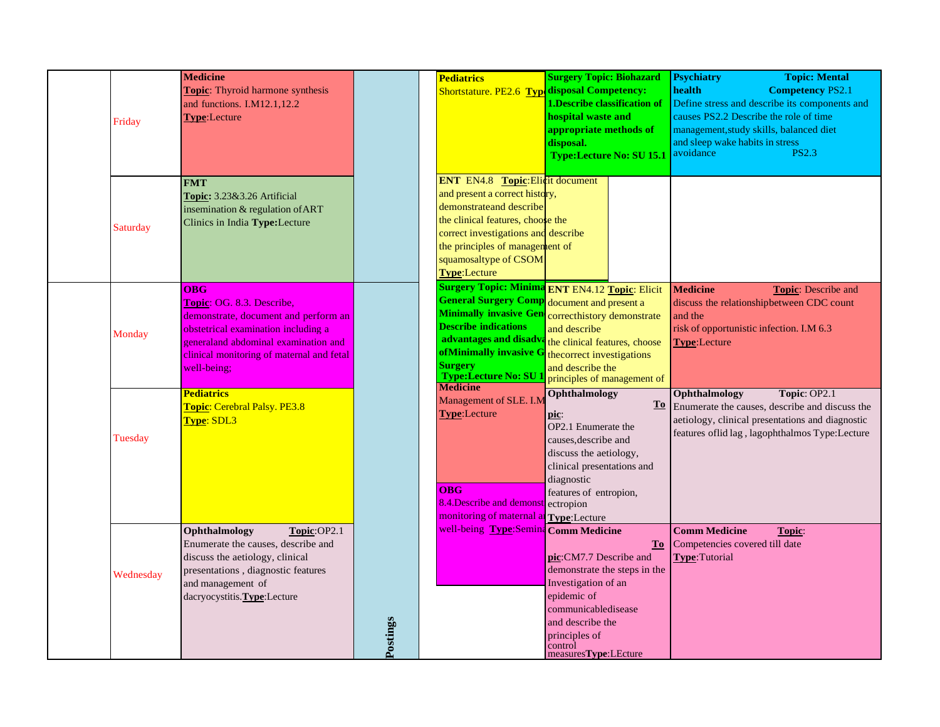| Friday    | <b>Medicine</b><br>Topic: Thyroid harmone synthesis<br>and functions. I.M12.1,12.2<br><b>Type:Lecture</b>                                                                                                                   |          | <b>Pediatrics</b><br>Shortstature. PE2.6 Typ disposal Competency:                                                                                                                                                                                                            | <b>Surgery Topic: Biohazard</b><br>1. Describe classification of<br>hospital waste and<br>appropriate methods of<br>disposal.<br><b>Type:Lecture No: SU 15.1</b>                                                                     | <b>Topic: Mental</b><br><b>Psychiatry</b><br>health<br><b>Competency PS2.1</b><br>Define stress and describe its components and<br>causes PS2.2 Describe the role of time<br>management, study skills, balanced diet<br>and sleep wake habits in stress<br><b>PS2.3</b><br>avoidance |
|-----------|-----------------------------------------------------------------------------------------------------------------------------------------------------------------------------------------------------------------------------|----------|------------------------------------------------------------------------------------------------------------------------------------------------------------------------------------------------------------------------------------------------------------------------------|--------------------------------------------------------------------------------------------------------------------------------------------------------------------------------------------------------------------------------------|--------------------------------------------------------------------------------------------------------------------------------------------------------------------------------------------------------------------------------------------------------------------------------------|
| Saturday  | <b>FMT</b><br>Topic: 3.23&3.26 Artificial<br>insemination & regulation of ART<br>Clinics in India Type:Lecture                                                                                                              |          | <b>ENT</b> EN4.8 <b>Topic:</b> Elicit document<br>and present a correct history,<br>demonstrate and describe<br>the clinical features, choose the<br>correct investigations and describe<br>the principles of management of<br>squamosaltype of CSOM<br><b>Type:</b> Lecture |                                                                                                                                                                                                                                      |                                                                                                                                                                                                                                                                                      |
| Monday    | <b>OBG</b><br>Topic: OG. 8.3. Describe,<br>demonstrate, document and perform an<br>obstetrical examination including a<br>general and abdominal examination and<br>clinical monitoring of maternal and fetal<br>well-being: |          | <b>General Surgery Comp</b> document and present a<br><b>Describe indications</b><br>advantages and disadv<br>ofMinimally invasive O<br><b>Surgery</b><br>Type:Lecture No: SU<br><b>Medicine</b>                                                                             | Surgery Topic: Minima ENT EN4.12 Topic: Elicit<br>Minimally invasive Gen correcthistory demonstrate<br>and describe<br>the clinical features, choose<br>thecorrect investigations<br>and describe the<br>principles of management of | <b>Medicine</b><br>Topic: Describe and<br>discuss the relationshipbetween CDC count<br>and the<br>risk of opportunistic infection. I.M 6.3<br>Type:Lecture                                                                                                                           |
| Tuesday   | Pediatrics<br>Topic: Cerebral Palsy. PE3.8<br>Type: SDL3                                                                                                                                                                    |          | Management of SLE. I.M<br>Type:Lecture<br><b>OBG</b><br>8.4. Describe and demonst ectropion<br>monitoring of maternal a Type: Lecture                                                                                                                                        | Ophthalmology<br>pic:<br>OP2.1 Enumerate the<br>causes, describe and<br>discuss the aetiology,<br>clinical presentations and<br>diagnostic<br>features of entropion,                                                                 | Ophthalmology<br>Topic: OP2.1<br>To Enumerate the causes, describe and discuss the<br>aetiology, clinical presentations and diagnostic<br>features oflid lag, lagophthalmos Type:Lecture                                                                                             |
| Wednesday | Ophthalmology<br>Topic:OP2.1<br>Enumerate the causes, describe and<br>discuss the aetiology, clinical<br>presentations, diagnostic features<br>and management of<br>dacryocystitis. Type: Lecture                           | Postings | well-being Type:Semina Comm Medicine                                                                                                                                                                                                                                         | <b>To</b><br>pic:CM7.7 Describe and<br>demonstrate the steps in the<br>Investigation of an<br>epidemic of<br>communicabledisease<br>and describe the<br>principles of<br>control<br>measures <b>Type</b> :LEcture                    | <b>Comm Medicine</b><br>Topic:<br>Competencies covered till date<br>Type:Tutorial                                                                                                                                                                                                    |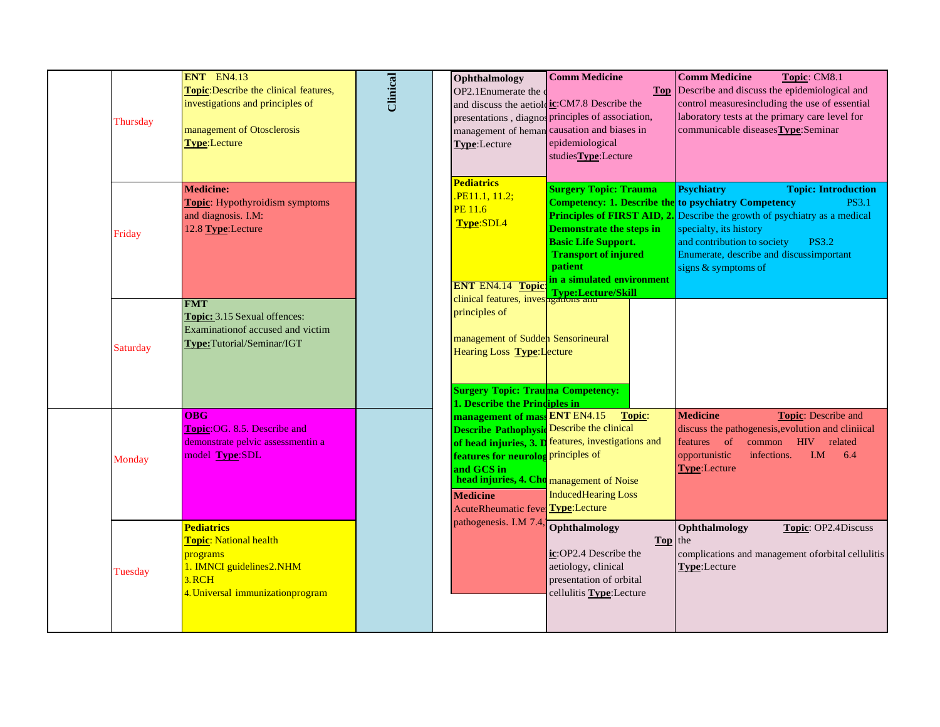| Thursday        | ENT EN4.13<br>Topic: Describe the clinical features,<br>investigations and principles of<br>management of Otosclerosis<br><b>Type:</b> Lecture | Clinical | Ophthalmology<br>OP2.1Enumerate the<br>Type:Lecture                                                                                                                                                            | <b>Comm Medicine</b><br><b>Top</b><br>and discuss the aetiol ic: CM7.8 Describe the<br>presentations, diagnos principles of association,<br>management of heman causation and biases in<br>epidemiological<br>studiesType:Lecture | <b>Comm Medicine</b><br>Topic: CM8.1<br>Describe and discuss the epidemiological and<br>control measuresincluding the use of essential<br>laboratory tests at the primary care level for<br>communicable diseases Type: Seminar                                                                                                                                 |
|-----------------|------------------------------------------------------------------------------------------------------------------------------------------------|----------|----------------------------------------------------------------------------------------------------------------------------------------------------------------------------------------------------------------|-----------------------------------------------------------------------------------------------------------------------------------------------------------------------------------------------------------------------------------|-----------------------------------------------------------------------------------------------------------------------------------------------------------------------------------------------------------------------------------------------------------------------------------------------------------------------------------------------------------------|
| Friday          | <b>Medicine:</b><br><b>Topic:</b> Hypothyroidism symptoms<br>and diagnosis. I.M:<br>12.8 Type:Lecture                                          |          | <b>Pediatrics</b><br>PE11.1, 11.2;<br><b>PE 11.6</b><br>Type:SDL4<br><b>ENT EN4.14 Topic</b>                                                                                                                   | <b>Surgery Topic: Trauma</b><br><b>Demonstrate the steps in</b><br><b>Basic Life Support.</b><br><b>Transport of injured</b><br><b>patient</b><br>in a simulated environment                                                      | <b>Psychiatry</b><br><b>Topic: Introduction</b><br><b>Competency: 1. Describe the to psychiatry Competency</b><br><b>PS3.1</b><br><b>Principles of FIRST AID, 2.</b> Describe the growth of psychiatry as a medical<br>specialty, its history<br>and contribution to society<br><b>PS3.2</b><br>Enumerate, describe and discussimportant<br>signs & symptoms of |
| <b>Saturday</b> | <b>FMT</b><br>Topic: 3.15 Sexual offences:<br>Examination of accused and victim<br>Type:Tutorial/Seminar/IGT                                   |          | clinical features, investigations and<br>principles of<br>management of Sudden Sensorineural<br>Hearing Loss <b>Type:</b> Lecture<br><b>Surgery Topic: Trauma Competency:</b><br>1. Describe the Principles in |                                                                                                                                                                                                                                   |                                                                                                                                                                                                                                                                                                                                                                 |
| Monday          | <b>OBG</b><br>Topic: OG. 8.5. Describe and<br>demonstrate pelvic assessmentin a<br>model Type:SDL                                              |          | management of mass ENT EN4.15<br><b>Describe Pathophysic Describe the clinical</b><br>features for neurolog principles of<br>and GCS in<br><b>Medicine</b><br>AcuteRheumatic fever Type:Lecture                | Topic:<br>of head injuries, 3. D features, investigations and<br>head injuries, 4. Cho management of Noise<br><b>InducedHearing Loss</b>                                                                                          | <b>Medicine</b><br><b>Topic:</b> Describe and<br>discuss the pathogenesis, evolution and cliniical<br>common HIV<br>features of<br>related<br>I.M<br>opportunistic<br>infections.<br>6.4<br><b>Type:Lecture</b>                                                                                                                                                 |
| Tuesday         | <b>Pediatrics</b><br><b>Topic: National health</b><br>programs<br>1. IMNCI guidelines2.NHM<br>3.RCH<br>4. Universal immunizationprogram        |          | pathogenesis. I.M 7.4                                                                                                                                                                                          | Ophthalmology<br>Top the<br>ic:OP2.4 Describe the<br>aetiology, clinical<br>presentation of orbital<br>cellulitis Type: Lecture                                                                                                   | Ophthalmology<br>Topic: OP2.4Discuss<br>complications and management oforbital cellulitis<br>Type:Lecture                                                                                                                                                                                                                                                       |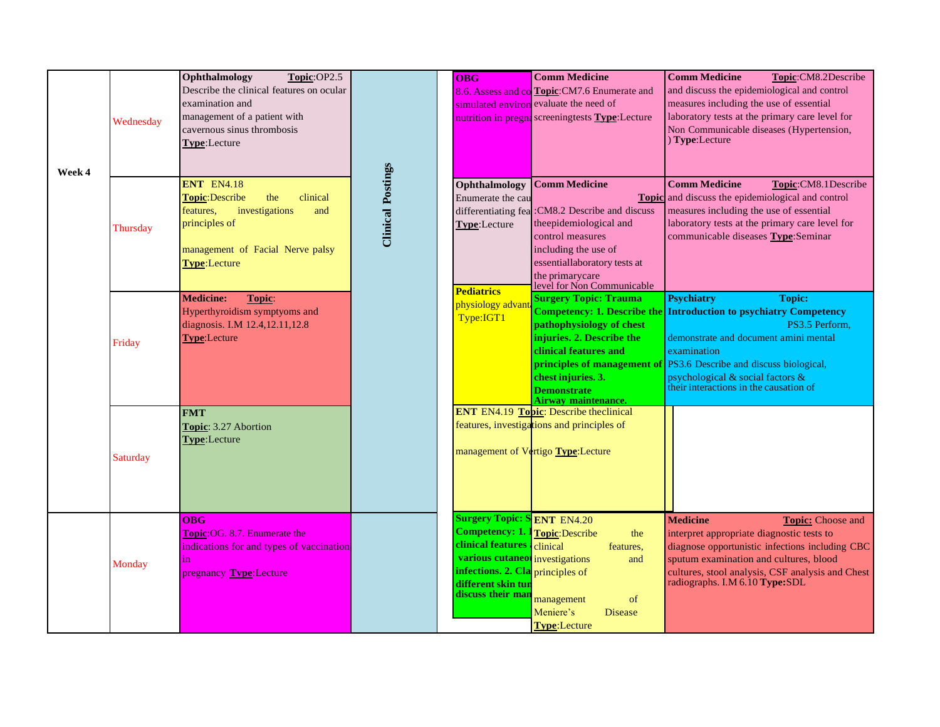| Week 4 | Wednesday | Ophthalmology<br>Topic:OP2.5<br>Describe the clinical features on ocular<br>examination and<br>management of a patient with<br>cavernous sinus thrombosis<br>Type:Lecture        |                          | <b>OBG</b>                                                                                                                                                                                                                   | <b>Comm Medicine</b><br>8.6. Assess and co Topic: CM7.6 Enumerate and<br>simulated environ evaluate the need of<br>nutrition in pregna screeningtests Type: Lecture                                                     | <b>Comm Medicine</b><br>Topic:CM8.2Describe<br>and discuss the epidemiological and control<br>measures including the use of essential<br>laboratory tests at the primary care level for<br>Non Communicable diseases (Hypertension,<br>$)$ Type: Lecture                                                                |
|--------|-----------|----------------------------------------------------------------------------------------------------------------------------------------------------------------------------------|--------------------------|------------------------------------------------------------------------------------------------------------------------------------------------------------------------------------------------------------------------------|-------------------------------------------------------------------------------------------------------------------------------------------------------------------------------------------------------------------------|-------------------------------------------------------------------------------------------------------------------------------------------------------------------------------------------------------------------------------------------------------------------------------------------------------------------------|
|        | Thursday  | <b>ENT EN4.18</b><br>clinical<br><b>Topic:Describe</b><br>the<br>investigations<br>and<br>features,<br>principles of<br>management of Facial Nerve palsy<br><b>Type:</b> Lecture | <b>Clinical Postings</b> | Ophthalmology<br>Enumerate the cau<br>differentiating fea<br>Type:Lecture                                                                                                                                                    | <b>Comm Medicine</b><br>:CM8.2 Describe and discuss<br>theepidemiological and<br>control measures<br>including the use of<br>essentiallaboratory tests at<br>the primarycare<br>level for Non Communicable              | <b>Comm Medicine</b><br>Topic:CM8.1Describe<br><b>Topic</b> and discuss the epidemiological and control<br>measures including the use of essential<br>laboratory tests at the primary care level for<br>communicable diseases Type:Seminar                                                                              |
|        | Friday    | <b>Medicine:</b><br>Topic:<br>Hyperthyroidism symptyoms and<br>diagnosis. I.M 12.4,12.11,12.8<br><b>Type:</b> Lecture                                                            |                          | <b>Pediatrics</b><br>physiology advar<br>Type:IGT1                                                                                                                                                                           | <b>Surgery Topic: Trauma</b><br><b>Competency: 1. Describe the</b><br>pathophysiology of chest<br>injuries. 2. Describe the<br>clinical features and<br>chest injuries. 3.<br><b>Demonstrate</b><br>Airway maintenance. | <b>Psychiatry</b><br><b>Topic:</b><br><b>Introduction to psychiatry Competency</b><br>PS3.5 Perform.<br>demonstrate and document amini mental<br>examination<br>principles of management of <b>PS3.6</b> Describe and discuss biological,<br>psychological & social factors &<br>their interactions in the causation of |
|        | Saturday  | <b>FMT</b><br>Topic: 3.27 Abortion<br>Type:Lecture                                                                                                                               |                          |                                                                                                                                                                                                                              | <b>ENT</b> EN4.19 <b>Topic</b> : Describe theclinical<br>features, investigations and principles of<br>management of Vertigo Type: Lecture                                                                              |                                                                                                                                                                                                                                                                                                                         |
|        | Monday    | OBG<br><b>Topic: OG. 8.7. Enumerate the</b><br>indications for and types of vaccination<br>in<br>pregnancy Type: Lecture                                                         |                          | <b>Surgery Topic: S ENT EN4.20</b><br><b>Competency: 1. 1 Topic: Describe</b><br>clinical features clinical<br>various cutaneo investigations<br>infections. 2. Cla principles of<br>different skin tun<br>discuss their man | the<br>features,<br>and<br>management<br>of<br>Meniere's<br><b>Disease</b><br><b>Type:Lecture</b>                                                                                                                       | <b>Medicine</b><br><b>Topic:</b> Choose and<br>interpret appropriate diagnostic tests to<br>diagnose opportunistic infections including CBC<br>sputum examination and cultures, blood<br>cultures, stool analysis, CSF analysis and Chest<br>radiographs. I.M 6.10 Type:SDL                                             |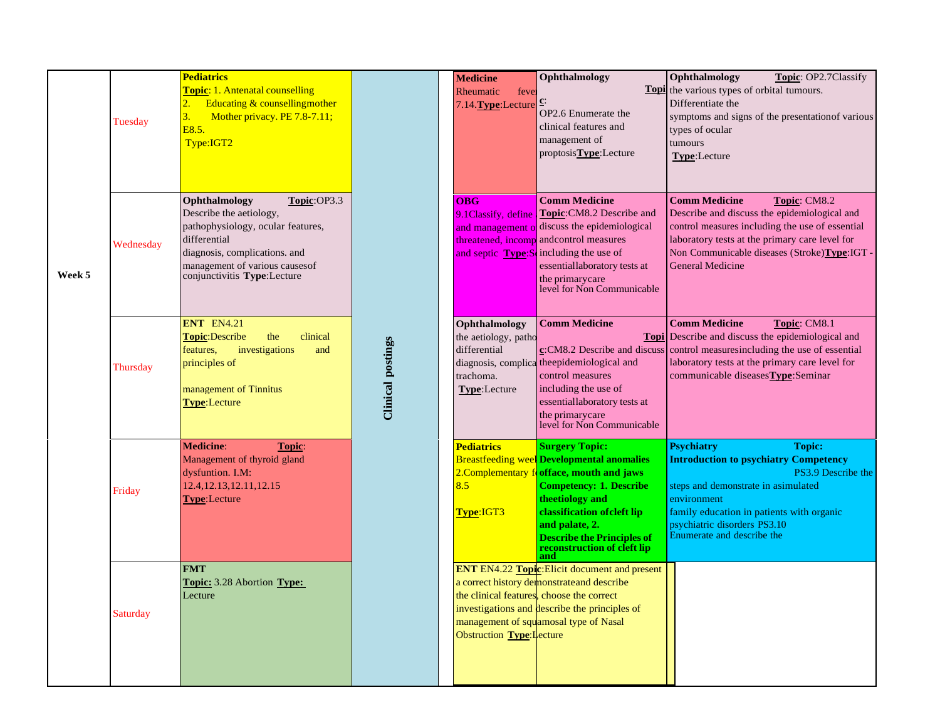|        | Tuesday   | <b>Pediatrics</b><br><b>Topic: 1. Antenatal counselling</b><br>Educating & counsellingmother<br>3.<br>Mother privacy. PE 7.8-7.11;<br>E8.5.<br>Type:IGT2                                                        |                          | <b>Medicine</b><br>Rheumatic<br>feve<br>7.14. Type: Lecture                        | Ophthalmology<br>OP2.6 Enumerate the<br>clinical features and<br>management of<br>proptosisType:Lecture                                                                                                                                                                               | Ophthalmology<br><b>Topic: OP2.7Classify</b><br><b>Topl</b> the various types of orbital tumours.<br>Differentiate the<br>symptoms and signs of the presentation of various<br>types of ocular<br>tumours<br><b>Type:Lecture</b>                                          |
|--------|-----------|-----------------------------------------------------------------------------------------------------------------------------------------------------------------------------------------------------------------|--------------------------|------------------------------------------------------------------------------------|---------------------------------------------------------------------------------------------------------------------------------------------------------------------------------------------------------------------------------------------------------------------------------------|---------------------------------------------------------------------------------------------------------------------------------------------------------------------------------------------------------------------------------------------------------------------------|
| Week 5 | Wednesday | Ophthalmology<br>Topic:OP3.3<br>Describe the aetiology,<br>pathophysiology, ocular features,<br>differential<br>diagnosis, complications. and<br>management of various causes of<br>conjunctivitis Type:Lecture |                          | <b>OBG</b><br>9.1Classify, define<br>and septic Type:S                             | <b>Comm Medicine</b><br>Topic:CM8.2 Describe and<br>and management of discuss the epidemiological<br>threatened, incomp and control measures<br>including the use of<br>essentiallaboratory tests at<br>the primarycare<br>level for Non Communicable                                 | <b>Comm Medicine</b><br>Topic: CM8.2<br>Describe and discuss the epidemiological and<br>control measures including the use of essential<br>laboratory tests at the primary care level for<br>Non Communicable diseases (Stroke) Type: IGT -<br><b>General Medicine</b>    |
|        | Thursday  | <b>ENT EN4.21</b><br>Topic:Describe<br>the<br>clinical<br>features,<br>investigations<br>and<br>principles of<br>management of Tinnitus<br>Type:Lecture                                                         | <b>Clinical postings</b> | Ophthalmology<br>the aetiology, patho<br>differential<br>trachoma.<br>Type:Lecture | <b>Comm Medicine</b><br>c:CM8.2 Describe and discuss<br>diagnosis, complica the epidemiological and<br>control measures<br>including the use of<br>essentiallaboratory tests at<br>the primarycare<br>level for Non Communicable                                                      | <b>Comm Medicine</b><br>Topic: CM8.1<br>Topi Describe and discuss the epidemiological and<br>control measuresincluding the use of essential<br>laboratory tests at the primary care level for<br>communicable diseases Type: Seminar                                      |
|        | Friday    | <b>Medicine:</b><br>Topic:<br>Management of thyroid gland<br>dysfuntion. I.M:<br>12.4, 12.13, 12.11, 12.15<br>Type:Lecture                                                                                      |                          | <b>Pediatrics</b><br>2.Complementary f<br>8.5<br>Type:IGT3                         | <b>Surgery Topic:</b><br><b>Breastfeeding weel</b> Developmental anomalies<br>offace, mouth and jaws<br><b>Competency: 1. Describe</b><br>theetiology and<br>classification of cleft lip<br>and palate, 2.<br><b>Describe the Principles of</b><br>reconstruction of cleft lip<br>and | <b>Psychiatry</b><br><b>Topic:</b><br><b>Introduction to psychiatry Competency</b><br>PS3.9 Describe the<br>steps and demonstrate in asimulated<br>environment<br>family education in patients with organic<br>psychiatric disorders PS3.10<br>Enumerate and describe the |
|        | Saturday  | <b>FMT</b><br><b>Topic:</b> 3.28 Abortion <b>Type:</b><br>Lecture                                                                                                                                               |                          | Obstruction <b>Type:</b> Lecture                                                   | <b>ENT</b> EN4.22 <b>Topic:</b> Elicit document and present<br>a correct history demonstrate and describe<br>the clinical features, choose the correct<br>investigations and describe the principles of<br>management of squamosal type of Nasal                                      |                                                                                                                                                                                                                                                                           |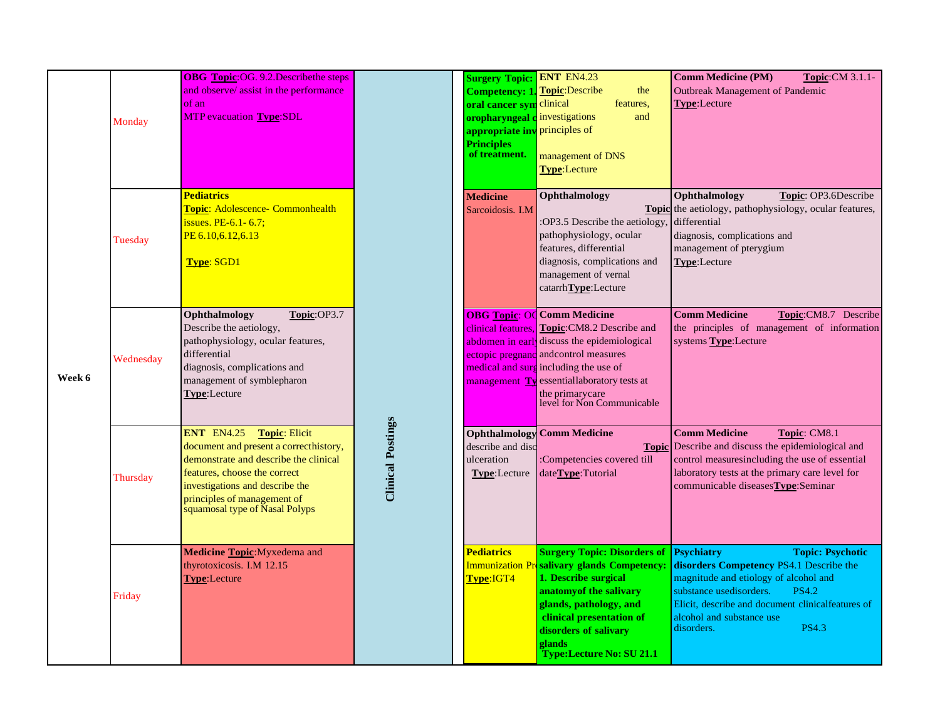| Week 6 | Monday    | <b>OBG</b> Topic:OG. 9.2. Describe the steps<br>and observe/ assist in the performance<br>of an<br><b>MTP</b> evacuation <b>Type:SDL</b>                                                                                                                         |                          | <b>Surgery Topic: ENT EN4.23</b><br><b>Competency: 1. Topic: Describe</b><br>oral cancer sym clinical<br>oropharyngeal c investigations<br>appropriate inv principles of<br><b>Principles</b><br>of treatment. | the<br>features.<br>and<br>management of DNS<br><b>Type:Lecture</b>                                                                                                                                                                                                                                                 | <b>Comm Medicine (PM)</b><br><b>Topic:</b> CM 3.1.1-<br><b>Outbreak Management of Pandemic</b><br>Type:Lecture                                                                                                                                                                              |
|--------|-----------|------------------------------------------------------------------------------------------------------------------------------------------------------------------------------------------------------------------------------------------------------------------|--------------------------|----------------------------------------------------------------------------------------------------------------------------------------------------------------------------------------------------------------|---------------------------------------------------------------------------------------------------------------------------------------------------------------------------------------------------------------------------------------------------------------------------------------------------------------------|---------------------------------------------------------------------------------------------------------------------------------------------------------------------------------------------------------------------------------------------------------------------------------------------|
|        | Tuesday   | <b>Pediatrics</b><br>Topic: Adolescence- Commonhealth<br>issues. $PE-6.1-6.7$ ;<br>PE 6.10, 6.12, 6.13<br><b>Type: SGD1</b>                                                                                                                                      |                          | <b>Medicine</b><br>Sarcoidosis. I.M.                                                                                                                                                                           | Ophthalmology<br>:OP3.5 Describe the aetiology<br>pathophysiology, ocular<br>features, differential<br>diagnosis, complications and<br>management of vernal<br>catarrhType:Lecture                                                                                                                                  | Topic: OP3.6Describe<br>Ophthalmology<br><b>Topic</b> the aetiology, pathophysiology, ocular features,<br>differential<br>diagnosis, complications and<br>management of pterygium<br>Type:Lecture                                                                                           |
|        | Wednesday | Ophthalmology<br>Topic:OP3.7<br>Describe the aetiology,<br>pathophysiology, ocular features,<br>differential<br>diagnosis, complications and<br>management of symblepharon<br>Type:Lecture                                                                       | <b>Clinical Postings</b> |                                                                                                                                                                                                                | <b>OBG Topic: OC Comm Medicine</b><br>clinical features. Topic: CM8.2 Describe and<br>abdomen in early discuss the epidemiological<br>ectopic pregnanc and control measures<br>medical and surg including the use of<br>management Ty essentiallaboratory tests at<br>the primarycare<br>level for Non Communicable | <b>Comm Medicine</b><br>Topic:CM8.7 Describe<br>the principles of management of information<br>systems Type:Lecture                                                                                                                                                                         |
|        | Thursday  | <b>ENT EN4.25</b><br><b>Topic: Elicit</b><br>document and present a correcthistory,<br>demonstrate and describe the clinical<br>features, choose the correct<br>investigations and describe the<br>principles of management of<br>squamosal type of Nasal Polyps |                          | describe and disc<br>ulceration<br>Type:Lecture                                                                                                                                                                | <b>Ophthalmology</b> Comm Medicine<br>:Competencies covered till<br>dateType:Tutorial                                                                                                                                                                                                                               | <b>Comm Medicine</b><br>Topic: CM8.1<br>Topic Describe and discuss the epidemiological and<br>control measuresincluding the use of essential<br>laboratory tests at the primary care level for<br>communicable diseases Type: Seminar                                                       |
|        | Friday    | Medicine Topic: Myxedema and<br>thyrotoxicosis. I.M 12.15<br><b>Type:Lecture</b>                                                                                                                                                                                 |                          | <b>Pediatrics</b><br>Type:IGT4                                                                                                                                                                                 | <b>Surgery Topic: Disorders of</b><br>Immunization Presalivary glands Competency:<br>1. Describe surgical<br>anatomy of the salivary<br>glands, pathology, and<br>clinical presentation of<br>disorders of salivary<br>glands<br><b>Type:Lecture No: SU 21.1</b>                                                    | <b>Psychiatry</b><br><b>Topic: Psychotic</b><br>disorders Competency PS4.1 Describe the<br>magnitude and etiology of alcohol and<br><b>PS4.2</b><br>substance usedisorders.<br>Elicit, describe and document clinicalfeatures of<br>alcohol and substance use<br>disorders.<br><b>PS4.3</b> |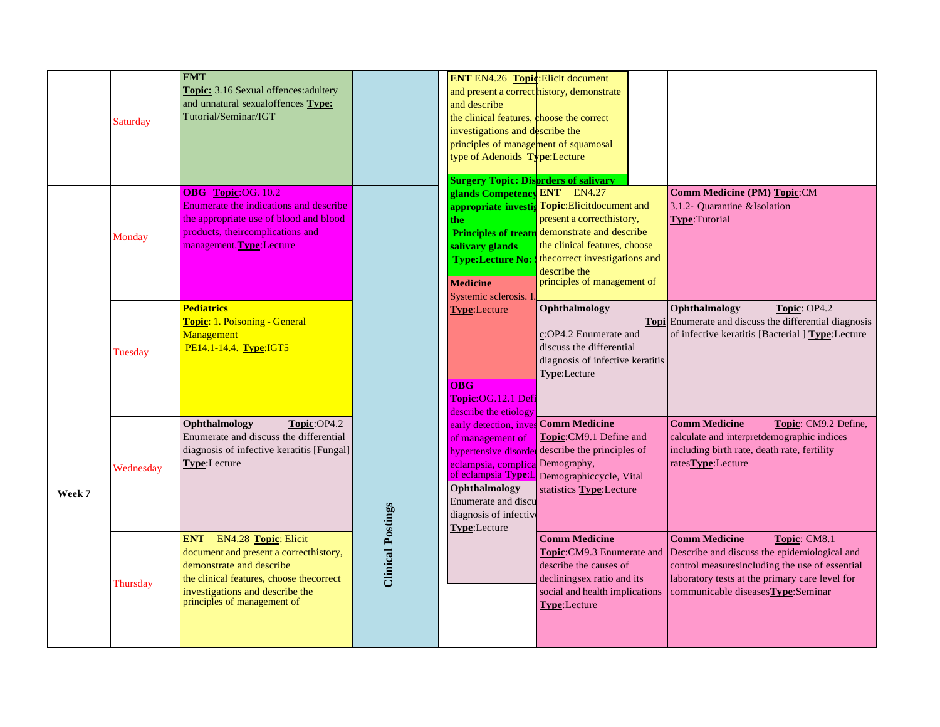|        | <b>Saturday</b> | <b>FMT</b><br>Topic: 3.16 Sexual offences: adultery<br>and unnatural sexualoffences Type:<br>Tutorial/Seminar/IGT                                                                                                    |                          | <b>ENT EN4.26 Topic: Elicit document</b><br>and describe<br>the clinical features, choose the correct<br>investigations and describe the<br>principles of management of squamosal<br>type of Adenoids Type:Lecture<br><b>Surgery Topic: Disprders of salivary</b> | and present a correct history, demonstrate                                                                                                                                                                                                    |                                                                                                                                                                                                                                 |
|--------|-----------------|----------------------------------------------------------------------------------------------------------------------------------------------------------------------------------------------------------------------|--------------------------|-------------------------------------------------------------------------------------------------------------------------------------------------------------------------------------------------------------------------------------------------------------------|-----------------------------------------------------------------------------------------------------------------------------------------------------------------------------------------------------------------------------------------------|---------------------------------------------------------------------------------------------------------------------------------------------------------------------------------------------------------------------------------|
|        | Monday          | OBG Topic:OG. 10.2<br>Enumerate the indications and describe<br>the appropriate use of blood and blood<br>products, theircomplications and<br>management. Type: Lecture                                              |                          | glands Competency ENT EN4.27<br>the.<br>salivary glands<br><b>Type:Lecture No:</b><br><b>Medicine</b><br>Systemic sclerosis. I                                                                                                                                    | appropriate investig Topic: Elicitdocument and<br>present a correcthistory,<br>Principles of treatn demonstrate and describe<br>the clinical features, choose<br>thecorrect investigations and<br>describe the<br>principles of management of | Comm Medicine (PM) Topic:CM<br>3.1.2- Quarantine & Isolation<br><b>Type: Tutorial</b>                                                                                                                                           |
|        | Tuesday         | <b>Pediatrics</b><br><b>Topic: 1. Poisoning - General</b><br>Management<br>PE14.1-14.4. Type:IGT5                                                                                                                    |                          | <b>Type:Lecture</b><br>$\overline{OBG}$<br>Topic:OG.12.1 Defi<br>describe the etiology                                                                                                                                                                            | Ophthalmology<br>c:OP4.2 Enumerate and<br>discuss the differential<br>diagnosis of infective keratitis<br>Type:Lecture                                                                                                                        | Topic: OP4.2<br>Ophthalmology<br>Topi Enumerate and discuss the differential diagnosis<br>of infective keratitis [Bacterial ] Type:Lecture                                                                                      |
| Week 7 | Wednesday       | Ophthalmology<br>Topic:OP4.2<br>Enumerate and discuss the differential<br>diagnosis of infective keratitis [Fungal]<br>Type:Lecture                                                                                  |                          | early detection, inves Comm Medicine<br>of management of<br>eclampsia, complica Demography,<br>Ophthalmology<br>Enumerate and discu<br>diagnosis of infective<br>Type:Lecture                                                                                     | Topic:CM9.1 Define and<br>hypertensive disorder describe the principles of<br>of eclampsia Type:L Demographiccycle, Vital<br>statistics Type:Lecture                                                                                          | <b>Comm Medicine</b><br>Topic: CM9.2 Define,<br>calculate and interpretdemographic indices<br>including birth rate, death rate, fertility<br>rates <b>Type</b> :Lecture                                                         |
|        | Thursday        | <b>ENT</b> EN4.28 Topic: Elicit<br>document and present a correcthistory,<br>demonstrate and describe<br>the clinical features, choose the correct<br>investigations and describe the<br>principles of management of | <b>Clinical Postings</b> |                                                                                                                                                                                                                                                                   | <b>Comm Medicine</b><br>Topic:CM9.3 Enumerate and<br>describe the causes of<br>decliningsex ratio and its<br>social and health implications<br>Type:Lecture                                                                                   | <b>Comm Medicine</b><br>Topic: CM8.1<br>Describe and discuss the epidemiological and<br>control measuresincluding the use of essential<br>laboratory tests at the primary care level for<br>communicable diseases Type: Seminar |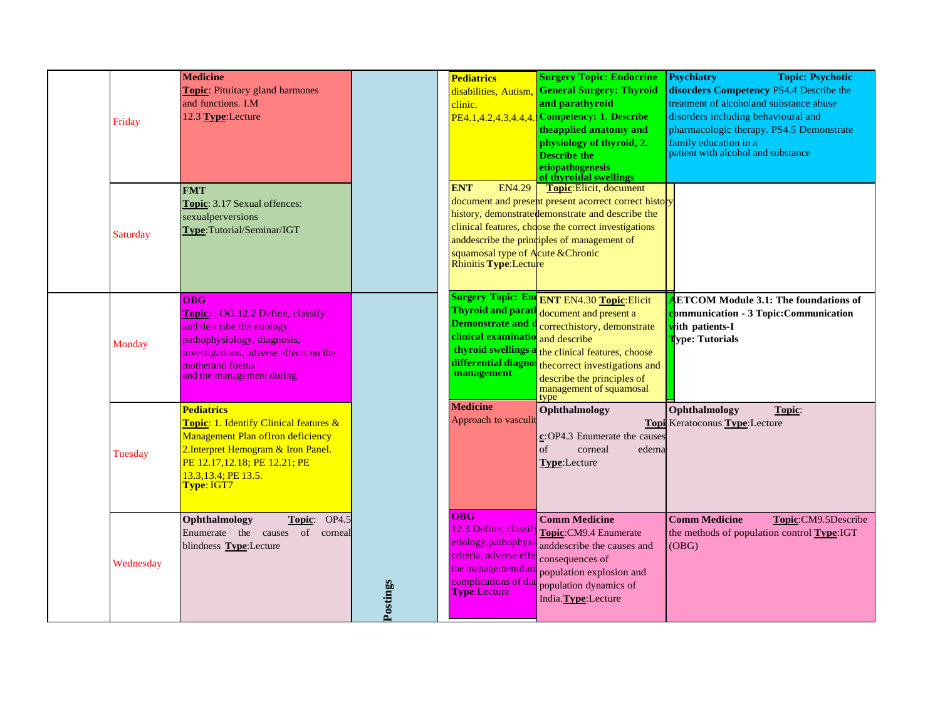| Friday    | <b>Medicine</b><br>Topic: Pituitary gland harmones<br>and functions. I.M<br>12.3 Type:Lecture                                                                                                                        |          | <b>Pediatrics</b><br>clinic.                                                                                                                               | <b>Surgery Topic: Endocrine</b><br>disabilities, Autism, General Surgery: Thyroid<br>and parathyroid<br>PE4.1,4.2,4.3,4.4,4. Competency: 1. Describe<br>the applied anatomy and<br>physiology of thyroid, 2.<br><b>Describe the</b><br>etiopathogenesis<br>of thyroidal swellings | <b>Psychiatry</b><br><b>Topic: Psychotic</b><br>disorders Competency PS4.4 Describe the<br>treatment of alcoholand substance abuse<br>disorders including behavioural and<br>pharmacologic therapy. PS4.5 Demonstrate<br>family education in a<br>patient with alcohol and substance |
|-----------|----------------------------------------------------------------------------------------------------------------------------------------------------------------------------------------------------------------------|----------|------------------------------------------------------------------------------------------------------------------------------------------------------------|-----------------------------------------------------------------------------------------------------------------------------------------------------------------------------------------------------------------------------------------------------------------------------------|--------------------------------------------------------------------------------------------------------------------------------------------------------------------------------------------------------------------------------------------------------------------------------------|
| Saturday  | <b>FMT</b><br>Topic: 3.17 Sexual offences:<br>sexualperversions<br>Type:Tutorial/Seminar/IGT                                                                                                                         |          | <b>ENT</b><br><b>EN4.29</b><br>squamosal type of Acute & Chronic<br>Rhinitis Type:Lecture                                                                  | Topic:Elicit, document<br>document and present present acorrect correct history<br>history, demonstrate demonstrate and describe the<br>clinical features, choose the correct investigations<br>anddescribe the principles of management of                                       |                                                                                                                                                                                                                                                                                      |
| Monday    | <b>OBG</b><br><b>Topic:: OG.12.2 Define, classify</b><br>and describe the etiology,<br>pathophysiology, diagnosis,<br>investigations, adverse effects on the<br>motherand foetus<br>and the management during        |          | <b>Thyroid and parath</b><br><b>Demonstrate and d</b><br>clinical examinatio<br>thyroid swellings a<br>differential diagnos<br><b>management</b>           | Surgery Topic: End ENT EN4.30 Topic: Elicit<br>document and present a<br>correcthistory, demonstrate<br>and describe<br>the clinical features, choose<br>thecorrect investigations and<br>describe the principles of<br>management of squamosal<br>type                           | <b>ETCOM Module 3.1: The foundations of</b><br><b>Pommunication - 3 Topic: Communication</b><br>tith patients-I<br><b>Type: Tutorials</b>                                                                                                                                            |
| Tuesday   | <b>Pediatrics</b><br>Topic: 1. Identify Clinical features &<br><b>Management Plan of Iron deficiency</b><br>2. Interpret Hemogram & Iron Panel.<br>PE 12.17,12.18; PE 12.21; PE<br>13.3,13.4; PE 13.5.<br>Type: IGT7 |          | <b>Medicine</b><br>Approach to vasculi                                                                                                                     | Ophthalmology<br>c: OP4.3 Enumerate the causes<br>of<br>corneal<br>edema<br>Type:Lecture                                                                                                                                                                                          | Ophthalmology<br>Topic:<br><b>Topi</b> Keratoconus Type: Lecture                                                                                                                                                                                                                     |
| Wednesday | OP4.5<br>Ophthalmology<br>Topic:<br>Enumerate the causes of corneal<br>blindness Type:Lecture                                                                                                                        | Postings | <b>OBG</b><br>12.3 Define, classify<br>etiology,pathophysic<br>criteria, adverse effe<br>the managementduri<br>complications of dia<br><b>Type:Lecture</b> | <b>Comm Medicine</b><br>Topic:CM9.4 Enumerate<br>anddescribe the causes and<br>consequences of<br>population explosion and<br>population dynamics of<br>India. Type: Lecture                                                                                                      | <b>Comm Medicine</b><br>Topic:CM9.5Describe<br>the methods of population control Type:IGT<br>(OBG)                                                                                                                                                                                   |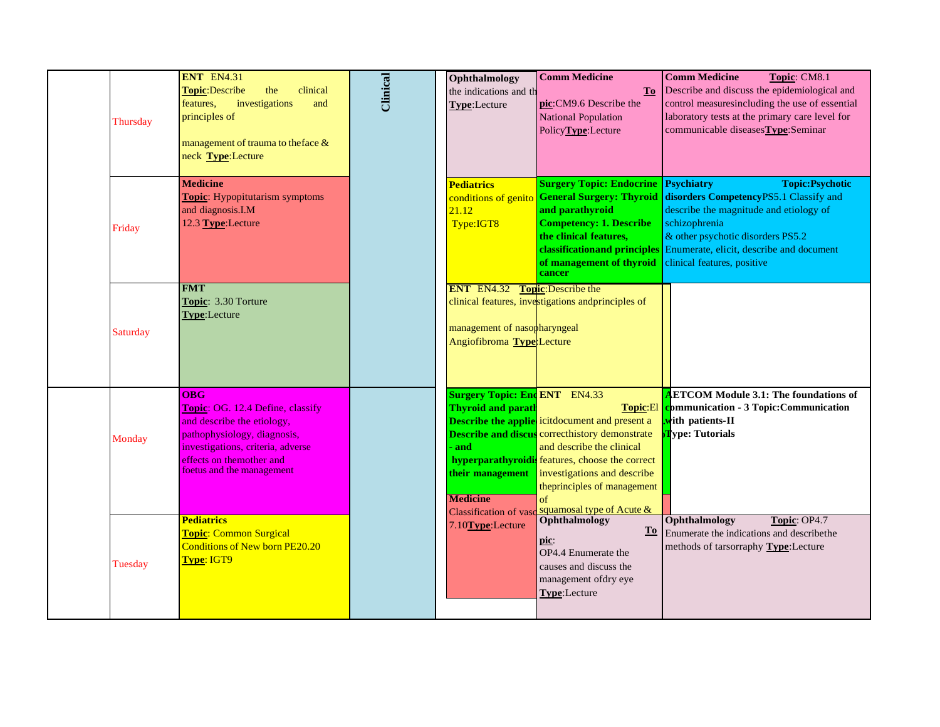| Thursday | <b>ENT</b> EN4.31<br>Topic: Describe<br>clinical<br>the<br>investigations<br>and<br>features,<br>principles of<br>management of trauma to theface &<br>neck Type:Lecture                                         | Clinical | Ophthalmology<br>the indications and th<br>Type:Lecture                                                                                  | <b>Comm Medicine</b><br>To<br>pic:CM9.6 Describe the<br><b>National Population</b><br>PolicyType:Lecture                                                                                                                                                                                                    | <b>Comm Medicine</b><br>Topic: CM8.1<br>Describe and discuss the epidemiological and<br>control measuresincluding the use of essential<br>laboratory tests at the primary care level for<br>communicable diseases Type: Seminar                                                                |
|----------|------------------------------------------------------------------------------------------------------------------------------------------------------------------------------------------------------------------|----------|------------------------------------------------------------------------------------------------------------------------------------------|-------------------------------------------------------------------------------------------------------------------------------------------------------------------------------------------------------------------------------------------------------------------------------------------------------------|------------------------------------------------------------------------------------------------------------------------------------------------------------------------------------------------------------------------------------------------------------------------------------------------|
| Friday   | <b>Medicine</b><br><b>Topic:</b> Hypopitutarism symptoms<br>and diagnosis.I.M<br>12.3 Type: Lecture                                                                                                              |          | <b>Pediatrics</b><br>conditions of genito<br>21.12<br>Type:IGT8                                                                          | <b>Surgery Topic: Endocrine</b><br><b>General Surgery: Thyroid</b><br>and parathyroid<br><b>Competency: 1. Describe</b><br>the clinical features,<br>of management of thyroid<br>cancer                                                                                                                     | <b>Topic:Psychotic</b><br><b>Psychiatry</b><br>disorders CompetencyPS5.1 Classify and<br>describe the magnitude and etiology of<br>schizophrenia<br>& other psychotic disorders PS5.2<br>classification and principles Enumerate, elicit, describe and document<br>clinical features, positive |
| Saturday | <b>FMT</b><br>Topic: 3.30 Torture<br>Type:Lecture                                                                                                                                                                |          | <b>ENT EN4.32</b><br>management of nasopharyngeal<br>Angiofibroma Type Lecture                                                           | <b>Topic:</b> Describe the<br>clinical features, investigations and principles of                                                                                                                                                                                                                           |                                                                                                                                                                                                                                                                                                |
| Monday   | <b>OBG</b><br><b>Topic: OG. 12.4 Define, classify</b><br>and describe the etiology,<br>pathophysiology, diagnosis,<br>investigations, criteria, adverse<br>effects on themother and<br>foetus and the management |          | <b>Surgery Topic: End ENT</b> EN4.33<br><b>Thyroid and parath</b><br>and<br>their management<br><b>Medicine</b><br>Classification of vas | Topic:El<br><b>Describe the applie</b> icitdocument and present a<br><b>Describe and discus</b> correcthistory demonstrate<br>and describe the clinical<br>hyperparathyroidis features, choose the correct<br>investigations and describe<br>theprinciples of management<br>of<br>squamosal type of Acute & | <b>ETCOM Module 3.1: The foundations of</b><br><b>communication - 3 Topic: Communication</b><br>with patients-II<br>lype: Tutorials                                                                                                                                                            |
| Tuesday  | <b>Pediatrics</b><br><b>Topic: Common Surgical</b><br><b>Conditions of New born PE20.20</b><br>Type: IGT9                                                                                                        |          | 7.10Type:Lecture                                                                                                                         | <b>Ophthalmology</b><br>pic:<br>OP4.4 Enumerate the<br>causes and discuss the<br>management ofdry eye<br>Type:Lecture                                                                                                                                                                                       | Ophthalmology<br>Topic: OP4.7<br>To Enumerate the indications and describe the<br>methods of tarsorraphy Type:Lecture                                                                                                                                                                          |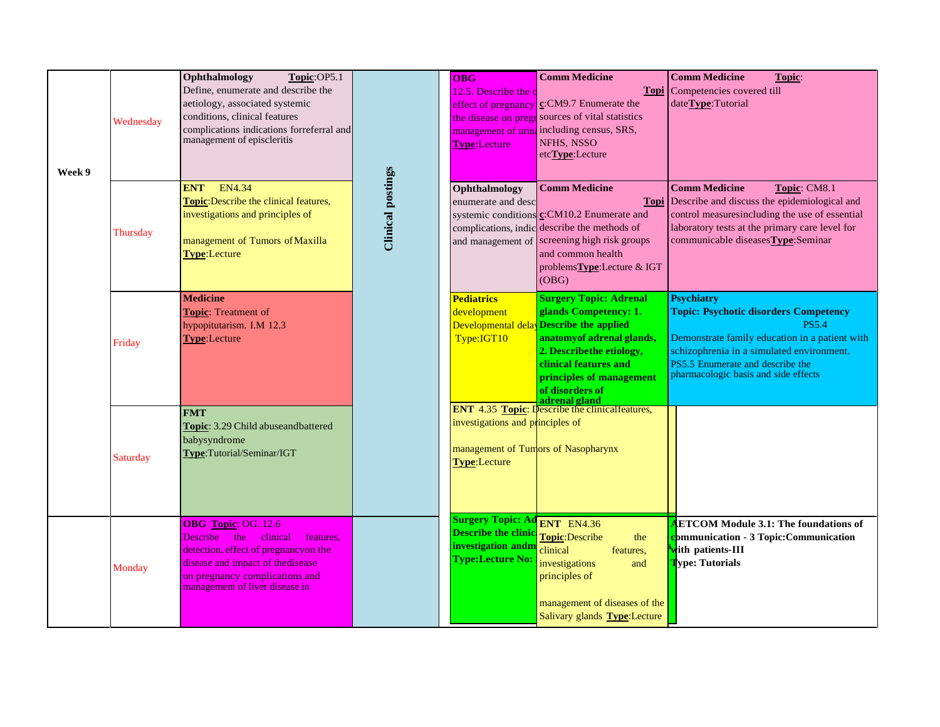| Week 9 | Wednesday | Ophthalmology<br>Topic:OP5.1<br>Define, enumerate and describe the<br>aetiology, associated systemic<br>conditions, clinical features<br>complications indications forreferral and<br>management of episcleritis        |                          | <b>OBG</b><br>12.5. Describe the<br>effect of pregnancy<br><b>Type:Lecture</b>                          | <b>Comm Medicine</b><br>$c$ :CM9.7 Enumerate the<br>the disease on pregr sources of vital statistics<br>management of urin <sub>d</sub> including census, SRS,<br>NFHS, NSSO<br>etc <b>Type</b> :Lecture                                 | <b>Comm Medicine</b><br>Topic:<br><b>Topi</b> Competencies covered till<br>dateType:Tutorial                                                                                                                                                                 |
|--------|-----------|-------------------------------------------------------------------------------------------------------------------------------------------------------------------------------------------------------------------------|--------------------------|---------------------------------------------------------------------------------------------------------|------------------------------------------------------------------------------------------------------------------------------------------------------------------------------------------------------------------------------------------|--------------------------------------------------------------------------------------------------------------------------------------------------------------------------------------------------------------------------------------------------------------|
|        | Thursday  | EN4.34<br><b>ENT</b><br>Topic: Describe the clinical features,<br>investigations and principles of<br>management of Tumors of Maxilla<br>Type:Lecture                                                                   | <b>Clinical postings</b> | Ophthalmology<br>enumerate and desc<br>complications, indic<br>and management of                        | <b>Comm Medicine</b><br><b>Topi</b><br>systemic conditions c:CM10.2 Enumerate and<br>describe the methods of<br>screening high risk groups<br>and common health<br>problemsType:Lecture & IGT<br>(OBG)                                   | <b>Comm Medicine</b><br>Topic: CM8.1<br>Describe and discuss the epidemiological and<br>control measuresincluding the use of essential<br>laboratory tests at the primary care level for<br>communicable diseasesType:Seminar                                |
|        | Friday    | <b>Medicine</b><br>Topic: Treatment of<br>hypopitutarism. I.M 12.3<br><b>Type:Lecture</b>                                                                                                                               |                          | <b>Pediatrics</b><br>development<br>Developmental dela<br>Type:IGT10                                    | <b>Surgery Topic: Adrenal</b><br>glands Competency: 1.<br><b>Describe the applied</b><br>anatomy of adrenal glands,<br>2. Describethe etiology,<br>clinical features and<br>principles of management<br>of disorders of<br>adrenal gland | <b>Psychiatry</b><br><b>Topic: Psychotic disorders Competency</b><br><b>PS5.4</b><br>Demonstrate family education in a patient with<br>schizophrenia in a simulated environment.<br>PS5.5 Enumerate and describe the<br>pharmacologic basis and side effects |
|        | Saturday  | <b>FMT</b><br>Topic: 3.29 Child abuseandbattered<br>babysyndrome<br>Type:Tutorial/Seminar/IGT                                                                                                                           |                          | investigations and principles of<br><b>Type:Lecture</b>                                                 | <b>ENT</b> 4.35 <b>Topic:</b> Describe the clinical features,<br>management of Tumors of Nasopharynx                                                                                                                                     |                                                                                                                                                                                                                                                              |
|        | Monday    | <b>OBG</b> Topic: OG. 12.6<br>the<br>clinical<br>features,<br>Describe<br>detection, effect of pregnancyon the<br>disease and impact of the disease<br>on pregnancy complications and<br>management of liver disease in |                          | <b>Surgery Topic: Ad</b><br><b>Describe the clinic</b><br>investigation andm<br><b>Type:Lecture No:</b> | <b>ENT</b> EN4.36<br>Topic:Describe<br>the<br>clinical<br>features,<br>investigations<br>and<br>principles of<br>management of diseases of the<br>Salivary glands Type:Lecture                                                           | <b>ETCOM Module 3.1: The foundations of</b><br>communication - 3 Topic:Communication<br>ith patients-III<br>ype: Tutorials                                                                                                                                   |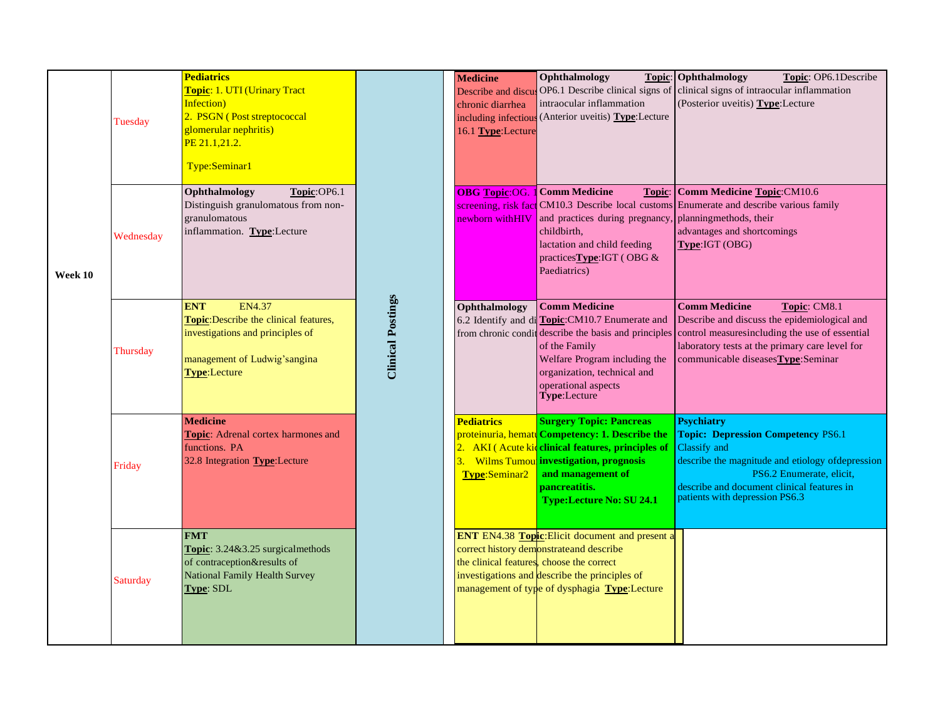|         | Tuesday   | Pediatrics<br>Topic: 1. UTI (Urinary Tract<br>Infection)<br>2. PSGN (Post streptococcal<br>glomerular nephritis)<br>PE 21.1,21.2.<br>Type:Seminar1 |                          | <b>Medicine</b><br>Describe and discu<br>chronic diarrhea<br>including infectiou<br>16.1 Type:Lecture | Ophthalmology<br>OP6.1 Describe clinical signs of<br>intraocular inflammation<br>$\sqrt{\frac{1}{2}}$ (Anterior uveitis) <b>Type</b> : Lecture                                                                                                           | <b>Topic:</b> Ophthalmology<br>Topic: OP6.1Describe<br>clinical signs of intraocular inflammation<br>(Posterior uveitis) Type: Lecture                                                                                                          |
|---------|-----------|----------------------------------------------------------------------------------------------------------------------------------------------------|--------------------------|-------------------------------------------------------------------------------------------------------|----------------------------------------------------------------------------------------------------------------------------------------------------------------------------------------------------------------------------------------------------------|-------------------------------------------------------------------------------------------------------------------------------------------------------------------------------------------------------------------------------------------------|
| Week 10 | Wednesday | Ophthalmology<br>Topic:OP6.1<br>Distinguish granulomatous from non-<br>granulomatous<br>inflammation. Type:Lecture                                 |                          | <b>OBG</b> Topic:OG.<br>newborn with HIV                                                              | 1 Comm Medicine<br>Topic:<br>and practices during pregnancy, planningmethods, their<br>childbirth,<br>lactation and child feeding<br>practices Type: IGT (OBG &<br>Paediatrics)                                                                          | Comm Medicine Topic:CM10.6<br>screening, risk fact CM10.3 Describe local customs Enumerate and describe various family<br>advantages and shortcomings<br>Type:IGT (OBG)                                                                         |
|         | Thursday  | <b>ENT</b><br>EN4.37<br>Topic: Describe the clinical features,<br>investigations and principles of<br>management of Ludwig'sangina<br>Type:Lecture | <b>Clinical Postings</b> | Ophthalmology                                                                                         | <b>Comm Medicine</b><br>6.2 Identify and di Topic: CM10.7 Enumerate and<br>from chronic condit describe the basis and principles<br>of the Family<br>Welfare Program including the<br>organization, technical and<br>operational aspects<br>Type:Lecture | <b>Comm Medicine</b><br>Topic: CM8.1<br>Describe and discuss the epidemiological and<br>control measuresincluding the use of essential<br>laboratory tests at the primary care level for<br>communicable diseasesType:Seminar                   |
|         | Friday    | <b>Medicine</b><br>Topic: Adrenal cortex harmones and<br>functions. PA<br>32.8 Integration <b>Type</b> : Lecture                                   |                          | <b>Pediatrics</b><br>Type:Seminar2                                                                    | <b>Surgery Topic: Pancreas</b><br>proteinuria, hematt Competency: 1. Describe the<br>2. AKI (Acute kid clinical features, principles of<br>3. Wilms Tumou investigation, prognosis<br>and management of<br>pancreatitis.<br>Type:Lecture No: SU 24.1     | <b>Psychiatry</b><br><b>Topic: Depression Competency PS6.1</b><br>Classify and<br>describe the magnitude and etiology of depression<br>PS6.2 Enumerate, elicit,<br>describe and document clinical features in<br>patients with depression PS6.3 |
|         | Saturday  | <b>FMT</b><br>Topic: 3.24&3.25 surgicalmethods<br>of contraception&results of<br><b>National Family Health Survey</b><br>Type: SDL                 |                          |                                                                                                       | <b>ENT</b> EN4.38 <b>Topic</b> : Elicit document and present a<br>correct history demonstrate and describe<br>the clinical features, choose the correct<br>investigations and describe the principles of<br>management of type of dysphagia Type:Lecture |                                                                                                                                                                                                                                                 |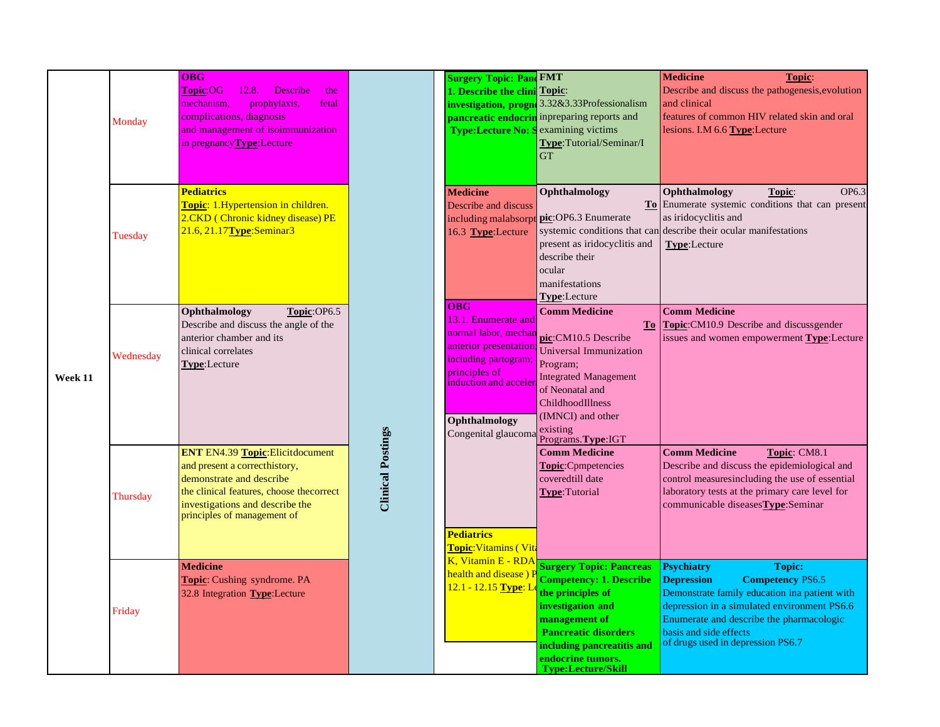|         |           | <b>OBG</b>                                  |                          | <b>Surgery Topic: Pand FMT</b>                |                                                | <b>Medicine</b><br>Topic:                                                                                                                                                                                                                                             |  |  |  |
|---------|-----------|---------------------------------------------|--------------------------|-----------------------------------------------|------------------------------------------------|-----------------------------------------------------------------------------------------------------------------------------------------------------------------------------------------------------------------------------------------------------------------------|--|--|--|
|         |           | <b>Topic:OG</b><br>12.8.<br>Describe<br>the |                          | 1. Describe the clini Topic:                  |                                                | Describe and discuss the pathogenesis, evolution                                                                                                                                                                                                                      |  |  |  |
|         |           | prophylaxis,<br>fetal<br>mechanism.         |                          |                                               | investigation, progne 3.32&3.33Professionalism | and clinical                                                                                                                                                                                                                                                          |  |  |  |
|         | Monday    | complications, diagnosis                    |                          |                                               | pancreatic endocrin inpreparing reports and    | features of common HIV related skin and oral                                                                                                                                                                                                                          |  |  |  |
|         |           | and management of isoimmunization           |                          | <b>Type:Lecture No: S</b>                     | examining victims                              | lesions. I.M 6.6 Type: Lecture                                                                                                                                                                                                                                        |  |  |  |
|         |           | in pregnancy Type: Lecture                  |                          |                                               | Type:Tutorial/Seminar/I                        |                                                                                                                                                                                                                                                                       |  |  |  |
|         |           |                                             |                          |                                               | GT                                             |                                                                                                                                                                                                                                                                       |  |  |  |
|         |           |                                             |                          |                                               |                                                |                                                                                                                                                                                                                                                                       |  |  |  |
|         |           | <b>Pediatrics</b>                           |                          | <b>Medicine</b>                               | Ophthalmology                                  | Ophthalmology<br>Topic:<br>OP6.3                                                                                                                                                                                                                                      |  |  |  |
|         |           | Topic: 1.Hypertension in children.          |                          | Describe and discuss                          |                                                |                                                                                                                                                                                                                                                                       |  |  |  |
|         |           | 2.CKD (Chronic kidney disease) PE           |                          | including malabsorp                           | pic:OP6.3 Enumerate                            | as iridocyclitis and                                                                                                                                                                                                                                                  |  |  |  |
|         | Tuesday   | 21.6, 21.17 Type: Seminar 3                 |                          | 16.3 Type:Lecture                             | systemic conditions that can                   | describe their ocular manifestations                                                                                                                                                                                                                                  |  |  |  |
|         |           |                                             |                          |                                               | present as iridocyclitis and                   | Type:Lecture                                                                                                                                                                                                                                                          |  |  |  |
|         |           |                                             |                          |                                               | describe their                                 |                                                                                                                                                                                                                                                                       |  |  |  |
|         |           |                                             |                          |                                               | ocular                                         |                                                                                                                                                                                                                                                                       |  |  |  |
|         |           |                                             |                          |                                               | manifestations                                 |                                                                                                                                                                                                                                                                       |  |  |  |
|         |           |                                             |                          |                                               | Type:Lecture                                   | To Enumerate systemic conditions that can present<br><b>Comm Medicine</b><br><b>To Topic:</b> CM10.9 Describe and discussgender<br>issues and women empowerment Type: Lecture<br><b>Comm Medicine</b><br>Topic: CM8.1<br>Describe and discuss the epidemiological and |  |  |  |
|         |           | Ophthalmology<br>Topic:OP6.5                |                          | <b>OBG</b>                                    | <b>Comm Medicine</b>                           |                                                                                                                                                                                                                                                                       |  |  |  |
|         | Wednesday | Describe and discuss the angle of the       |                          | 13.1. Enumerate and<br>normal labor, mechan   |                                                |                                                                                                                                                                                                                                                                       |  |  |  |
|         |           | anterior chamber and its                    |                          |                                               | pic:CM10.5 Describe                            |                                                                                                                                                                                                                                                                       |  |  |  |
|         |           | clinical correlates                         |                          | anterior presentation<br>including partogram; | Universal Immunization                         |                                                                                                                                                                                                                                                                       |  |  |  |
|         |           | Type:Lecture                                |                          | principles of                                 | Program;                                       |                                                                                                                                                                                                                                                                       |  |  |  |
| Week 11 |           |                                             |                          | induction and accele                          | <b>Integrated Management</b>                   |                                                                                                                                                                                                                                                                       |  |  |  |
|         |           |                                             |                          |                                               | of Neonatal and                                |                                                                                                                                                                                                                                                                       |  |  |  |
|         |           |                                             |                          |                                               | ChildhoodIllness                               |                                                                                                                                                                                                                                                                       |  |  |  |
|         |           |                                             |                          | Ophthalmology                                 | (IMNCI) and other                              |                                                                                                                                                                                                                                                                       |  |  |  |
|         |           |                                             | <b>Clinical Postings</b> | Congenital glaucoma                           | existing<br>Programs.Type:IGT                  |                                                                                                                                                                                                                                                                       |  |  |  |
|         |           | ENT EN4.39 Topic: Elicitdocument            |                          |                                               | <b>Comm Medicine</b>                           |                                                                                                                                                                                                                                                                       |  |  |  |
|         |           | and present a correcthistory,               |                          |                                               | Topic:Cpmpetencies                             |                                                                                                                                                                                                                                                                       |  |  |  |
|         |           | demonstrate and describe                    |                          |                                               | coveredtill date                               | control measuresincluding the use of essential                                                                                                                                                                                                                        |  |  |  |
|         | Thursday  | the clinical features, choose the correct   |                          |                                               | <b>Type:</b> Tutorial                          | laboratory tests at the primary care level for                                                                                                                                                                                                                        |  |  |  |
|         |           | investigations and describe the             |                          |                                               |                                                | communicable diseasesType:Seminar                                                                                                                                                                                                                                     |  |  |  |
|         |           | principles of management of                 |                          |                                               |                                                |                                                                                                                                                                                                                                                                       |  |  |  |
|         |           |                                             |                          | <b>Pediatrics</b>                             |                                                |                                                                                                                                                                                                                                                                       |  |  |  |
|         |           |                                             |                          | Topic: Vitamins (Vita                         |                                                |                                                                                                                                                                                                                                                                       |  |  |  |
|         |           | <b>Medicine</b>                             |                          | K, Vitamin E - RDA                            | <b>Surgery Topic: Pancreas</b>                 | <b>Psychiatry</b><br><b>Topic:</b>                                                                                                                                                                                                                                    |  |  |  |
|         |           | <b>Topic:</b> Cushing syndrome. PA          |                          | health and disease) P                         | <b>Competency: 1. Describe</b>                 | <b>Competency PS6.5</b><br><b>Depression</b>                                                                                                                                                                                                                          |  |  |  |
|         |           | 32.8 Integration Type:Lecture               |                          | 12.1 - 12.15 Type: I                          | the principles of                              | Demonstrate family education ina patient with                                                                                                                                                                                                                         |  |  |  |
|         | Friday    |                                             |                          |                                               | investigation and                              | depression in a simulated environment PS6.6                                                                                                                                                                                                                           |  |  |  |
|         |           |                                             |                          |                                               | management of                                  | Enumerate and describe the pharmacologic                                                                                                                                                                                                                              |  |  |  |
|         |           |                                             |                          |                                               | <b>Pancreatic disorders</b>                    | basis and side effects                                                                                                                                                                                                                                                |  |  |  |
|         |           |                                             |                          |                                               | including pancreatitis and                     | of drugs used in depression PS6.7                                                                                                                                                                                                                                     |  |  |  |
|         |           |                                             |                          |                                               | endocrine tumors.                              |                                                                                                                                                                                                                                                                       |  |  |  |
|         |           |                                             |                          |                                               | <b>Type:Lecture/Skill</b>                      |                                                                                                                                                                                                                                                                       |  |  |  |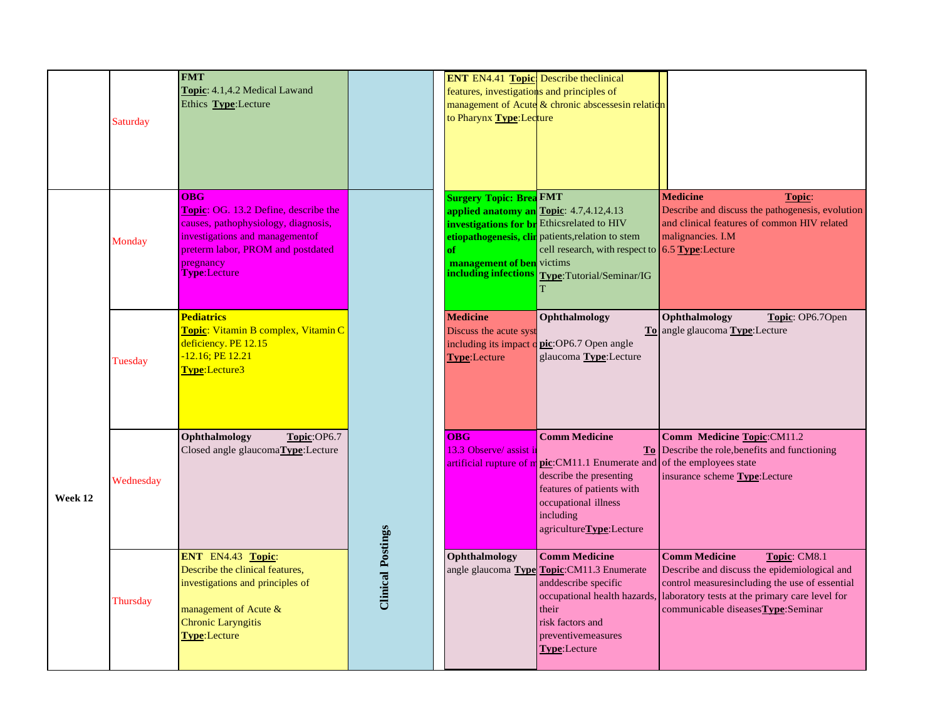|         |           | <b>FMT</b>                                                           |                          | <b>ENT</b> EN4.41 <b>Topic</b> Describe theclinical                               |                                                                                                         |                                                                                                                    |
|---------|-----------|----------------------------------------------------------------------|--------------------------|-----------------------------------------------------------------------------------|---------------------------------------------------------------------------------------------------------|--------------------------------------------------------------------------------------------------------------------|
|         |           | Topic: 4.1,4.2 Medical Lawand<br>Ethics Type:Lecture                 |                          | features, investigations and principles of                                        | management of Acute $\&$ chronic abscesses in relation                                                  |                                                                                                                    |
|         | Saturday  |                                                                      |                          | to Pharynx Type: Lecture                                                          |                                                                                                         |                                                                                                                    |
|         |           |                                                                      |                          |                                                                                   |                                                                                                         |                                                                                                                    |
|         |           |                                                                      |                          |                                                                                   |                                                                                                         |                                                                                                                    |
|         |           |                                                                      |                          |                                                                                   |                                                                                                         |                                                                                                                    |
|         |           | <b>OBG</b><br><b>Topic: OG. 13.2 Define, describe the</b>            |                          | <b>Surgery Topic: Brea FMT</b><br><b>applied anatomy an Topic</b> : 4.7,4.12,4.13 |                                                                                                         | <b>Medicine</b><br>Topic:<br>Describe and discuss the pathogenesis, evolution                                      |
|         |           | causes, pathophysiology, diagnosis,                                  |                          |                                                                                   | <b>investigations for br</b> Ethicsrelated to HIV                                                       | and clinical features of common HIV related                                                                        |
|         | Monday    | investigations and managementof<br>preterm labor, PROM and postdated |                          | of                                                                                | etiopathogenesis, clin patients, relation to stem<br>cell research, with respect to $6.5$ Type: Lecture | malignancies. I.M                                                                                                  |
|         |           | pregnancy<br>Type:Lecture                                            |                          | management of ben victims                                                         |                                                                                                         |                                                                                                                    |
|         |           |                                                                      |                          | including infections                                                              | Type:Tutorial/Seminar/IG                                                                                |                                                                                                                    |
|         |           |                                                                      |                          |                                                                                   |                                                                                                         |                                                                                                                    |
|         |           | <b>Pediatrics</b><br>Topic: Vitamin B complex, Vitamin C             |                          | <b>Medicine</b><br>Discuss the acute syst                                         | Ophthalmology                                                                                           | Ophthalmology<br>Topic: OP6.7Open<br>To angle glaucoma Type: Lecture                                               |
|         | Tuesday   | deficiency. PE 12.15<br>-12.16; PE 12.21                             |                          | including its impact<br><b>Type:Lecture</b>                                       | pic:OP6.7 Open angle<br>glaucoma Type:Lecture                                                           |                                                                                                                    |
|         |           | Type:Lecture3                                                        |                          |                                                                                   |                                                                                                         |                                                                                                                    |
|         |           |                                                                      |                          |                                                                                   |                                                                                                         |                                                                                                                    |
|         |           |                                                                      |                          |                                                                                   |                                                                                                         |                                                                                                                    |
|         |           | Ophthalmology<br>Topic:OP6.7                                         |                          | OBG                                                                               | <b>Comm Medicine</b>                                                                                    | Comm Medicine Topic:CM11.2                                                                                         |
|         |           | Closed angle glaucoma <b>Type</b> :Lecture                           |                          | 13.3 Observe/ assist in                                                           | artificial rupture of m pic: CM11.1 Enumerate and                                                       | To Describe the role, benefits and functioning<br>of the employees state                                           |
|         | Wednesday |                                                                      |                          |                                                                                   | describe the presenting                                                                                 | insurance scheme Type:Lecture                                                                                      |
| Week 12 |           |                                                                      |                          |                                                                                   | features of patients with<br>occupational illness                                                       |                                                                                                                    |
|         |           |                                                                      |                          |                                                                                   | including<br>agricultureType:Lecture                                                                    |                                                                                                                    |
|         |           |                                                                      |                          |                                                                                   |                                                                                                         |                                                                                                                    |
|         |           | ENT EN4.43 Topic:<br>Describe the clinical features,                 | <b>Clinical Postings</b> | Ophthalmology                                                                     | <b>Comm Medicine</b><br>angle glaucoma Type Topic: CM11.3 Enumerate                                     | <b>Comm Medicine</b><br>Topic: CM8.1<br>Describe and discuss the epidemiological and                               |
|         | Thursday  | investigations and principles of                                     |                          |                                                                                   | anddescribe specific                                                                                    | control measuresincluding the use of essential                                                                     |
|         |           | management of Acute $\&$                                             |                          |                                                                                   | their                                                                                                   | occupational health hazards, laboratory tests at the primary care level for<br>communicable diseases Type: Seminar |
|         |           | <b>Chronic Laryngitis</b>                                            |                          |                                                                                   | risk factors and                                                                                        |                                                                                                                    |
|         |           | <b>Type:</b> Lecture                                                 |                          |                                                                                   | preventivemeasures<br>Type:Lecture                                                                      |                                                                                                                    |
|         |           |                                                                      |                          |                                                                                   |                                                                                                         |                                                                                                                    |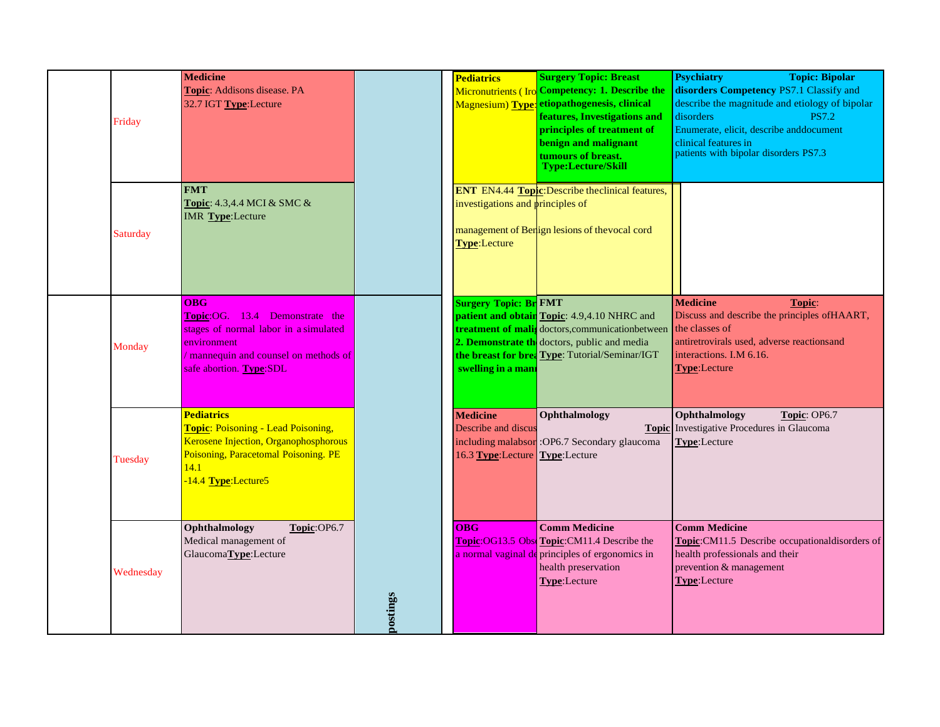| Friday    | <b>Medicine</b><br>Topic: Addisons disease. PA<br>32.7 IGT Type: Lecture                                                                                                       |          | <b>Pediatrics</b>                                                        | <b>Surgery Topic: Breast</b><br>Micronutrients (Iro Competency: 1. Describe the<br>Magnesium) Type: etiopathogenesis, clinical<br>features, Investigations and<br>principles of treatment of<br>benign and malignant<br>tumours of breast.<br><b>Type:Lecture/Skill</b> | <b>Psychiatry</b><br><b>Topic: Bipolar</b><br>disorders Competency PS7.1 Classify and<br>describe the magnitude and etiology of bipolar<br>disorders<br><b>PS7.2</b><br>Enumerate, elicit, describe anddocument<br>clinical features in<br>patients with bipolar disorders PS7.3 |
|-----------|--------------------------------------------------------------------------------------------------------------------------------------------------------------------------------|----------|--------------------------------------------------------------------------|-------------------------------------------------------------------------------------------------------------------------------------------------------------------------------------------------------------------------------------------------------------------------|----------------------------------------------------------------------------------------------------------------------------------------------------------------------------------------------------------------------------------------------------------------------------------|
| Saturday  | <b>FMT</b><br><b>Topic:</b> 4.3,4.4 MCI $\&$ SMC $\&$<br>IMR Type:Lecture                                                                                                      |          | investigations and principles of<br><b>Type:Lecture</b>                  | <b>ENT</b> EN4.44 <b>Topic</b> : Describe theclinical features,<br>management of Benign lesions of the vocal cord                                                                                                                                                       |                                                                                                                                                                                                                                                                                  |
| Monday    | <b>OBG</b><br>Topic:OG. 13.4 Demonstrate the<br>stages of normal labor in a simulated<br>environment<br>mannequin and counsel on methods of<br>safe abortion. Type:SDL         |          | <b>Surgery Topic: Br FMT</b><br>swelling in a mani                       | <b>patient and obtain Topic:</b> 4.9,4.10 NHRC and<br><b>treatment of malis</b> doctors, communication between the classes of<br>2. Demonstrate the doctors, public and media<br>the breast for brea Type: Tutorial/Seminar/IGT                                         | <b>Medicine</b><br>Topic:<br>Discuss and describe the principles of HAART,<br>antiretrovirals used, adverse reactionsand<br>interactions. I.M 6.16.<br>Type:Lecture                                                                                                              |
| Tuesday   | <b>Pediatrics</b><br><b>Topic: Poisoning - Lead Poisoning,</b><br>Kerosene Injection, Organophosphorous<br>Poisoning, Paracetomal Poisoning. PE<br>14.1<br>-14.4 Type:Lecture5 |          | <b>Medicine</b><br>Describe and discus<br>16.3 Type:Lecture Type:Lecture | Ophthalmology<br>including malabsor : OP6.7 Secondary glaucoma                                                                                                                                                                                                          | Topic: OP6.7<br>Ophthalmology<br><b>Topic</b> Investigative Procedures in Glaucoma<br>Type:Lecture                                                                                                                                                                               |
| Wednesday | Ophthalmology<br>Topic:OP6.7<br>Medical management of<br>GlaucomaType:Lecture                                                                                                  | postings | $\overline{\text{O}}$ <sub>O</sub> BG                                    | <b>Comm Medicine</b><br>Topic: OG13.5 Obs Topic: CM11.4 Describe the<br>a normal vaginal de principles of ergonomics in<br>health preservation<br>Type:Lecture                                                                                                          | <b>Comm Medicine</b><br>Topic:CM11.5 Describe occupationaldisorders of<br>health professionals and their<br>prevention & management<br>Type:Lecture                                                                                                                              |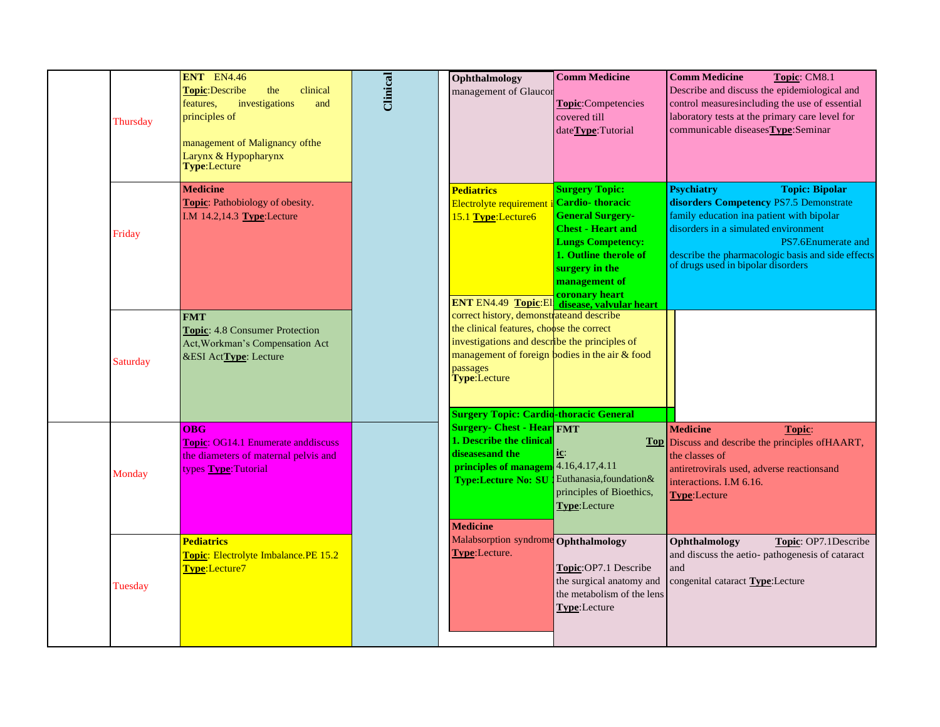| Thursday | <b>ENT</b> EN4.46<br><b>Topic:Describe</b><br>the<br>clinical<br>investigations<br>features,<br>and<br>principles of<br>management of Malignancy of the<br>Larynx & Hypopharynx<br><b>Type:Lecture</b> | <b>Clinical</b> | Ophthalmology<br>management of Glaucor                                                                                                                                                                                                                                 | <b>Comm Medicine</b><br>Topic:Competencies<br>covered till<br>dateType:Tutorial                                                                                                                                                                                         | <b>Comm Medicine</b><br>Topic: CM8.1<br>Describe and discuss the epidemiological and<br>control measuresincluding the use of essential<br>laboratory tests at the primary care level for<br>communicable diseases Type: Seminar                                                            |
|----------|--------------------------------------------------------------------------------------------------------------------------------------------------------------------------------------------------------|-----------------|------------------------------------------------------------------------------------------------------------------------------------------------------------------------------------------------------------------------------------------------------------------------|-------------------------------------------------------------------------------------------------------------------------------------------------------------------------------------------------------------------------------------------------------------------------|--------------------------------------------------------------------------------------------------------------------------------------------------------------------------------------------------------------------------------------------------------------------------------------------|
| Friday   | <b>Medicine</b><br>Topic: Pathobiology of obesity.<br>I.M 14.2,14.3 Type:Lecture                                                                                                                       |                 | <b>Pediatrics</b><br>Electrolyte requirement<br>15.1 Type:Lecture6                                                                                                                                                                                                     | <b>Surgery Topic:</b><br><b>Cardio-thoracic</b><br><b>General Surgery-</b><br><b>Chest - Heart and</b><br><b>Lungs Competency:</b><br>1. Outline therole of<br>surgery in the<br>management of<br>coronary heart<br><b>ENT EN4.49 Topic: El disease, valvular heart</b> | <b>Psychiatry</b><br><b>Topic: Bipolar</b><br>disorders Competency PS7.5 Demonstrate<br>family education ina patient with bipolar<br>disorders in a simulated environment<br>PS7.6Enumerate and<br>describe the pharmacologic basis and side effects<br>of drugs used in bipolar disorders |
| Saturday | <b>FMT</b><br>Topic: 4.8 Consumer Protection<br>Act, Workman's Compensation Act<br>&ESI ActType: Lecture                                                                                               |                 | correct history, demonstrate and describe<br>the clinical features, choose the correct<br>investigations and describe the principles of<br>management of foreign bodies in the air & food<br>passages<br>Type:Lecture<br><b>Surgery Topic: Cardio-thoracic General</b> |                                                                                                                                                                                                                                                                         |                                                                                                                                                                                                                                                                                            |
| Monday   | OBG<br><b>Topic: OG14.1 Enumerate anddiscuss</b><br>the diameters of maternal pelvis and<br>types Type: Tutorial                                                                                       |                 | <b>Surgery- Chest - Hear FMT</b><br>1. Describe the clinical<br>diseasesand the<br>principles of managem 4.16,4.17,4.11<br><b>Type:Lecture No: SU</b><br><b>Medicine</b>                                                                                               | $i$ c:<br>Euthanasia, foundation &<br>principles of Bioethics,<br>Type:Lecture                                                                                                                                                                                          | <b>Medicine</b><br>Topic:<br>Top Discuss and describe the principles of HAART,<br>the classes of<br>antiretrovirals used, adverse reactionsand<br>interactions. I.M 6.16.<br><b>Type:</b> Lecture                                                                                          |
| Tuesday  | <b>Pediatrics</b><br>Topic: Electrolyte Imbalance.PE 15.2<br>Type:Lecture7                                                                                                                             |                 | Malabsorption syndrome Ophthalmology<br>Type:Lecture.                                                                                                                                                                                                                  | Topic:OP7.1 Describe<br>the surgical anatomy and<br>the metabolism of the lens<br>Type:Lecture                                                                                                                                                                          | Ophthalmology<br>Topic: OP7.1Describe<br>and discuss the aetio- pathogenesis of cataract<br>and<br>congenital cataract Type:Lecture                                                                                                                                                        |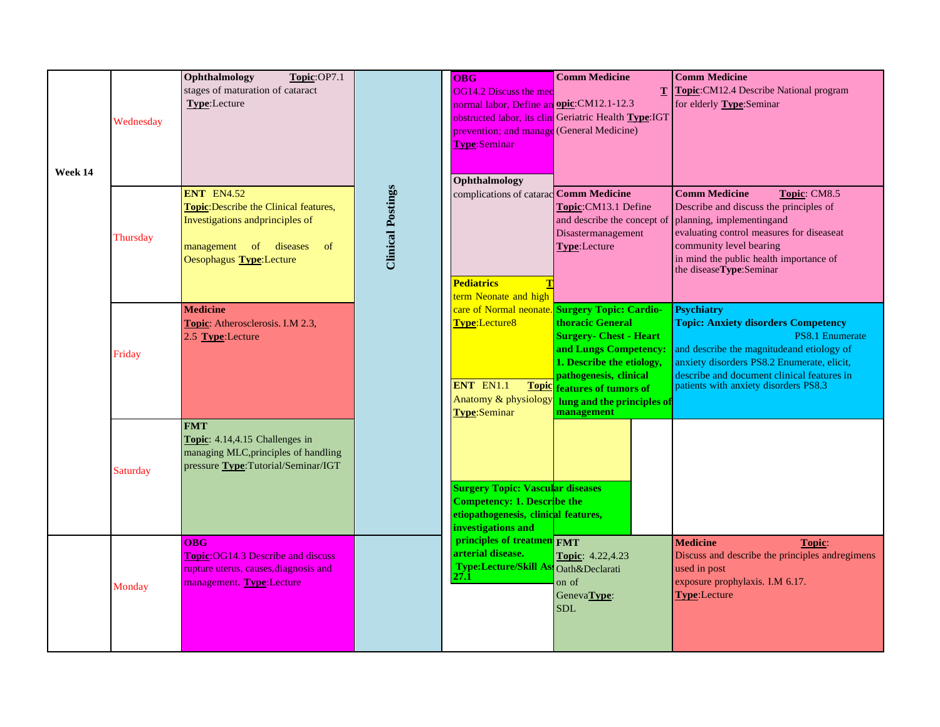| Week 14 | Wednesday | Ophthalmology<br>Topic:OP7.1<br>stages of maturation of cataract<br>Type:Lecture                                                                                      |                          | OBG<br><b>OG14.2 Discuss the med</b><br>normal labor, Define an opic: CM12.1-12.3<br>prevention; and manage (General Medicine)<br><b>Type:Seminar</b><br>Ophthalmology | <b>Comm Medicine</b><br>T.<br>obstructed labor, its clini Geriatric Health Type:IGT                                                                                                                                                                      | <b>Comm Medicine</b><br>Topic:CM12.4 Describe National program<br>for elderly Type:Seminar                                                                                                                                                                                   |  |
|---------|-----------|-----------------------------------------------------------------------------------------------------------------------------------------------------------------------|--------------------------|------------------------------------------------------------------------------------------------------------------------------------------------------------------------|----------------------------------------------------------------------------------------------------------------------------------------------------------------------------------------------------------------------------------------------------------|------------------------------------------------------------------------------------------------------------------------------------------------------------------------------------------------------------------------------------------------------------------------------|--|
|         | Thursday  | <b>ENT EN4.52</b><br>Topic: Describe the Clinical features,<br>Investigations and principles of<br>management of diseases<br><sub>of</sub><br>Oesophagus Type:Lecture | <b>Clinical Postings</b> | complications of catarac Comm Medicine<br><b>Pediatrics</b><br>term Neonate and high                                                                                   | Topic:CM13.1 Define<br>and describe the concept of<br>Disastermanagement<br>Type:Lecture                                                                                                                                                                 | Topic: CM8.5<br><b>Comm Medicine</b><br>Describe and discuss the principles of<br>planning, implementingand<br>evaluating control measures for diseaseat<br>community level bearing<br>in mind the public health importance of<br>the diseaseType:Seminar                    |  |
|         | Friday    | <b>Medicine</b><br><b>Topic:</b> Atherosclerosis. I.M 2.3,<br>2.5 Type:Lecture                                                                                        |                          | Type:Lecture8<br>ENT EN1.1<br><b>Topic</b><br>Anatomy & physiology<br><b>Type:Seminar</b>                                                                              | care of Normal neonate. Surgery Topic: Cardio-<br>thoracic General<br><b>Surgery- Chest - Heart</b><br>and Lungs Competency:<br>1. Describe the etiology,<br>pathogenesis, clinical<br>features of tumors of<br>lung and the principles of<br>management | <b>Psychiatry</b><br><b>Topic: Anxiety disorders Competency</b><br><b>PS8.1 Enumerate</b><br>and describe the magnitude and etiology of<br>anxiety disorders PS8.2 Enumerate, elicit,<br>describe and document clinical features in<br>patients with anxiety disorders PS8.3 |  |
|         | Saturday  | <b>FMT</b><br><b>Topic:</b> 4.14,4.15 Challenges in<br>managing MLC, principles of handling<br>pressure Type: Tutorial/Seminar/IGT                                    |                          | <b>Surgery Topic: Vascular diseases</b><br><b>Competency: 1. Describe the</b><br>etiopathogenesis, clinical features,<br>investigations and                            |                                                                                                                                                                                                                                                          |                                                                                                                                                                                                                                                                              |  |
|         | Monday    | <b>OBG</b><br><b>Topic: OG14.3 Describe and discuss</b><br>rupture uterus, causes, diagnosis and<br>management. Type:Lecture                                          |                          | principles of treatmen FMT<br>arterial disease.<br>Type:Lecture/Skill Ass Oath&Declarati<br>27.1                                                                       | <b>Topic: 4.22,4.23</b><br>on of<br>GenevaType:<br><b>SDL</b>                                                                                                                                                                                            | <b>Medicine</b><br>Topic:<br>Discuss and describe the principles andregimens<br>used in post<br>exposure prophylaxis. I.M 6.17.<br><b>Type:</b> Lecture                                                                                                                      |  |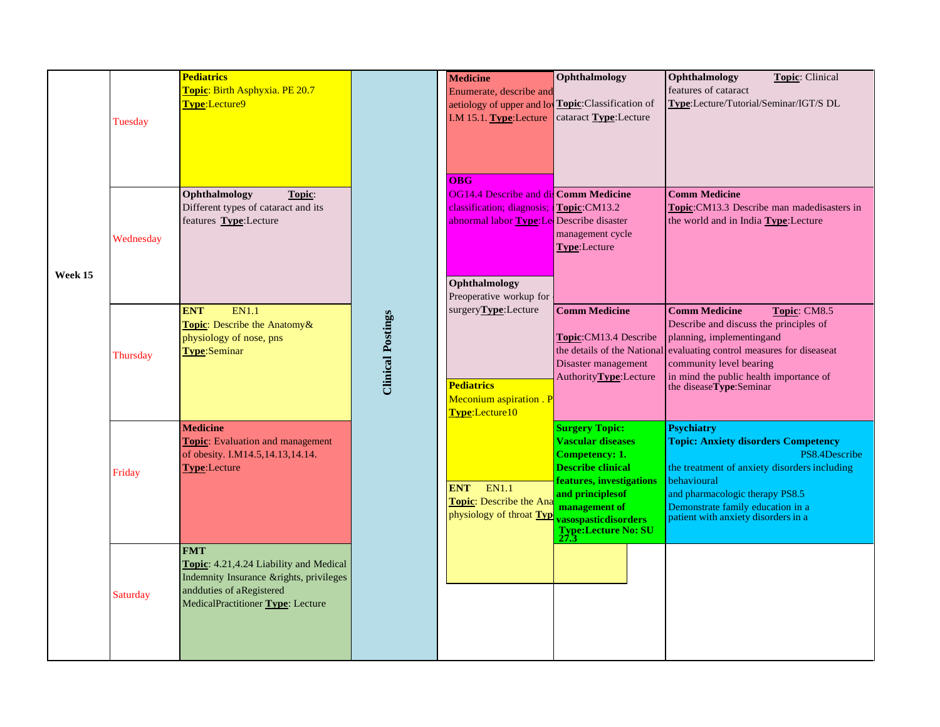|         | Tuesday   | <b>Pediatrics</b><br>Topic: Birth Asphyxia. PE 20.7<br>Type:Lecture9                                                                                              |                          | <b>Medicine</b><br>Enumerate, describe and<br>aetiology of upper and lo<br>I.M 15.1. Type:Lecture<br>OBG                                                                               | Ophthalmology<br>Topic:Classification of<br>cataract Type:Lecture                                                                                                                                                       | Ophthalmology<br><b>Topic: Clinical</b><br>features of cataract<br>Type:Lecture/Tutorial/Seminar/IGT/S DL                                                                                                                                                      |
|---------|-----------|-------------------------------------------------------------------------------------------------------------------------------------------------------------------|--------------------------|----------------------------------------------------------------------------------------------------------------------------------------------------------------------------------------|-------------------------------------------------------------------------------------------------------------------------------------------------------------------------------------------------------------------------|----------------------------------------------------------------------------------------------------------------------------------------------------------------------------------------------------------------------------------------------------------------|
| Week 15 | Wednesday | Topic:<br>Ophthalmology<br>Different types of cataract and its<br>features Type:Lecture                                                                           |                          | <b>OG14.4 Describe and dil Comm Medicine</b><br>classification; diagnosis; Topic:CM13.2<br>abnormal labor <b>Type:Le</b> Describe disaster<br>Ophthalmology<br>Preoperative workup for | management cycle<br>Type:Lecture                                                                                                                                                                                        | <b>Comm Medicine</b><br>Topic: CM13.3 Describe man madedisasters in<br>the world and in India Type:Lecture                                                                                                                                                     |
|         | Thursday  | <b>EN1.1</b><br><b>ENT</b><br>Topic: Describe the Anatomy &<br>physiology of nose, pns<br>Type:Seminar                                                            | <b>Clinical Postings</b> | surgery <b>Type</b> :Lecture<br><b>Pediatrics</b><br>Meconium aspiration . P<br>Type:Lecture10                                                                                         | <b>Comm Medicine</b><br>Topic:CM13.4 Describe<br>the details of the National<br>Disaster management<br>AuthorityType:Lecture                                                                                            | <b>Comm Medicine</b><br>Topic: CM8.5<br>Describe and discuss the principles of<br>planning, implementingand<br>evaluating control measures for diseaseat<br>community level bearing<br>in mind the public health importance of<br>the diseaseType:Seminar      |
|         | Friday    | <b>Medicine</b><br><b>Topic:</b> Evaluation and management<br>of obesity. I.M14.5,14.13,14.14.<br><b>Type:Lecture</b>                                             |                          | <b>EN1.1</b><br><b>ENT</b><br><b>Topic:</b> Describe the Ana<br>physiology of throat Typ                                                                                               | <b>Surgery Topic:</b><br><b>Vascular diseases</b><br><b>Competency: 1.</b><br><b>Describe clinical</b><br>features, investigations<br>and principles of<br>management of<br>vasospasticdisorders<br>Type:Lecture No: SU | <b>Psychiatry</b><br><b>Topic: Anxiety disorders Competency</b><br>PS8.4Describe<br>the treatment of anxiety disorders including<br>behavioural<br>and pharmacologic therapy PS8.5<br>Demonstrate family education in a<br>patient with anxiety disorders in a |
|         | Saturday  | <b>FMT</b><br>Topic: 4.21,4.24 Liability and Medical<br>Indemnity Insurance & rights, privileges<br>andduties of aRegistered<br>MedicalPractitioner Type: Lecture |                          |                                                                                                                                                                                        |                                                                                                                                                                                                                         |                                                                                                                                                                                                                                                                |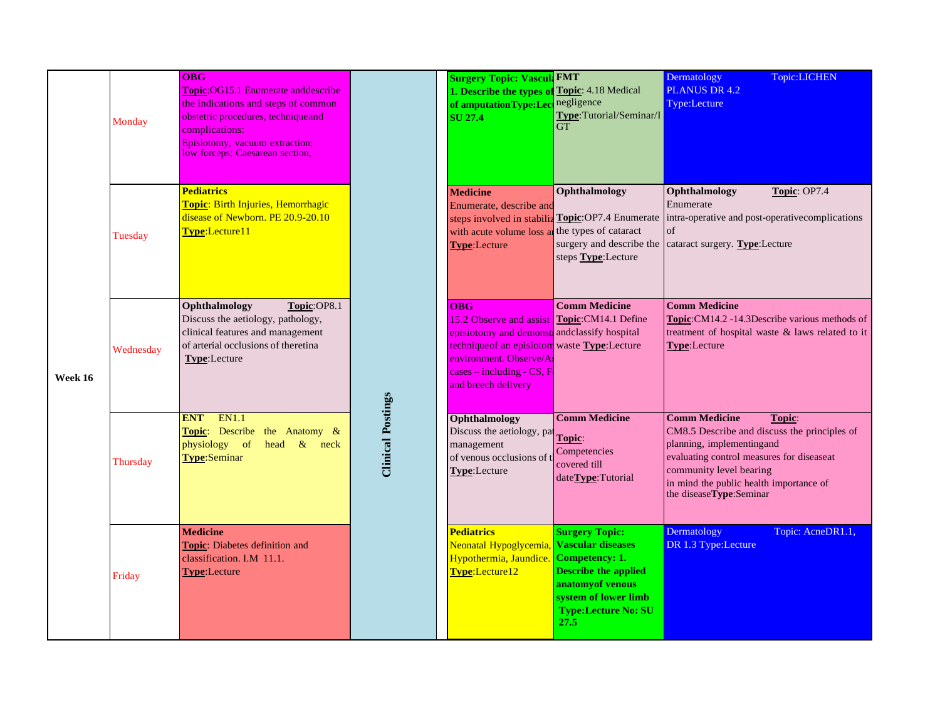| Week 16 | Monday    | <b>OBG</b><br><b>Topic:OG15.1 Enumerate and describe</b><br>the indications and steps of common<br>obstetric procedures, technique and<br>complications:<br>Episiotomy, vacuum extraction;<br>low forceps; Caesarean section, |                          | <b>Surgery Topic: Vascul: FMT</b><br>1. Describe the types of<br>of amputationType:Lect<br><b>SU 27.4</b>                                                                                                                                   | Topic: 4.18 Medical<br>negligence<br>Type: Tutorial/Seminar/I<br>GT                                                                                              | Dermatology<br>Topic:LICHEN<br><b>PLANUS DR 4.2</b><br>Type:Lecture                                                                                                                                                                                       |
|---------|-----------|-------------------------------------------------------------------------------------------------------------------------------------------------------------------------------------------------------------------------------|--------------------------|---------------------------------------------------------------------------------------------------------------------------------------------------------------------------------------------------------------------------------------------|------------------------------------------------------------------------------------------------------------------------------------------------------------------|-----------------------------------------------------------------------------------------------------------------------------------------------------------------------------------------------------------------------------------------------------------|
|         | Tuesday   | <b>Pediatrics</b><br>Topic: Birth Injuries, Hemorrhagic<br>disease of Newborn. PE 20.9-20.10<br>Type:Lecture11                                                                                                                |                          | <b>Medicine</b><br>Enumerate, describe and<br>with acute volume loss are<br><b>Type:Lecture</b>                                                                                                                                             | Ophthalmology<br>steps involved in stabiliz Topic: OP7.4 Enumerate<br>the types of cataract<br>surgery and describe the<br>steps Type:Lecture                    | Ophthalmology<br>Topic: OP7.4<br>Enumerate<br>intra-operative and post-operative complications<br>of<br>cataract surgery. Type:Lecture                                                                                                                    |
|         | Wednesday | Ophthalmology<br>Topic:OP8.1<br>Discuss the aetiology, pathology,<br>clinical features and management<br>of arterial occlusions of theretina<br>Type:Lecture                                                                  | <b>Clinical Postings</b> | <b>OBG</b><br>15.2 Observe and assist Topic: CM14.1 Define<br>episiotomy and demonst andclassify hospital<br>technique of an episiotom waste Type: Lecture<br>environment. Observe/As<br>$cases - including - CS, F$<br>and breech delivery | <b>Comm Medicine</b>                                                                                                                                             | <b>Comm Medicine</b><br>Topic: CM14.2 -14.3Describe various methods of<br>treatment of hospital waste & laws related to it<br>Type:Lecture                                                                                                                |
|         | Thursday  | <b>EN1.1</b><br><b>ENT</b><br>Topic: Describe the Anatomy &<br>physiology of<br>head & neck<br>Type:Seminar                                                                                                                   |                          | Ophthalmology<br>Discuss the aetiology, pat<br>management<br>of venous occlusions of t<br>Type:Lecture                                                                                                                                      | <b>Comm Medicine</b><br>Topic:<br>Competencies<br>covered till<br>dateType:Tutorial                                                                              | <b>Comm Medicine</b><br>Topic:<br>CM8.5 Describe and discuss the principles of<br>planning, implementingand<br>evaluating control measures for diseaseat<br>community level bearing<br>in mind the public health importance of<br>the diseaseType:Seminar |
|         | Friday    | <b>Medicine</b><br>Topic: Diabetes definition and<br>classification. I.M 11.1.<br><b>Type:</b> Lecture                                                                                                                        |                          | <b>Pediatrics</b><br>Neonatal Hypoglycemia, Vascular diseases<br>Hypothermia, Jaundice.<br>Type:Lecture12                                                                                                                                   | <b>Surgery Topic:</b><br><b>Competency: 1.</b><br><b>Describe the applied</b><br>anatomy of venous<br>system of lower limb<br><b>Type:Lecture No: SU</b><br>27.5 | Dermatology<br>Topic: AcneDR1.1,<br>DR 1.3 Type:Lecture                                                                                                                                                                                                   |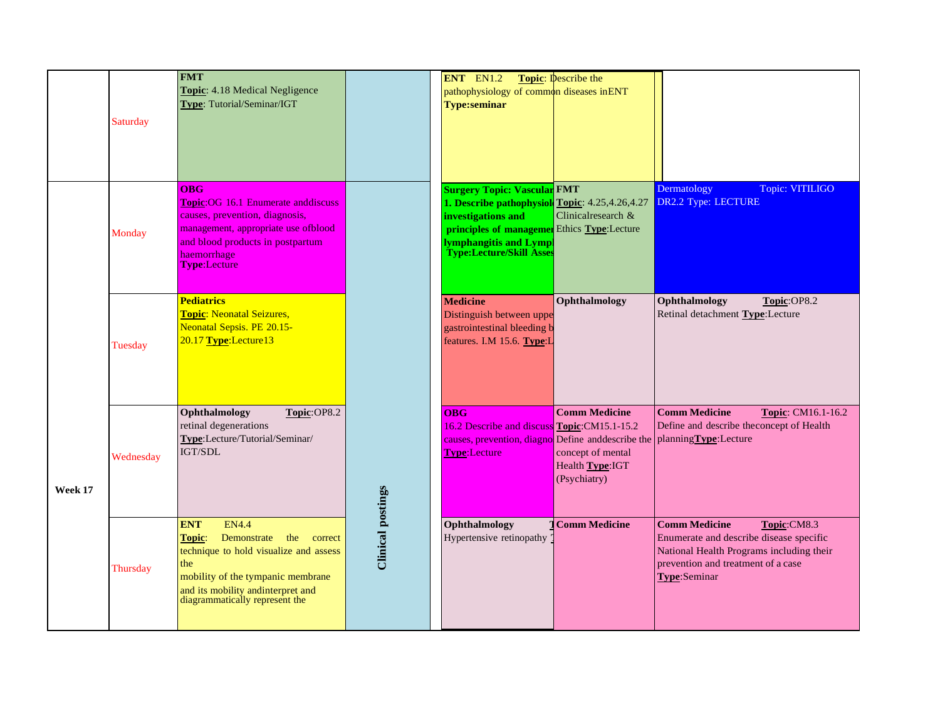|         | Saturday  | <b>FMT</b><br>Topic: 4.18 Medical Negligence<br>Type: Tutorial/Seminar/IGT                                                                                                                                                    |                          | ENT EN1.2<br>pathophysiology of common diseases in ENT<br><b>Type:seminar</b>                                                                                                                                                  | <b>Topic:</b> Describe the                                                    |                                                                                                                                                                                  |
|---------|-----------|-------------------------------------------------------------------------------------------------------------------------------------------------------------------------------------------------------------------------------|--------------------------|--------------------------------------------------------------------------------------------------------------------------------------------------------------------------------------------------------------------------------|-------------------------------------------------------------------------------|----------------------------------------------------------------------------------------------------------------------------------------------------------------------------------|
|         | Monday    | <b>OBG</b><br>Topic: OG 16.1 Enumerate anddiscuss<br>causes, prevention, diagnosis,<br>management, appropriate use ofblood<br>and blood products in postpartum<br>haemorrhage<br>Type:Lecture                                 |                          | <b>Surgery Topic: Vascular FMT</b><br>1. Describe pathophysiol Topic: 4.25,4.26,4.27<br>investigations and<br><b>principles of managemen</b> Ethics <b>Type</b> :Lecture<br>lymphangitis and Lympl<br>Type:Lecture/Skill Asses | Clinicalresearch &                                                            | Dermatology<br>Topic: VITILIGO<br>DR2.2 Type: LECTURE                                                                                                                            |
|         | Tuesday   | <b>Pediatrics</b><br><b>Topic: Neonatal Seizures,</b><br>Neonatal Sepsis. PE 20.15-<br>20.17 Type:Lecture13                                                                                                                   |                          | <b>Medicine</b><br>Distinguish between uppe<br>gastrointestinal bleeding b<br>features. I.M 15.6. Type:L                                                                                                                       | Ophthalmology                                                                 | Ophthalmology<br>Topic:OP8.2<br>Retinal detachment Type:Lecture                                                                                                                  |
| Week 17 | Wednesday | Ophthalmology<br>Topic:OP8.2<br>retinal degenerations<br>Type:Lecture/Tutorial/Seminar/<br>IGT/SDL                                                                                                                            |                          | <b>OBG</b><br>16.2 Describe and discuss Topic: CM15.1-15.2<br>causes, prevention, diagno Define and describe the planning Type: Lecture<br><b>Type:Lecture</b>                                                                 | <b>Comm Medicine</b><br>concept of mental<br>Health Type: IGT<br>(Psychiatry) | <b>Comm Medicine</b><br>Topic: CM16.1-16.2<br>Define and describe the concept of Health                                                                                          |
|         | Thursday  | <b>EN4.4</b><br><b>ENT</b><br>Topic:<br>Demonstrate the correct<br>technique to hold visualize and assess<br>the<br>mobility of the tympanic membrane<br>and its mobility and interpret and<br>diagrammatically represent the | <b>Clinical postings</b> | Ophthalmology<br>Hypertensive retinopathy                                                                                                                                                                                      | <b>Comm Medicine</b>                                                          | <b>Comm Medicine</b><br>Topic:CM8.3<br>Enumerate and describe disease specific<br>National Health Programs including their<br>prevention and treatment of a case<br>Type:Seminar |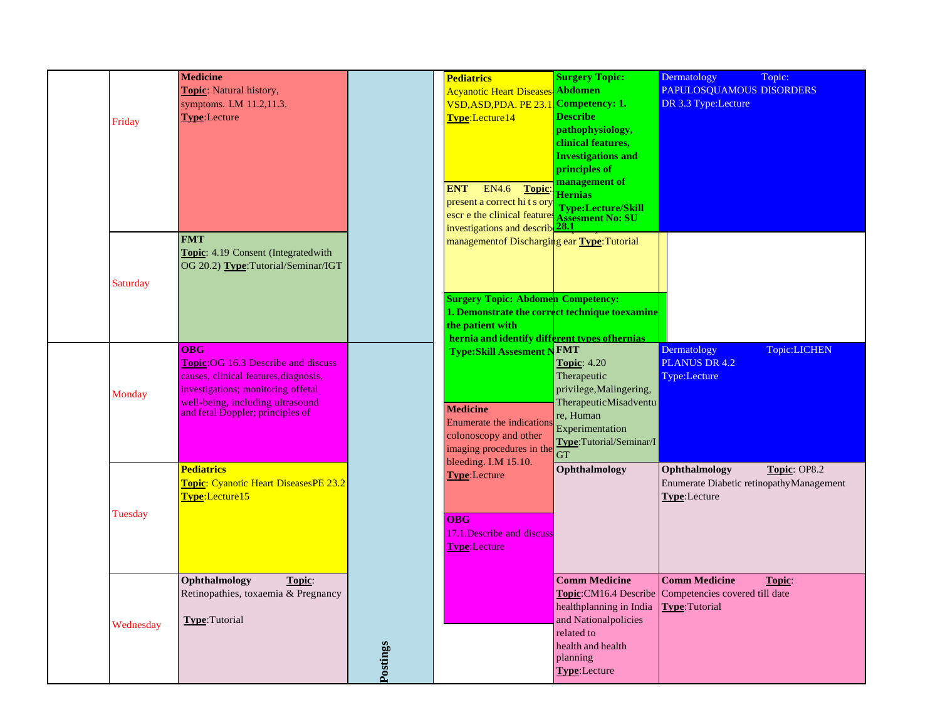|           | <b>Medicine</b>                                                      |          | <b>Pediatrics</b>                                   | <b>Surgery Topic:</b>                           | Dermatology<br>Topic:                                 |
|-----------|----------------------------------------------------------------------|----------|-----------------------------------------------------|-------------------------------------------------|-------------------------------------------------------|
|           | Topic: Natural history,                                              |          | <b>Acyanotic Heart Diseases</b>                     | <b>Abdomen</b>                                  | PAPULOSQUAMOUS DISORDERS                              |
|           | symptoms. I.M 11.2,11.3.                                             |          | VSD, ASD, PDA. PE 23.                               | <b>Competency: 1.</b>                           | DR 3.3 Type:Lecture                                   |
|           | Type:Lecture                                                         |          | Type:Lecture14                                      | <b>Describe</b>                                 |                                                       |
| Friday    |                                                                      |          |                                                     | pathophysiology,                                |                                                       |
|           |                                                                      |          |                                                     | clinical features,                              |                                                       |
|           |                                                                      |          |                                                     | <b>Investigations and</b>                       |                                                       |
|           |                                                                      |          |                                                     | principles of                                   |                                                       |
|           |                                                                      |          |                                                     | management of                                   |                                                       |
|           |                                                                      |          | EN4.6<br>Topic<br><b>ENT</b>                        | <b>Hernias</b>                                  |                                                       |
|           |                                                                      |          | present a correct hi t s ory                        |                                                 |                                                       |
|           |                                                                      |          | escr e the clinical features                        | Type:Lecture/Skill<br>Assesment No: SU          |                                                       |
|           |                                                                      |          | investigations and describe <sup>28.1</sup>         |                                                 |                                                       |
|           | <b>FMT</b>                                                           |          | managementof Discharging ear <b>Type</b> : Tutorial |                                                 |                                                       |
|           | Topic: 4.19 Consent (Integratedwith                                  |          |                                                     |                                                 |                                                       |
|           | OG 20.2) Type: Tutorial/Seminar/IGT                                  |          |                                                     |                                                 |                                                       |
| Saturday  |                                                                      |          |                                                     |                                                 |                                                       |
|           |                                                                      |          | <b>Surgery Topic: Abdomen Competency:</b>           |                                                 |                                                       |
|           |                                                                      |          | 1. Demonstrate the correct technique to examine     |                                                 |                                                       |
|           |                                                                      |          | the patient with                                    |                                                 |                                                       |
|           |                                                                      |          | hernia and identify different types of hernias      |                                                 |                                                       |
|           | <b>OBG</b>                                                           |          | <b>Type:Skill Assesment N FMT</b>                   |                                                 | Topic:LICHEN<br>Dermatology                           |
|           | <b>Topic: OG 16.3 Describe and discuss</b>                           |          |                                                     | <b>Topic: 4.20</b>                              | PLANUS DR 4.2                                         |
|           | causes, clinical features, diagnosis,                                |          |                                                     | Therapeutic                                     | Type:Lecture                                          |
| Monday    | investigations; monitoring offetal                                   |          |                                                     | privilege, Malingering,                         |                                                       |
|           | well-being, including ultrasound<br>and fetal Doppler; principles of |          | <b>Medicine</b>                                     | TherapeuticMisadventu                           |                                                       |
|           |                                                                      |          | Enumerate the indications                           | re, Human<br>Experimentation                    |                                                       |
|           |                                                                      |          | colonoscopy and other                               | Type:Tutorial/Seminar/I                         |                                                       |
|           |                                                                      |          | imaging procedures in the                           | $\overline{\text{GT}}$                          |                                                       |
|           | <b>Pediatrics</b>                                                    |          | bleeding. I.M 15.10.                                | Ophthalmology                                   | Topic: OP8.2<br>Ophthalmology                         |
|           | Topic: Cyanotic Heart DiseasesPE 23.2                                |          | <b>Type:</b> Lecture                                |                                                 | Enumerate Diabetic retinopathyManagement              |
|           | Type:Lecture15                                                       |          |                                                     |                                                 | Type:Lecture                                          |
|           |                                                                      |          |                                                     |                                                 |                                                       |
| Tuesday   |                                                                      |          | $\overline{OBG}$                                    |                                                 |                                                       |
|           |                                                                      |          | 17.1. Describe and discuss                          |                                                 |                                                       |
|           |                                                                      |          | <b>Type:</b> Lecture                                |                                                 |                                                       |
|           |                                                                      |          |                                                     |                                                 |                                                       |
|           | Ophthalmology<br>Topic:                                              |          |                                                     | <b>Comm Medicine</b>                            | <b>Comm Medicine</b><br>Topic:                        |
|           | Retinopathies, toxaemia & Pregnancy                                  |          |                                                     |                                                 | Topic: CM16.4 Describe Competencies covered till date |
|           |                                                                      |          |                                                     |                                                 |                                                       |
|           |                                                                      |          |                                                     | healthplanning in India<br>and Nationalpolicies | Type: Tutorial                                        |
| Wednesday | Type:Tutorial                                                        |          |                                                     | related to                                      |                                                       |
|           |                                                                      |          |                                                     | health and health                               |                                                       |
|           |                                                                      |          |                                                     | planning                                        |                                                       |
|           |                                                                      | Postings |                                                     | Type:Lecture                                    |                                                       |
|           |                                                                      |          |                                                     |                                                 |                                                       |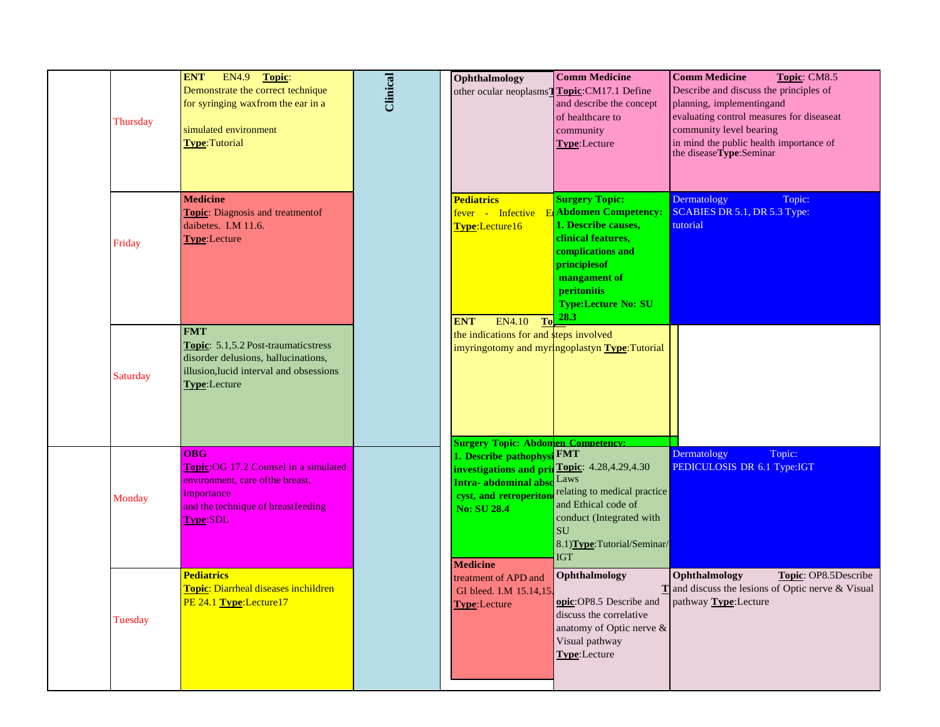| Thursday | <b>ENT</b><br>EN4.9 Topic:<br>Demonstrate the correct technique<br>for syringing waxfrom the ear in a<br>simulated environment<br>Type:Tutorial                | Clinical | Ophthalmology<br>other ocular neoplasms'                                                                                                          | <b>Comm Medicine</b><br>Topic:CM17.1 Define<br>and describe the concept<br>of healthcare to<br>community<br>Type:Lecture                                                                                   | <b>Comm Medicine</b><br>Topic: CM8.5<br>Describe and discuss the principles of<br>planning, implementingand<br>evaluating control measures for diseaseat<br>community level bearing<br>in mind the public health importance of<br>the diseaseType:Seminar |
|----------|----------------------------------------------------------------------------------------------------------------------------------------------------------------|----------|---------------------------------------------------------------------------------------------------------------------------------------------------|------------------------------------------------------------------------------------------------------------------------------------------------------------------------------------------------------------|-----------------------------------------------------------------------------------------------------------------------------------------------------------------------------------------------------------------------------------------------------------|
| Friday   | <b>Medicine</b><br>Topic: Diagnosis and treatmentof<br>daibetes. I.M 11.6.<br>Type:Lecture                                                                     |          | <b>Pediatrics</b><br>fever - Infective E<br>Type:Lecture16<br>To<br><b>ENT</b><br>EN4.10                                                          | <b>Surgery Topic:</b><br><b>Abdomen Competency:</b><br>1. Describe causes,<br>clinical features.<br>complications and<br>principlesof<br>mangament of<br>peritonitis<br><b>Type:Lecture No: SU</b><br>28.3 | Dermatology<br>Topic:<br>SCABIES DR 5.1, DR 5.3 Type:<br>tutorial                                                                                                                                                                                         |
| Saturday | <b>FMT</b><br>Topic: 5.1,5.2 Post-traumaticstress<br>disorder delusions, hallucinations,<br>illusion, lucid interval and obsessions<br>Type:Lecture            |          | the indications for and steps involved<br><b>Surgery Topic: Abdomen Competency:</b>                                                               | imyringotomy and myringoplastyn Type: Tutorial                                                                                                                                                             |                                                                                                                                                                                                                                                           |
| Monday   | <b>OBG</b><br>Topic: OG 17.2 Counsel in a simulated<br>environment, care of the breast,<br>importance<br>and the technique of breastfeeding<br><b>Type:SDL</b> |          | 1. Describe pathophys<br>investigations and pri<br><b>Intra-</b> abdominal abs<br>cyst, and retroperiton<br><b>No: SU 28.4</b><br><b>Medicine</b> | <b>FMT</b><br>Topic: 4.28,4.29,4.30<br>Laws<br>relating to medical practice<br>and Ethical code of<br>conduct (Integrated with<br><b>SU</b><br>8.1) Type: Tutorial/Seminar/<br><b>IGT</b>                  | Topic:<br>Dermatology<br>PEDICULOSIS DR 6.1 Type:IGT                                                                                                                                                                                                      |
| Tuesday  | <b>Pediatrics</b><br>Topic: Diarrheal diseases inchildren<br>PE 24.1 Type:Lecture17                                                                            |          | treatment of APD and<br>GI bleed. I.M 15.14,15.<br><b>Type:Lecture</b>                                                                            | Ophthalmology<br>discuss the correlative<br>anatomy of Optic nerve &<br>Visual pathway<br>Type:Lecture                                                                                                     | Ophthalmology<br>Topic: OP8.5Describe<br>$\mathbf{T}$ and discuss the lesions of Optic nerve & Visual<br><b>opic:</b> OP8.5 Describe and pathway <b>Type:</b> Lecture                                                                                     |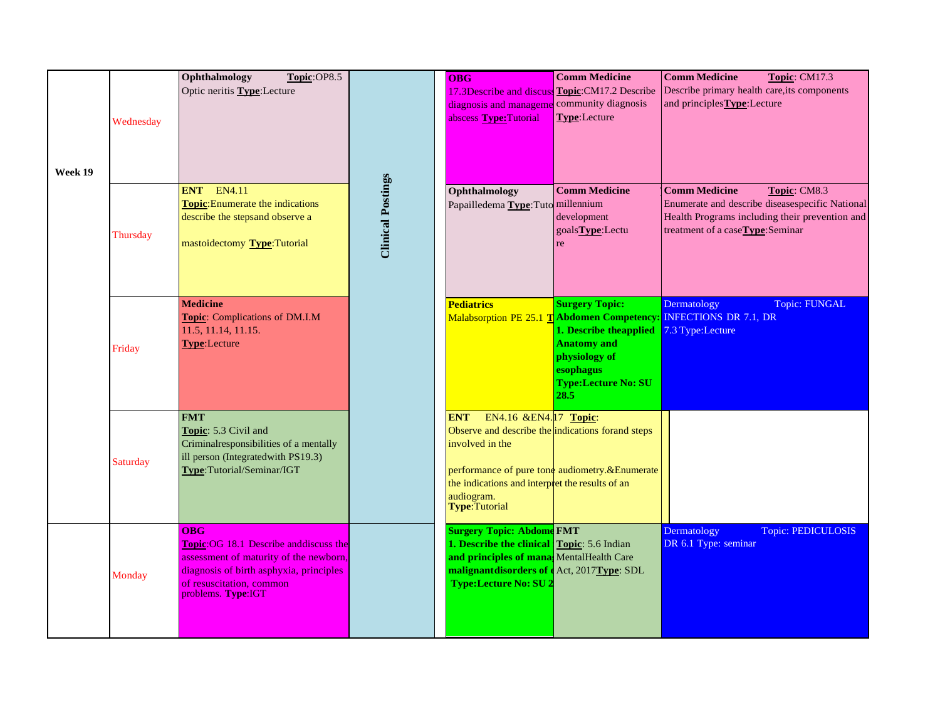|         | Wednesday | Ophthalmology<br>Topic:OP8.5<br>Optic neritis Type:Lecture                                                                                                                                   |                          | <b>OBG</b><br>17.3Describe and discuss Topic: CM17.2 Describe<br>diagnosis and manageme community diagnosis<br>abscess Type: Tutorial                                                                    | <b>Comm Medicine</b><br>Type:Lecture                                                                                                       | <b>Comm Medicine</b><br>Topic: CM17.3<br>Describe primary health care, its components<br>and principles Type: Lecture                                                        |
|---------|-----------|----------------------------------------------------------------------------------------------------------------------------------------------------------------------------------------------|--------------------------|----------------------------------------------------------------------------------------------------------------------------------------------------------------------------------------------------------|--------------------------------------------------------------------------------------------------------------------------------------------|------------------------------------------------------------------------------------------------------------------------------------------------------------------------------|
| Week 19 | Thursday  | <b>ENT</b> EN4.11<br><b>Topic:</b> Enumerate the indications<br>describe the stepsand observe a<br>mastoidectomy Type: Tutorial                                                              | <b>Clinical Postings</b> | Ophthalmology<br>Papailledema Type: Tuto millennium                                                                                                                                                      | <b>Comm Medicine</b><br>development<br>goals <b>Type</b> :Lectu<br>re                                                                      | <b>Comm Medicine</b><br>Topic: CM8.3<br>Enumerate and describe diseasespecific National<br>Health Programs including their prevention and<br>treatment of a caseType:Seminar |
|         | Friday    | <b>Medicine</b><br>Topic: Complications of DM.I.M<br>11.5, 11.14, 11.15.<br><b>Type:Lecture</b>                                                                                              |                          | <b>Pediatrics</b><br>Malabsorption PE 25.1 TAbdomen Competency                                                                                                                                           | <b>Surgery Topic:</b><br>1. Describe the applied<br><b>Anatomy and</b><br>physiology of<br>esophagus<br><b>Type:Lecture No: SU</b><br>28.5 | Topic: FUNGAL<br>Dermatology<br><b>INFECTIONS DR 7.1, DR</b><br>7.3 Type:Lecture                                                                                             |
|         | Saturday  | <b>FMT</b><br>Topic: 5.3 Civil and<br>Criminalresponsibilities of a mentally<br>ill person (Integratedwith PS19.3)<br>Type:Tutorial/Seminar/IGT                                              |                          | EN4.16 &EN4.17 Topic:<br><b>ENT</b><br>Observe and describe the indications for and steps<br>involved in the<br>the indications and interpret the results of an<br>audiogram.<br>Type:Tutorial           | performance of pure tone audiometry.&Enumerate                                                                                             |                                                                                                                                                                              |
|         | Monday    | <b>OBG</b><br>Topic: OG 18.1 Describe and discuss the<br>assessment of maturity of the newborn,<br>diagnosis of birth asphyxia, principles<br>of resuscitation, common<br>problems. Type:IGT |                          | <b>Surgery Topic: Abdome FMT</b><br>1. Describe the clinical Topic: 5.6 Indian<br>and principles of mana MentalHealth Care<br>malignant disorders of e Act, 2017 Type: SDL<br><b>Type:Lecture No: SU</b> |                                                                                                                                            | Topic: PEDICULOSIS<br>Dermatology<br>DR 6.1 Type: seminar                                                                                                                    |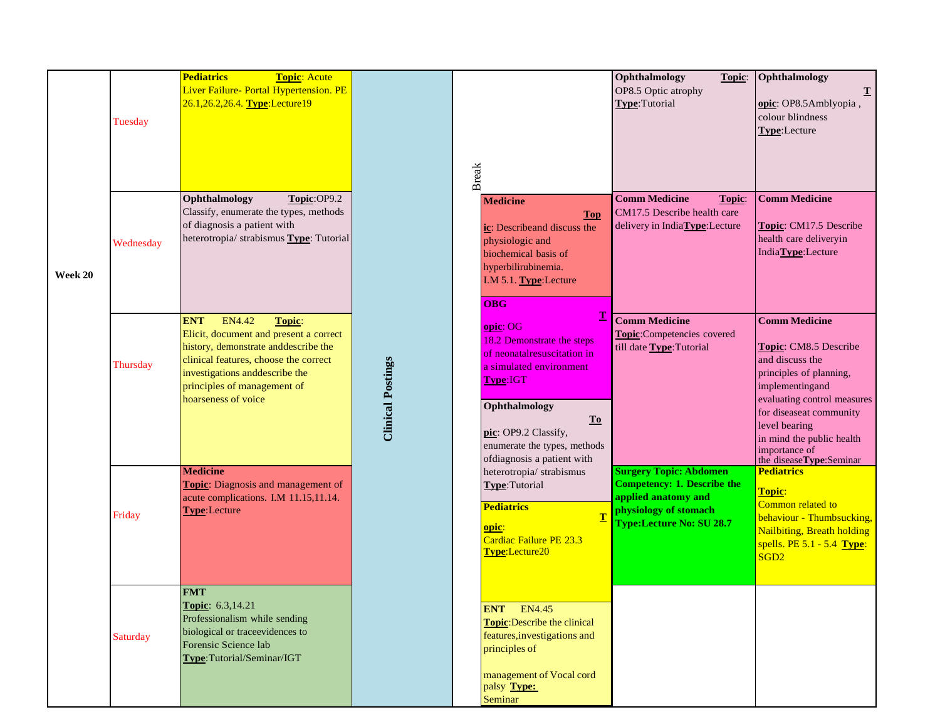|         | Tuesday   | <b>Pediatrics</b><br>Topic: Acute<br>Liver Failure- Portal Hypertension. PE<br>26.1, 26.2, 26.4. Type: Lecture 19                                                                                                                                             |                          | <b>Break</b>                                                                                                                                                                                                                        | Ophthalmology<br>Topic:<br>OP8.5 Optic atrophy<br>Type:Tutorial                                                                                        | Ophthalmology<br>opic: OP8.5Amblyopia,<br>colour blindness<br>Type:Lecture                                                                                                                                                              |
|---------|-----------|---------------------------------------------------------------------------------------------------------------------------------------------------------------------------------------------------------------------------------------------------------------|--------------------------|-------------------------------------------------------------------------------------------------------------------------------------------------------------------------------------------------------------------------------------|--------------------------------------------------------------------------------------------------------------------------------------------------------|-----------------------------------------------------------------------------------------------------------------------------------------------------------------------------------------------------------------------------------------|
| Week 20 | Wednesday | Topic:OP9.2<br>Ophthalmology<br>Classify, enumerate the types, methods<br>of diagnosis a patient with<br>heterotropia/ strabismus Type: Tutorial                                                                                                              |                          | <b>Medicine</b><br><b>Top</b><br>ic: Describeand discuss the<br>physiologic and<br>biochemical basis of<br>hyperbilirubinemia.<br>I.M 5.1. Type: Lecture<br><b>OBG</b>                                                              | <b>Comm Medicine</b><br>Topic:<br>CM17.5 Describe health care<br>delivery in IndiaType:Lecture                                                         | <b>Comm Medicine</b><br>Topic: CM17.5 Describe<br>health care deliveryin<br>IndiaType:Lecture                                                                                                                                           |
|         | Thursday  | <b>ENT</b><br><b>EN4.42</b><br>Topic:<br>Elicit, document and present a correct<br>history, demonstrate and describe the<br>clinical features, choose the correct<br>investigations and<br>describe the<br>principles of management of<br>hoarseness of voice | <b>Clinical Postings</b> | $\mathbf{T}$<br>opic: OG<br>18.2 Demonstrate the steps<br>of neonatal resuscitation in<br>a simulated environment<br>Type:IGT<br>Ophthalmology<br>$\underline{\mathbf{To}}$<br>pic: OP9.2 Classify,<br>enumerate the types, methods | <b>Comm Medicine</b><br>Topic:Competencies covered<br>till date Type: Tutorial                                                                         | <b>Comm Medicine</b><br>Topic: CM8.5 Describe<br>and discuss the<br>principles of planning,<br>implementingand<br>evaluating control measures<br>for diseaseat community<br>level bearing<br>in mind the public health<br>importance of |
|         | Friday    | <b>Medicine</b><br>Topic: Diagnosis and management of<br>acute complications. I.M 11.15,11.14.<br>Type:Lecture                                                                                                                                                |                          | ofdiagnosis a patient with<br>heterotropia/strabismus<br>Type:Tutorial<br><b>Pediatrics</b><br>opic:<br>Cardiac Failure PE 23.3<br>Type:Lecture20                                                                                   | <b>Surgery Topic: Abdomen</b><br><b>Competency: 1. Describe the</b><br>applied anatomy and<br>physiology of stomach<br><b>Type:Lecture No: SU 28.7</b> | the diseaseType:Seminar<br><b>Pediatrics</b><br>Topic:<br>Common related to<br>behaviour - Thumbsucking,<br>Nailbiting, Breath holding<br>spells. $PE 5.1 - 5.4$ Type:<br>SGD <sub>2</sub>                                              |
|         | Saturday  | <b>FMT</b><br>Topic: 6.3,14.21<br>Professionalism while sending<br>biological or traceevidences to<br>Forensic Science lab<br>Type:Tutorial/Seminar/IGT                                                                                                       |                          | <b>ENT</b> EN4.45<br><b>Topic:</b> Describe the clinical<br>features, investigations and<br>principles of<br>management of Vocal cord<br>palsy Type:<br>Seminar                                                                     |                                                                                                                                                        |                                                                                                                                                                                                                                         |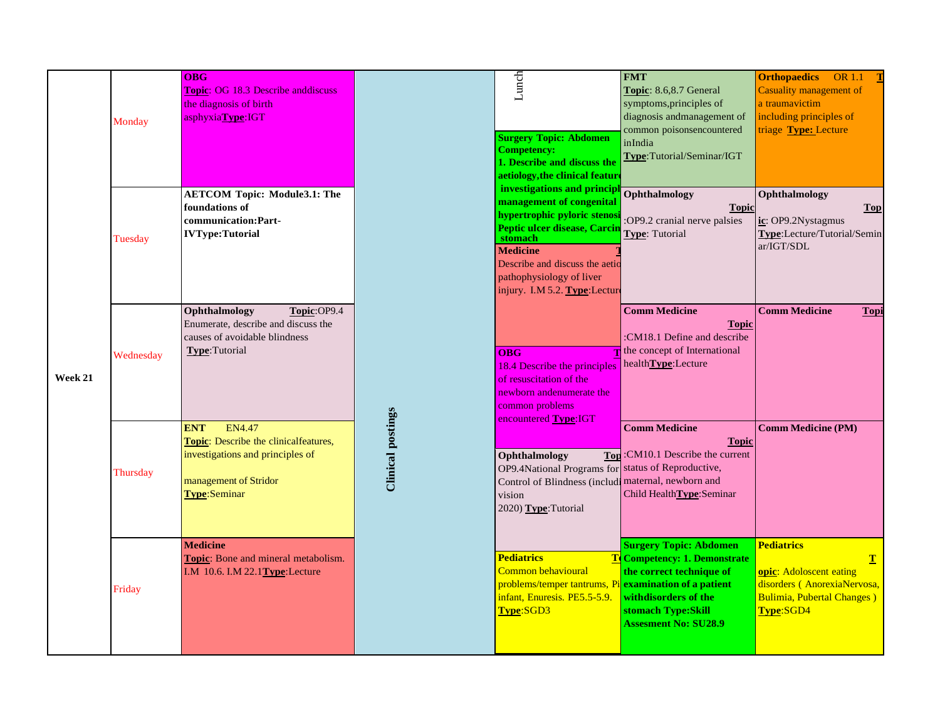|         | Monday    | OBG<br>Topic: OG 18.3 Describe anddiscuss<br>the diagnosis of birth<br>asphyxiaType:IGT                                                           |  | Lunch<br><b>Surgery Topic: Abdomen</b><br>Competency:<br>1. Describe and discuss the<br>aetiology, the clinical feature<br>investigations and principl                                                                                                                                                                                                                        | <b>FMT</b><br>Topic: 8.6,8.7 General<br>symptoms, principles of<br>diagnosis andmanagement of<br>common poisonsencountered<br>inIndia<br>Type:Tutorial/Seminar/IGT      | <b>Orthopaedics</b> OR 1.1<br>Casuality management of<br>a traumavictim<br>including principles of<br>triage Type: Lecture  |
|---------|-----------|---------------------------------------------------------------------------------------------------------------------------------------------------|--|-------------------------------------------------------------------------------------------------------------------------------------------------------------------------------------------------------------------------------------------------------------------------------------------------------------------------------------------------------------------------------|-------------------------------------------------------------------------------------------------------------------------------------------------------------------------|-----------------------------------------------------------------------------------------------------------------------------|
|         | Tuesday   | <b>AETCOM Topic: Module3.1: The</b><br>foundations of<br>communication: Part-<br><b>IVType:Tutorial</b>                                           |  | management of congenital<br>hypertrophic pyloric stenos<br>Peptic ulcer disease, Carci<br>stomach<br><b>Medicine</b><br>Describe and discuss the aetio<br>pathophysiology of liver<br>injury. I.M 5.2. Type:Lecture                                                                                                                                                           | Ophthalmology<br><b>Topic</b><br>:OP9.2 cranial nerve palsies<br>Type: Tutorial                                                                                         | Ophthalmology<br>Top<br>ic: OP9.2Nystagmus<br>Type:Lecture/Tutorial/Semin<br>ar/IGT/SDL                                     |
| Week 21 | Wednesday | Ophthalmology<br>Topic:OP9.4<br>Enumerate, describe and discuss the<br>causes of avoidable blindness<br>Type:Tutorial                             |  | $\overline{OBG}$<br>$18.4$ Describe the principles health <b>Type</b> : Lecture<br>of resuscitation of the<br>newborn andenumerate the<br>common problems<br><b>Clinical postings</b><br>encountered Type:IGT<br>Ophthalmology<br>OP9.4National Programs for status of Reproductive,<br>Control of Blindness (includi maternal, newborn and<br>vision<br>2020) Type: Tutorial | <b>Comm Medicine</b><br><b>Topic</b><br>:CM18.1 Define and describe<br>the concept of International                                                                     | <b>Comm Medicine</b><br>Topi                                                                                                |
|         | Thursday  | EN4.47<br><b>ENT</b><br>Topic: Describe the clinicalfeatures,<br>investigations and principles of<br>management of Stridor<br><b>Type:Seminar</b> |  |                                                                                                                                                                                                                                                                                                                                                                               | <b>Comm Medicine</b><br><b>Topic</b><br>Top: CM10.1 Describe the current<br>Child Health Type: Seminar                                                                  | <b>Comm Medicine (PM)</b>                                                                                                   |
|         | Friday    | <b>Medicine</b><br>Topic: Bone and mineral metabolism.<br>I.M 10.6. I.M $22.1$ Type: Lecture                                                      |  | <b>Pediatrics</b><br>Common behavioural<br>problems/temper tantrums, Pi examination of a patient<br>infant, Enuresis. PE5.5-5.9.<br>Type:SGD3                                                                                                                                                                                                                                 | <b>Surgery Topic: Abdomen</b><br>To Competency: 1. Demonstrate<br>the correct technique of<br>withdisorders of the<br>stomach Type:Skill<br><b>Assesment No: SU28.9</b> | <b>Pediatrics</b><br>T<br>opic: Adoloscent eating<br>disorders (AnorexiaNervosa,<br>Bulimia, Pubertal Changes)<br>Type:SGD4 |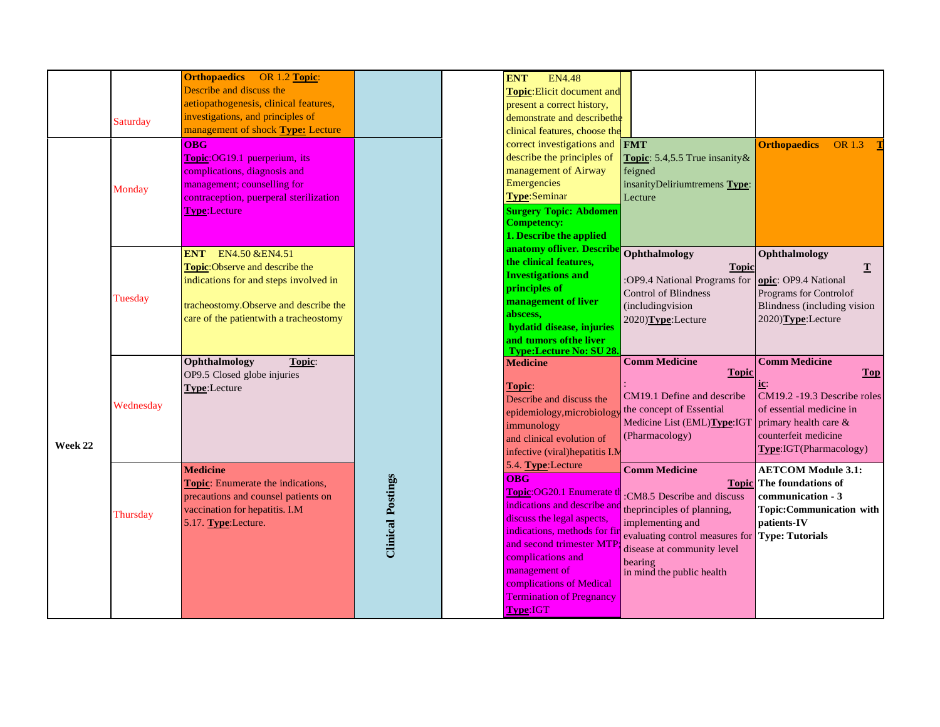|         | <b>Saturday</b><br>Monday | <b>Orthopaedics</b><br><b>OR 1.2 Topic:</b><br>Describe and discuss the<br>aetiopathogenesis, clinical features,<br>investigations, and principles of<br>management of shock Type: Lecture<br><b>OBG</b><br>Topic:OG19.1 puerperium, its<br>complications, diagnosis and<br>management; counselling for<br>contraception, puerperal sterilization |                          | <b>ENT</b><br><b>EN4.48</b><br>Topic: Elicit document and<br>present a correct history,<br>demonstrate and describethe<br>clinical features, choose the<br>correct investigations and<br>describe the principles of<br>management of Airway<br>Emergencies<br><b>Type:Seminar</b>                               | <b>FMT</b><br><b>Topic:</b> 5.4,5.5 True insanity &<br>feigned<br>insanityDeliriumtremens Type:<br>Lecture                                                                                                                                     | <b>Orthopaedics</b><br><b>OR</b> 1.3                                                                                                                                        |
|---------|---------------------------|---------------------------------------------------------------------------------------------------------------------------------------------------------------------------------------------------------------------------------------------------------------------------------------------------------------------------------------------------|--------------------------|-----------------------------------------------------------------------------------------------------------------------------------------------------------------------------------------------------------------------------------------------------------------------------------------------------------------|------------------------------------------------------------------------------------------------------------------------------------------------------------------------------------------------------------------------------------------------|-----------------------------------------------------------------------------------------------------------------------------------------------------------------------------|
|         | Tuesday                   | <b>Type:Lecture</b><br>ENT EN4.50 & EN4.51<br>Topic:Observe and describe the<br>indications for and steps involved in<br>tracheostomy. Observe and describe the<br>care of the patientwith a tracheostomy                                                                                                                                         |                          | <b>Surgery Topic: Abdomen</b><br><b>Competency:</b><br>1. Describe the applied<br>anatomy ofliver. Describe<br>the clinical features,<br><b>Investigations and</b><br>principles of<br>management of liver<br>abscess,<br>hydatid disease, injuries<br>and tumors of the liver<br><b>Type:Lecture No: SU28.</b> | Ophthalmology<br><b>Topic</b><br>:OP9.4 National Programs for<br><b>Control of Blindness</b><br>(includingvision<br>2020)Type:Lecture                                                                                                          | Ophthalmology<br>$\mathbf T$<br>opic: OP9.4 National<br>Programs for Controlof<br>Blindness (including vision<br>2020)Type:Lecture                                          |
| Week 22 | Wednesday                 | Ophthalmology<br>Topic:<br>OP9.5 Closed globe injuries<br>Type:Lecture                                                                                                                                                                                                                                                                            |                          | <b>Medicine</b><br>Topic:<br>Describe and discuss the<br>epidemiology, microbiology<br>immunology<br>and clinical evolution of<br>infective (viral) hepatitis I.M                                                                                                                                               | <b>Comm Medicine</b><br><b>Topic</b><br>CM19.1 Define and describe<br>the concept of Essential<br>Medicine List (EML)Type:IGT<br>(Pharmacology)                                                                                                | <b>Comm Medicine</b><br><b>Top</b><br>$CM19.2 - 19.3$ Describe roles<br>of essential medicine in<br>primary health care &<br>counterfeit medicine<br>Type:IGT(Pharmacology) |
|         | Thursday                  | <b>Medicine</b><br>Topic: Enumerate the indications,<br>precautions and counsel patients on<br>vaccination for hepatitis. I.M<br>5.17. Type:Lecture.                                                                                                                                                                                              | <b>Clinical Postings</b> | 5.4. Type:Lecture<br><b>OBG</b><br>Topic:OG20.1 Enumerate t<br>indications and describe and<br>discuss the legal aspects,<br>indications, methods for fir<br>and second trimester MTF<br>complications and<br>management of<br>complications of Medical<br><b>Termination of Pregnancy</b><br>Type:IGT          | <b>Comm Medicine</b><br><b>Topic</b><br>:CM8.5 Describe and discuss<br>theprinciples of planning,<br>implementing and<br>evaluating control measures for Type: Tutorials<br>disease at community level<br>bearing<br>in mind the public health | <b>AETCOM Module 3.1:</b><br>The foundations of<br>communication - 3<br>Topic:Communication with<br>patients-IV                                                             |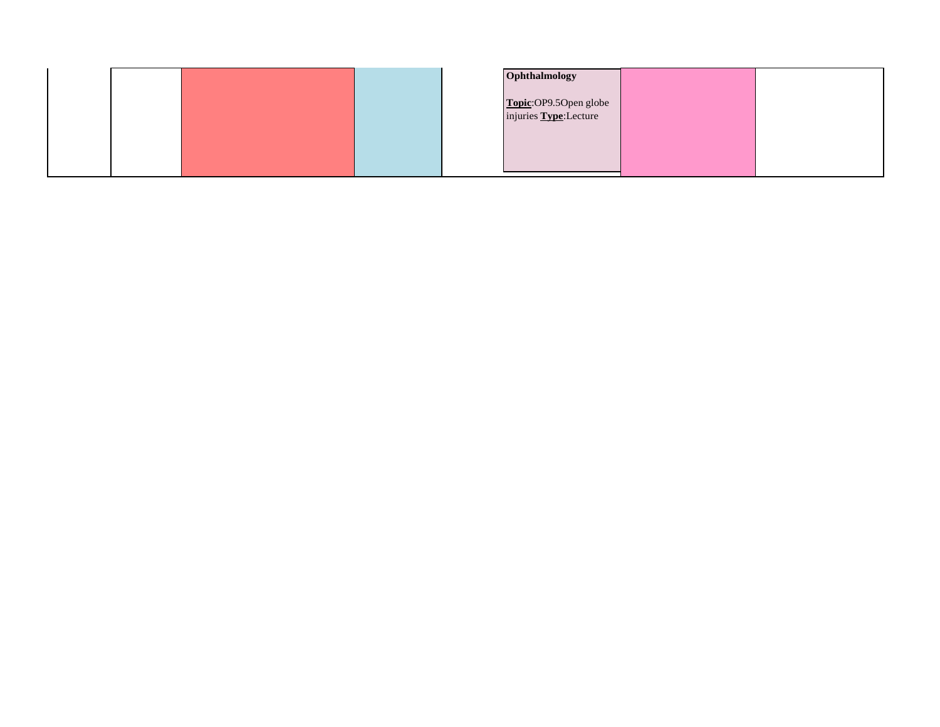|  |  | Ophthalmology                                  |  |
|--|--|------------------------------------------------|--|
|  |  | Topic:OP9.5Open globe<br>injuries Type:Lecture |  |
|  |  |                                                |  |
|  |  |                                                |  |
|  |  |                                                |  |
|  |  |                                                |  |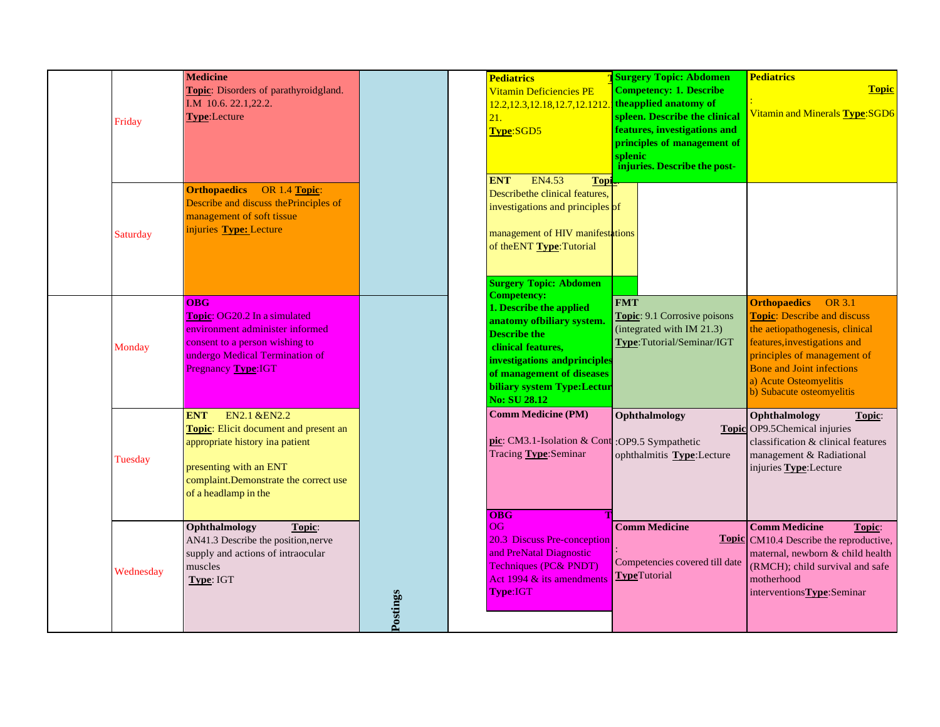|           | <b>Medicine</b>                        |          | <b>Pediatrics</b>                              | <b>Surgery Topic: Abdomen</b>       | <b>Pediatrics</b>                              |
|-----------|----------------------------------------|----------|------------------------------------------------|-------------------------------------|------------------------------------------------|
|           | Topic: Disorders of parathyroidgland.  |          | Vitamin Deficiencies PE                        | <b>Competency: 1. Describe</b>      | <b>Topic</b>                                   |
|           | I.M 10.6. 22.1,22.2.                   |          | 12.2, 12.3, 12.18, 12.7, 12.1212               | the applied anatomy of              |                                                |
|           | Type:Lecture                           |          | 21.                                            | spleen. Describe the clinical       | Vitamin and Minerals Type: SGD6                |
| Friday    |                                        |          | Type:SGD5                                      | features, investigations and        |                                                |
|           |                                        |          |                                                | principles of management of         |                                                |
|           |                                        |          |                                                | splenic                             |                                                |
|           |                                        |          |                                                | injuries. Describe the post-        |                                                |
|           |                                        |          | <b>ENT</b><br>EN4.53<br>Topi                   |                                     |                                                |
|           | <b>Orthopaedics</b><br>OR 1.4 Topic:   |          | Describethe clinical features,                 |                                     |                                                |
|           | Describe and discuss the Principles of |          | investigations and principles of               |                                     |                                                |
|           | management of soft tissue              |          |                                                |                                     |                                                |
| Saturday  | injuries Type: Lecture                 |          | management of HIV manifestations               |                                     |                                                |
|           |                                        |          | of the ENT Type: Tutorial                      |                                     |                                                |
|           |                                        |          |                                                |                                     |                                                |
|           |                                        |          |                                                |                                     |                                                |
|           |                                        |          | <b>Surgery Topic: Abdomen</b>                  |                                     |                                                |
|           |                                        |          | <b>Competency:</b>                             |                                     |                                                |
|           | <b>OBG</b>                             |          | 1. Describe the applied                        | <b>FMT</b>                          | <b>Orthopaedics</b><br>OR 3.1                  |
|           | <b>Topic: OG20.2 In a simulated</b>    |          | anatomy of biliary system.                     | <b>Topic:</b> 9.1 Corrosive poisons | <b>Topic:</b> Describe and discuss             |
|           | environment administer informed        |          | <b>Describe the</b>                            | (integrated with IM 21.3)           | the aetiopathogenesis, clinical                |
| Monday    | consent to a person wishing to         |          | clinical features,                             | Type:Tutorial/Seminar/IGT           | features, investigations and                   |
|           | undergo Medical Termination of         |          | investigations and principles                  |                                     | principles of management of                    |
|           | Pregnancy Type:IGT                     |          | of management of diseases                      |                                     | Bone and Joint infections                      |
|           |                                        |          | biliary system Type:Lectur                     |                                     | a) Acute Osteomyelitis                         |
|           |                                        |          | <b>No: SU 28.12</b>                            |                                     | b) Subacute osteomyelitis                      |
|           |                                        |          |                                                |                                     |                                                |
|           | EN2.1 & EN2.2<br><b>ENT</b>            |          | <b>Comm Medicine (PM)</b>                      | Ophthalmology                       | Ophthalmology<br>Topic:                        |
|           | Topic: Elicit document and present an  |          |                                                |                                     | Topic OP9.5Chemical injuries                   |
|           | appropriate history ina patient        |          | pic: CM3.1-Isolation & Cont :OP9.5 Sympathetic |                                     | classification & clinical features             |
| Tuesday   |                                        |          | Tracing Type:Seminar                           | ophthalmitis Type:Lecture           | management & Radiational                       |
|           | presenting with an ENT                 |          |                                                |                                     | injuries Type: Lecture                         |
|           | complaint.Demonstrate the correct use  |          |                                                |                                     |                                                |
|           | of a headlamp in the                   |          |                                                |                                     |                                                |
|           |                                        |          | <b>OBG</b>                                     |                                     |                                                |
|           | Ophthalmology<br>Topic:                |          | OG                                             | <b>Comm Medicine</b>                | <b>Comm Medicine</b><br>Topic:                 |
|           | AN41.3 Describe the position, nerve    |          | <b>20.3 Discuss Pre-conception</b>             |                                     | <b>Topic</b> CM10.4 Describe the reproductive, |
|           | supply and actions of intraocular      |          | and PreNatal Diagnostic                        |                                     | maternal, newborn & child health               |
|           | muscles                                |          | <b>Techniques (PC&amp; PNDT)</b>               | Competencies covered till date      | (RMCH); child survival and safe                |
| Wednesday | Type: IGT                              |          | Act 1994 & its amendments                      | <b>TypeTutorial</b>                 | motherhood                                     |
|           |                                        |          | Type:IGT                                       |                                     | interventions Type: Seminar                    |
|           |                                        | Postings |                                                |                                     |                                                |
|           |                                        |          |                                                |                                     |                                                |
|           |                                        |          |                                                |                                     |                                                |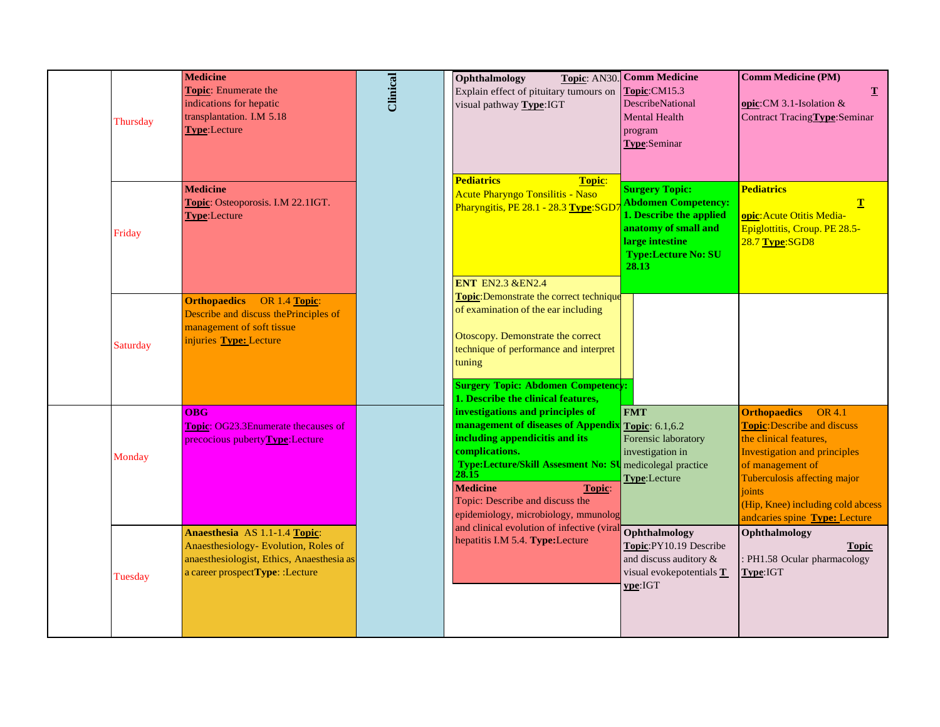| Thursday | <b>Medicine</b><br>Topic: Enumerate the<br>indications for hepatic<br>transplantation. I.M 5.18<br>Type:Lecture                                       | <b>Clinical</b> | Ophthalmology<br>Explain effect of pituitary tumours on<br>visual pathway Type:IGT                                                                                                                                                                                                                                     | Topic: AN30. Comm Medicine<br>Topic:CM15.3<br>DescribeNational<br>Mental Health<br>program<br>Type:Seminar                                                       | <b>Comm Medicine (PM)</b><br>$\mathbf T$<br>opic: CM 3.1-Isolation $&$<br>Contract Tracing Type: Seminar                                                                                                                                                                 |
|----------|-------------------------------------------------------------------------------------------------------------------------------------------------------|-----------------|------------------------------------------------------------------------------------------------------------------------------------------------------------------------------------------------------------------------------------------------------------------------------------------------------------------------|------------------------------------------------------------------------------------------------------------------------------------------------------------------|--------------------------------------------------------------------------------------------------------------------------------------------------------------------------------------------------------------------------------------------------------------------------|
| Friday   | <b>Medicine</b><br>Topic: Osteoporosis. I.M 22.1IGT.<br><b>Type:</b> Lecture                                                                          |                 | <b>Pediatrics</b><br><b>Topic:</b><br>Acute Pharyngo Tonsilitis - Naso<br>Pharyngitis, PE 28.1 - 28.3 Type:SGD<br><b>ENT EN2.3 &amp; EN2.4</b>                                                                                                                                                                         | <b>Surgery Topic:</b><br><b>Abdomen Competency:</b><br>1. Describe the applied<br>anatomy of small and<br>large intestine<br><b>Type:Lecture No: SU</b><br>28.13 | <b>Pediatrics</b><br>T<br>opic: Acute Otitis Media-<br>Epiglottitis, Croup. PE 28.5-<br>28.7 Type:SGD8                                                                                                                                                                   |
| Saturday | <b>Orthopaedics</b><br>OR 1.4 Topic:<br>Describe and discuss the Principles of<br>management of soft tissue<br>injuries Type: Lecture                 |                 | <b>Topic:</b> Demonstrate the correct technique<br>of examination of the ear including<br>Otoscopy. Demonstrate the correct<br>technique of performance and interpret<br>tuning<br><b>Surgery Topic: Abdomen Competency:</b><br>1. Describe the clinical features,                                                     |                                                                                                                                                                  |                                                                                                                                                                                                                                                                          |
| Monday   | <b>OBG</b><br><b>Topic: OG23.3Enumerate thecauses of</b><br>precocious pubertyType:Lecture                                                            |                 | investigations and principles of<br>management of diseases of Appendix Topic: 6.1,6.2<br>including appendicitis and its<br>complications.<br>Type:Lecture/Skill Assesment No: SU medicolegal practice<br>28.15<br><b>Medicine</b><br>Topic:<br>Topic: Describe and discuss the<br>epidemiology, microbiology, mmunolog | <b>FMT</b><br>Forensic laboratory<br>investigation in<br>Type:Lecture                                                                                            | OR 4.1<br><b>Orthopaedics</b><br><b>Topic:</b> Describe and discuss<br>the clinical features,<br><b>Investigation and principles</b><br>of management of<br>Tuberculosis affecting major<br>joints<br>(Hip, Knee) including cold abcess<br>andcaries spine Type: Lecture |
| Tuesday  | Anaesthesia AS 1.1-1.4 Topic:<br>Anaesthesiology- Evolution, Roles of<br>anaesthesiologist, Ethics, Anaesthesia as<br>a career prospectType: :Lecture |                 | and clinical evolution of infective (viral<br>hepatitis I.M 5.4. Type:Lecture                                                                                                                                                                                                                                          | Ophthalmology<br>Topic:PY10.19 Describe<br>and discuss auditory &<br>visual evokepotentials T<br>ype:IGT                                                         | Ophthalmology<br><b>Topic</b><br>: PH1.58 Ocular pharmacology<br>Type:IGT                                                                                                                                                                                                |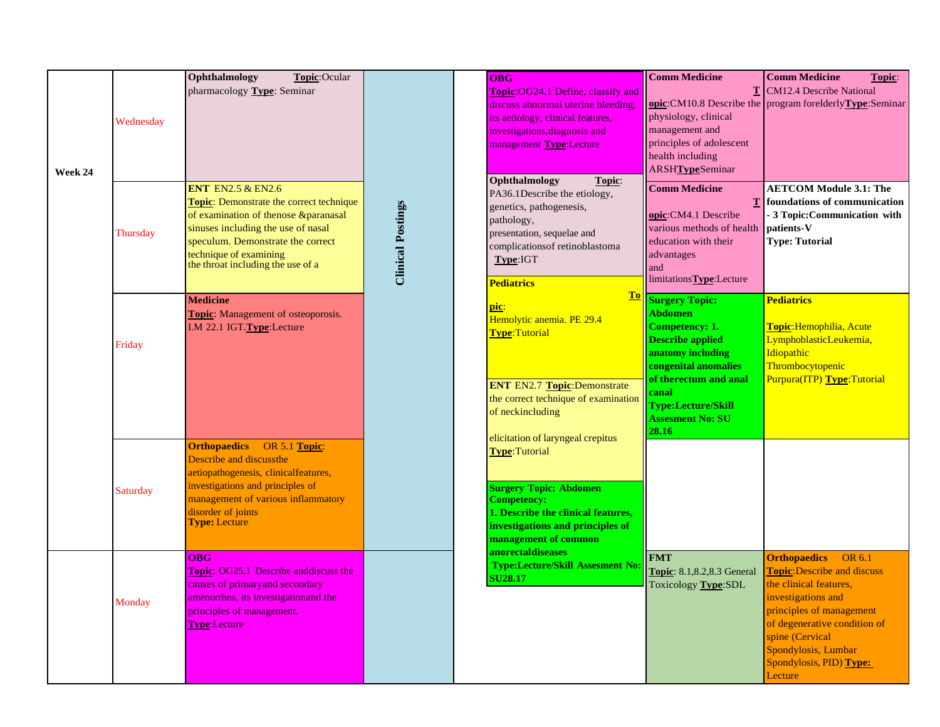|         |           | Ophthalmology<br>Topic:Ocular                                                                                                                                                                                                                            |                          |                                                  | <b>OBG</b>                                                                                                                                                                                                          | <b>Comm Medicine</b>                                                                                                                                                                                                                                                                                                                                                                                         | <b>Comm Medicine</b><br>Topic:                                                                                                                                                                                                                                  |
|---------|-----------|----------------------------------------------------------------------------------------------------------------------------------------------------------------------------------------------------------------------------------------------------------|--------------------------|--------------------------------------------------|---------------------------------------------------------------------------------------------------------------------------------------------------------------------------------------------------------------------|--------------------------------------------------------------------------------------------------------------------------------------------------------------------------------------------------------------------------------------------------------------------------------------------------------------------------------------------------------------------------------------------------------------|-----------------------------------------------------------------------------------------------------------------------------------------------------------------------------------------------------------------------------------------------------------------|
| Week 24 | Wednesday | pharmacology Type: Seminar                                                                                                                                                                                                                               |                          |                                                  | <b>Topic:OG24.1 Define, classify and</b><br>discuss abnormal uterine bleeding,<br>its aetiology, clinical features,<br>investigations, diagnosis and<br>management Type:Lecture                                     | T<br>physiology, clinical<br>management and<br>principles of adolescent<br>health including<br><b>ARSHTypeSeminar</b>                                                                                                                                                                                                                                                                                        | <b>CM12.4 Describe National</b><br>opic:CM10.8 Describe the program forelderlyType:Seminar                                                                                                                                                                      |
|         | Thursday  | ENT EN2.5 $&$ EN2.6<br><b>Topic:</b> Demonstrate the correct technique<br>of examination of thenose &paranasal<br>sinuses including the use of nasal<br>speculum. Demonstrate the correct<br>technique of examining<br>the throat including the use of a | <b>Clinical Postings</b> |                                                  | Ophthalmology<br>Topic:<br>PA36.1Describe the etiology,<br>genetics, pathogenesis,<br>pathology,<br>presentation, sequelae and<br>complications of retinoblastoma<br>Type:IGT<br><b>Pediatrics</b>                  | <b>Comm Medicine</b><br>opic:CM4.1 Describe<br>various methods of health<br>education with their<br>advantages<br>and<br>limitations Type: Lecture<br>T <sub>0</sub><br><b>Surgery Topic:</b><br><b>Abdomen</b><br>Competency: 1.<br><b>Describe applied</b><br>anatomy including<br>congenital anomalies<br>of therectum and anal<br>canal<br><b>Type:Lecture/Skill</b><br><b>Assesment No: SU</b><br>28.16 | <b>AETCOM Module 3.1: The</b><br>foundations of communication<br>- 3 Topic: Communication with<br>patients-V<br><b>Type: Tutorial</b>                                                                                                                           |
|         | Friday    | <b>Medicine</b><br><b>Topic:</b> Management of osteoporosis.<br>I.M 22.1 IGT.Type:Lecture                                                                                                                                                                |                          | <u>pic:</u><br>Type:Tutorial<br>of neckincluding | Hemolytic anemia. PE 29.4<br><b>ENT EN2.7 Topic:Demonstrate</b><br>the correct technique of examination                                                                                                             |                                                                                                                                                                                                                                                                                                                                                                                                              | <b>Pediatrics</b><br>Topic: Hemophilia, Acute<br>LymphoblasticLeukemia,<br>Idiopathic<br>Thrombocytopenic<br>Purpura(ITP) Type:Tutorial                                                                                                                         |
|         | Saturday  | <b>Orthopaedics</b><br>OR 5.1 Topic:<br>Describe and discussthe<br>aetiopathogenesis, clinicalfeatures,<br>investigations and principles of<br>management of various inflammatory<br>disorder of joints<br><b>Type: Lecture</b>                          |                          |                                                  | elicitation of laryngeal crepitus<br><b>Type: Tutorial</b><br><b>Surgery Topic: Abdomen</b><br><b>Competency:</b><br>1. Describe the clinical features,<br>investigations and principles of<br>management of common |                                                                                                                                                                                                                                                                                                                                                                                                              |                                                                                                                                                                                                                                                                 |
|         | Monday    | <b>OBG</b><br><b>Topic: OG25.1 Describe and discuss the</b><br>causes of primary and secondary<br>amenorrhea, its investigation and the<br>principles of management.<br><b>Type:Lecture</b>                                                              |                          |                                                  | <b>anorectaldiseases</b><br><b>Type:Lecture/Skill Assesment No:</b><br><b>SU28.17</b>                                                                                                                               | <b>FMT</b><br>Topic: 8.1,8.2,8.3 General<br>Toxicology Type:SDL                                                                                                                                                                                                                                                                                                                                              | <b>Orthopaedics</b><br>OR 6.1<br><b>Topic:</b> Describe and discuss<br>the clinical features,<br>investigations and<br>principles of management<br>of degenerative condition of<br>spine (Cervical<br>Spondylosis, Lumbar<br>Spondylosis, PID) Type:<br>Lecture |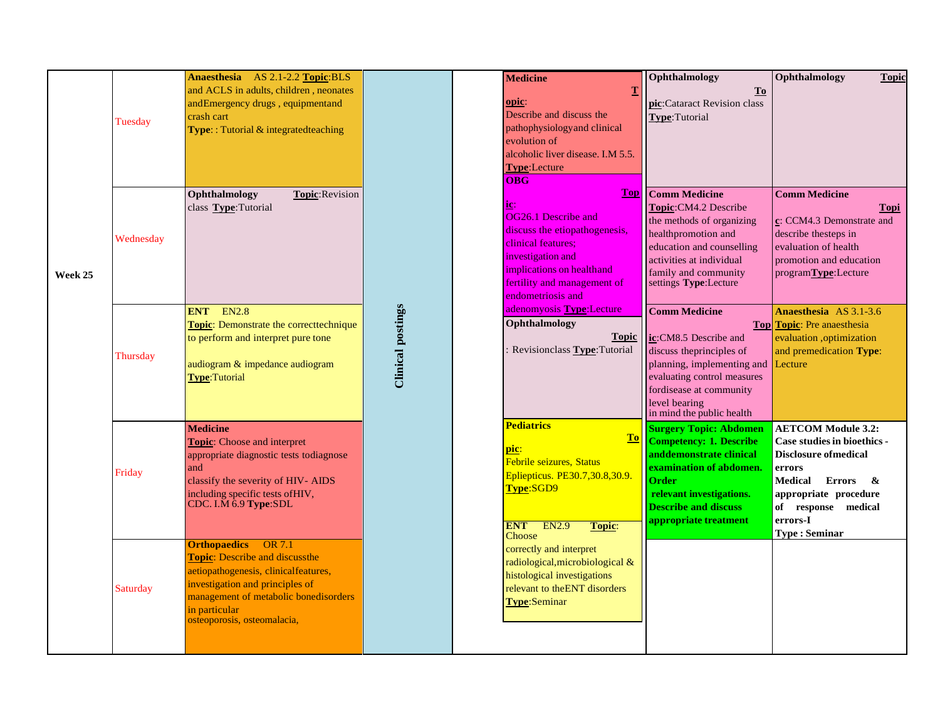|         | Tuesday   | Anaesthesia AS 2.1-2.2 Topic:BLS<br>and ACLS in adults, children, neonates<br>andEmergency drugs, equipmentand<br>crash cart<br><b>Type::</b> Tutorial & integrated teaching                                                            |                          | <b>Medicine</b><br>T<br>opic:<br>Describe and discuss the<br>pathophysiology and clinical<br>evolution of                                                                                                                                                         | Ophthalmology<br>$\underline{\mathbf{To}}$<br>pic:Cataract Revision class<br>Type:Tutorial                                                                                                                                      | Ophthalmology                                                                                                                                                                      | <b>Topic</b> |
|---------|-----------|-----------------------------------------------------------------------------------------------------------------------------------------------------------------------------------------------------------------------------------------|--------------------------|-------------------------------------------------------------------------------------------------------------------------------------------------------------------------------------------------------------------------------------------------------------------|---------------------------------------------------------------------------------------------------------------------------------------------------------------------------------------------------------------------------------|------------------------------------------------------------------------------------------------------------------------------------------------------------------------------------|--------------|
| Week 25 | Wednesday | Ophthalmology<br>Topic: Revision<br>class Type:Tutorial                                                                                                                                                                                 |                          | alcoholic liver disease. I.M 5.5.<br>Type:Lecture<br>OBG<br><b>Top</b><br>ic:<br>OG26.1 Describe and<br>discuss the etiopathogenesis,<br>clinical features:<br>investigation and<br>implications on healthand<br>fertility and management of<br>endometriosis and | <b>Comm Medicine</b><br>Topic:CM4.2 Describe<br>the methods of organizing<br>healthpromotion and<br>education and counselling<br>activities at individual<br>family and community<br>settings Type:Lecture                      | <b>Comm Medicine</b><br>$c:$ CCM4.3 Demonstrate and<br>describe thesteps in<br>evaluation of health<br>promotion and education<br>programType:Lecture                              | <b>Topi</b>  |
|         | Thursday  | <b>EN2.8</b><br><b>ENT</b><br><b>Topic:</b> Demonstrate the correcttechnique<br>to perform and interpret pure tone<br>audiogram & impedance audiogram<br><b>Type:Tutorial</b>                                                           | <b>Clinical postings</b> | adenomyosis Type: Lecture<br>Ophthalmology<br><b>Topic</b><br>Revision class Type: Tutorial                                                                                                                                                                       | <b>Comm Medicine</b><br>ic:CM8.5 Describe and<br>discuss the principles of<br>planning, implementing and <b>Lecture</b><br>evaluating control measures<br>fordisease at community<br>level bearing<br>in mind the public health | Anaesthesia AS 3.1-3.6<br><b>Top</b> Topic: Pre anaesthesia<br>evaluation, optimization<br>and premedication Type:                                                                 |              |
|         | Friday    | <b>Medicine</b><br><b>Topic:</b> Choose and interpret<br>appropriate diagnostic tests todiagnose<br>and<br>classify the severity of HIV-AIDS<br>including specific tests of HIV,<br>CDC. I.M $6.9$ Type:SDL                             |                          | <b>Pediatrics</b><br>T <sub>0</sub><br><u>pic:</u><br>Febrile seizures, Status<br>Epliepticus. PE30.7,30.8,30.9.<br>Type:SGD9<br><b>ENT</b><br>EN2.9<br>Topic:                                                                                                    | <b>Surgery Topic: Abdomen</b><br><b>Competency: 1. Describe</b><br>anddemonstrate clinical<br>examination of abdomen.<br><b>Order</b><br>relevant investigations.<br><b>Describe and discuss</b><br>appropriate treatment       | <b>AETCOM Module 3.2:</b><br>Case studies in bioethics -<br><b>Disclosure of medical</b><br>errors<br>Medical Errors &<br>appropriate procedure<br>of response medical<br>errors-I |              |
|         | Saturday  | <b>Orthopaedics</b> OR 7.1<br><b>Topic:</b> Describe and discussthe<br>aetiopathogenesis, clinicalfeatures,<br>investigation and principles of<br>management of metabolic bonedisorders<br>in particular<br>osteoporosis, osteomalacia, |                          | Choose<br>correctly and interpret<br>radiological, microbiological &<br>histological investigations<br>relevant to the ENT disorders<br><b>Type:Seminar</b>                                                                                                       |                                                                                                                                                                                                                                 | <b>Type: Seminar</b>                                                                                                                                                               |              |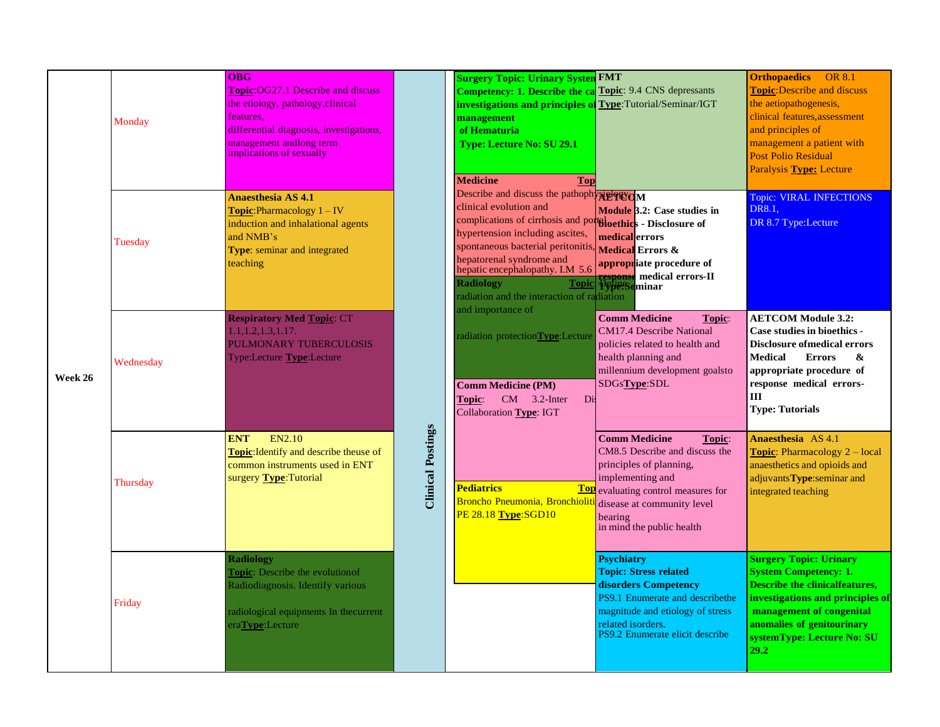|         | Monday    | <b>OBG</b><br><b>Topic:OG27.1 Describe and discuss</b><br>the etiology, pathology, clinical<br>features.<br>differential diagnosis, investigations,<br>management andlong term<br>implications of sexually |                          | <b>Surgery Topic: Urinary Systen FMT</b><br><b>Competency: 1. Describe the ca</b> Topic: 9.4 CNS depressants<br>investigations and principles of Type: Tutorial/Seminar/IGT<br>management<br>of Hematuria<br><b>Type: Lecture No: SU 29.1</b><br><b>Medicine</b><br><b>Top</b>                                                                               |                                                                                                                                                                                                                          | <b>Orthopaedics</b><br><b>OR 8.1</b><br><b>Topic:</b> Describe and discuss<br>the aetiopathogenesis,<br>clinical features, assessment<br>and principles of<br>management a patient with<br><b>Post Polio Residual</b><br><b>Paralysis Type: Lecture</b> |
|---------|-----------|------------------------------------------------------------------------------------------------------------------------------------------------------------------------------------------------------------|--------------------------|--------------------------------------------------------------------------------------------------------------------------------------------------------------------------------------------------------------------------------------------------------------------------------------------------------------------------------------------------------------|--------------------------------------------------------------------------------------------------------------------------------------------------------------------------------------------------------------------------|---------------------------------------------------------------------------------------------------------------------------------------------------------------------------------------------------------------------------------------------------------|
|         | Tuesday   | Anaesthesia AS 4.1<br><b>Topic:</b> Pharmacology $1 - IV$<br>induction and inhalational agents<br>and NMB's<br>Type: seminar and integrated<br>teaching                                                    |                          | Describe and discuss the pathophysic PCM<br>clinical evolution and<br>complications of cirrhosis and portiloethics - Disclosure of<br>hypertension including ascites,<br>spontaneous bacterial peritonitis,<br>hepatorenal syndrome and<br>hepatic encephalopathy. I.M 5.6<br><b>Radiology</b><br><b>Topic</b><br>radiation and the interaction of radiation | Module 3.2: Case studies in<br>medical errors<br><b>Medical Errors &amp;</b><br>appropriate procedure of<br>medical errors-II<br>respons<br>P¢pe:S<br>eminar                                                             | Topic: VIRAL INFECTIONS<br><b>DR8.1.</b><br>DR 8.7 Type:Lecture                                                                                                                                                                                         |
| Week 26 | Wednesday | <b>Respiratory Med Topic: CT</b><br>1.1, 1.2, 1.3, 1.17.<br>PULMONARY TUBERCULOSIS<br>Type:Lecture <b>Type</b> :Lecture                                                                                    |                          | and importance of<br>radiation protectionType:Lecture<br><b>Comm Medicine (PM)</b><br>$CM$ 3.2-Inter<br>Topic:<br>Di<br>Collaboration Type: IGT                                                                                                                                                                                                              | <b>Comm Medicine</b><br>Topic:<br><b>CM17.4 Describe National</b><br>policies related to health and<br>health planning and<br>millennium development goalsto<br>SDGsType:SDL                                             | <b>AETCOM Module 3.2:</b><br><b>Case studies in bioethics -</b><br><b>Disclosure of medical errors</b><br><b>Medical</b><br><b>Errors</b><br>&<br>appropriate procedure of<br>response medical errors-<br>Ш<br><b>Type: Tutorials</b>                   |
|         | Thursday  | EN2.10<br><b>ENT</b><br><b>Topic:</b> Identify and describe theuse of<br>common instruments used in ENT<br>surgery Type: Tutorial                                                                          | <b>Clinical Postings</b> | <b>Pediatrics</b><br>Top<br>Broncho Pneumonia, Bronchiolit<br>PE 28.18 Type:SGD10                                                                                                                                                                                                                                                                            | <b>Comm Medicine</b><br>Topic:<br>CM8.5 Describe and discuss the<br>principles of planning,<br>implementing and<br>evaluating control measures for<br>disease at community level<br>bearing<br>in mind the public health | <b>Anaesthesia</b> AS 4.1<br><b>Topic:</b> Pharmacology $2 - local$<br>anaesthetics and opioids and<br>adjuvantsType:seminar and<br>integrated teaching                                                                                                 |
|         | Friday    | <b>Radiology</b><br><b>Topic:</b> Describe the evolution of<br>Radiodiagnosis. Identify various<br>radiological equipments In thecurrent<br>eraType:Lecture                                                |                          |                                                                                                                                                                                                                                                                                                                                                              | <b>Psychiatry</b><br><b>Topic: Stress related</b><br>disorders Competency<br><b>PS9.1 Enumerate and describethe</b><br>magnitude and etiology of stress<br>related isorders.<br>PS9.2 Enumerate elicit describe          | <b>Surgery Topic: Urinary</b><br><b>System Competency: 1.</b><br><b>Describe the clinicalfeatures.</b><br>investigations and principles of<br>management of congenital<br>anomalies of genitourinary<br>systemType: Lecture No: SU<br>29.2              |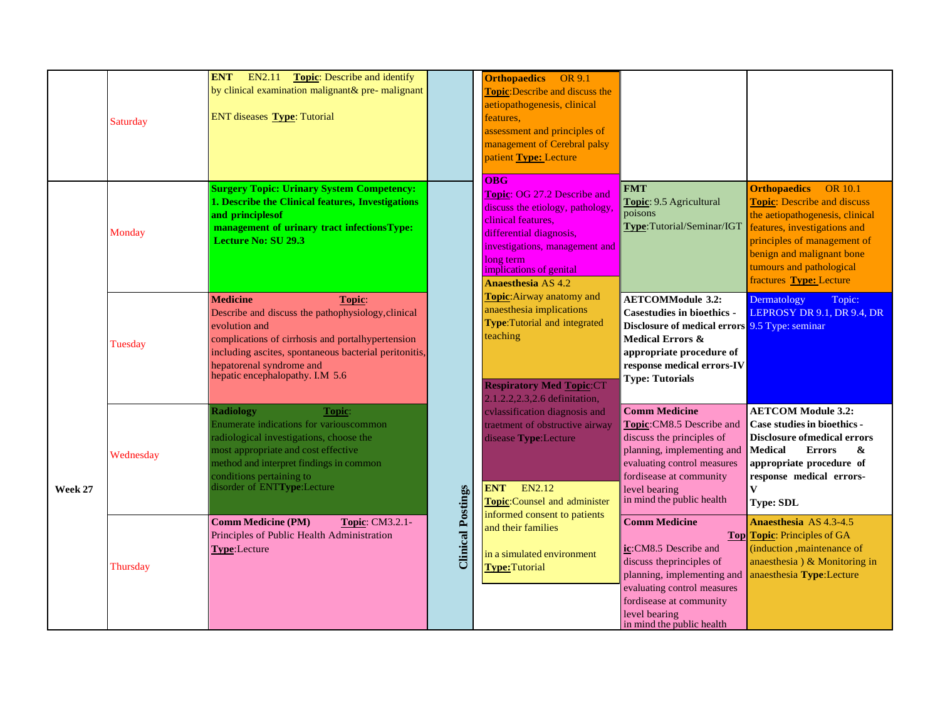|         | Saturday  | <b>ENT</b><br>EN2.11<br><b>Topic:</b> Describe and identify<br>by clinical examination malignant& pre- malignant<br>ENT diseases Type: Tutorial                                                                                                                               |                          | <b>Orthopaedics</b> OR 9.1<br><b>Topic:</b> Describe and discuss the<br>aetiopathogenesis, clinical<br>features,<br>assessment and principles of<br>management of Cerebral palsy<br>patient Type: Lecture<br>O <sub>BG</sub> |                                                                                                                                                                                                                         |                                                                                                                                                                                                                                                                   |
|---------|-----------|-------------------------------------------------------------------------------------------------------------------------------------------------------------------------------------------------------------------------------------------------------------------------------|--------------------------|------------------------------------------------------------------------------------------------------------------------------------------------------------------------------------------------------------------------------|-------------------------------------------------------------------------------------------------------------------------------------------------------------------------------------------------------------------------|-------------------------------------------------------------------------------------------------------------------------------------------------------------------------------------------------------------------------------------------------------------------|
|         | Monday    | <b>Surgery Topic: Urinary System Competency:</b><br>1. Describe the Clinical features, Investigations<br>and principles of<br>management of urinary tract infectionsType:<br><b>Lecture No: SU 29.3</b>                                                                       |                          | Topic: OG 27.2 Describe and<br>discuss the etiology, pathology,<br>clinical features.<br>differential diagnosis,<br>investigations, management and<br>long term<br>implications of genital<br><b>Anaesthesia AS 4.2</b>      | <b>FMT</b><br>Topic: 9.5 Agricultural<br>poisons<br>Type:Tutorial/Seminar/IGT                                                                                                                                           | <b>Orthopaedics</b><br><b>OR 10.1</b><br><b>Topic:</b> Describe and discuss<br>the aetiopathogenesis, clinical<br>features, investigations and<br>principles of management of<br>benign and malignant bone<br>tumours and pathological<br>fractures Type: Lecture |
|         | Tuesday   | <b>Medicine</b><br>Topic:<br>Describe and discuss the pathophysiology, clinical<br>evolution and<br>complications of cirrhosis and portalhypertension<br>including ascites, spontaneous bacterial peritonitis,<br>hepatorenal syndrome and<br>hepatic encephalopathy. I.M 5.6 |                          | Topic: Airway anatomy and<br>anaesthesia implications<br><b>Type:</b> Tutorial and integrated<br>teaching<br><b>Respiratory Med Topic:CT</b><br>2.1.2.2.2.3.2.6 definitation,                                                | <b>AETCOMModule 3.2:</b><br><b>Casestudies in bioethics -</b><br>Disclosure of medical errors 9.5 Type: seminar<br>Medical Errors &<br>appropriate procedure of<br>response medical errors-IV<br><b>Type: Tutorials</b> | Dermatology<br>Topic:<br>LEPROSY DR 9.1, DR 9.4, DR                                                                                                                                                                                                               |
| Week 27 | Wednesday | <b>Radiology</b><br>Topic:<br>Enumerate indications for various common<br>radiological investigations, choose the<br>most appropriate and cost effective<br>method and interpret findings in common<br>conditions pertaining to<br>disorder of ENTType:Lecture                |                          | cylassification diagnosis and<br>traetment of obstructive airway<br>disease Type:Lecture<br>EN2.12<br><b>ENT</b><br>Topic:Counsel and administer<br>informed consent to patients                                             | <b>Comm Medicine</b><br>Topic:CM8.5 Describe and<br>discuss the principles of<br>planning, implementing and<br>evaluating control measures<br>fordisease at community<br>level bearing<br>in mind the public health     | <b>AETCOM Module 3.2:</b><br>Case studies in bioethics -<br><b>Disclosure ofmedical errors</b><br><b>Medical</b><br><b>Errors</b><br>&<br>appropriate procedure of<br>response medical errors-<br>$\mathbf{V}$<br><b>Type: SDL</b>                                |
|         | Thursday  | <b>Comm Medicine (PM)</b><br>Topic: CM3.2.1-<br>Principles of Public Health Administration<br>Type:Lecture                                                                                                                                                                    | <b>Clinical Postings</b> | and their families<br>in a simulated environment<br><b>Type: Tutorial</b>                                                                                                                                                    | <b>Comm Medicine</b><br>ic:CM8.5 Describe and<br>discuss the principles of<br>planning, implementing and<br>evaluating control measures<br>fordisease at community<br>level bearing<br>in mind the public health        | <b>Anaesthesia AS 4.3-4.5</b><br><b>Top</b> Topic: Principles of GA<br>(induction ,maintenance of<br>anaesthesia) & Monitoring in<br>anaesthesia Type:Lecture                                                                                                     |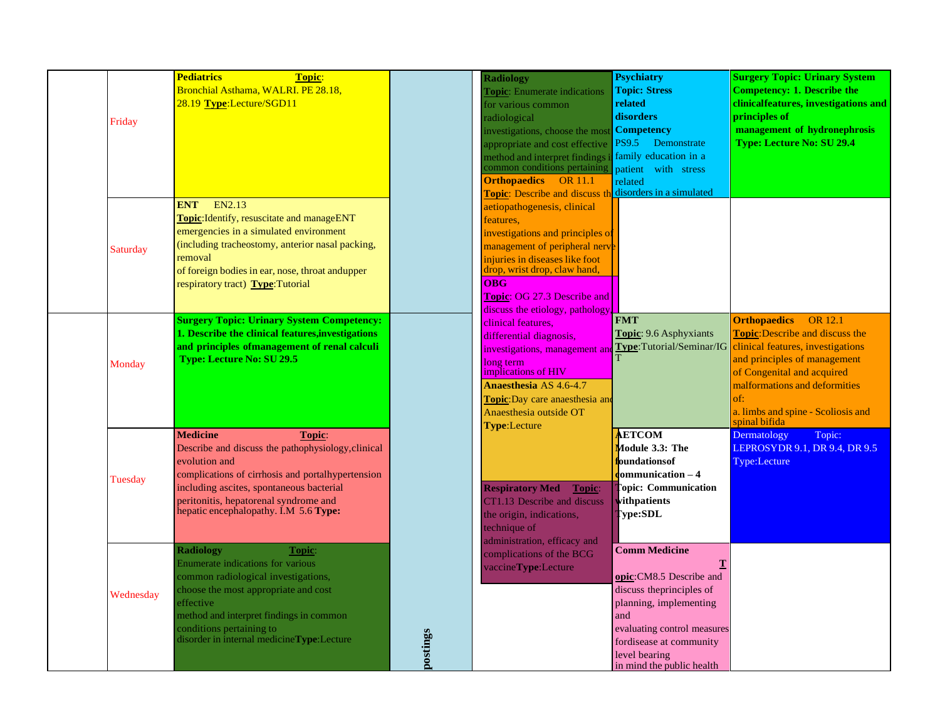| Friday    | <b>Pediatrics</b><br>Topic:<br>Bronchial Asthama, WALRI. PE 28.18,<br>28.19 Type:Lecture/SGD11                                                                                                                                                                                         |          | <b>Radiology</b><br><b>Topic:</b> Enumerate indications<br>for various common<br>radiological<br>investigations, choose the most<br>appropriate and cost effective<br>nethod and interpret findings in<br>common conditions pertaining<br><b>Orthopaedics</b> OR 11.1<br><b>Topic:</b> Describe and discuss the | <b>Psychiatry</b><br><b>Topic: Stress</b><br>related<br>disorders<br><b>Competency</b><br><b>PS9.5</b><br>Demonstrate<br>family education in a<br>patient with stress<br>related<br>disorders in a simulated          | <b>Surgery Topic: Urinary System</b><br><b>Competency: 1. Describe the</b><br>clinicalfeatures, investigations and<br>principles of<br>management of hydronephrosis<br>Type: Lecture No: SU 29.4                                                                                  |
|-----------|----------------------------------------------------------------------------------------------------------------------------------------------------------------------------------------------------------------------------------------------------------------------------------------|----------|-----------------------------------------------------------------------------------------------------------------------------------------------------------------------------------------------------------------------------------------------------------------------------------------------------------------|-----------------------------------------------------------------------------------------------------------------------------------------------------------------------------------------------------------------------|-----------------------------------------------------------------------------------------------------------------------------------------------------------------------------------------------------------------------------------------------------------------------------------|
| Saturday  | EN2.13<br><b>ENT</b><br>Topic: Identify, resuscitate and manageENT<br>emergencies in a simulated environment<br>(including tracheostomy, anterior nasal packing,<br>removal<br>of foreign bodies in ear, nose, throat andupper<br>respiratory tract) Type: Tutorial                    |          | aetiopathogenesis, clinical<br>features,<br>investigations and principles of<br>management of peripheral nerve<br>injuries in diseases like foot<br>drop, wrist drop, claw hand,<br><b>OBG</b><br>Topic: OG 27.3 Describe and<br>discuss the etiology, pathology                                                |                                                                                                                                                                                                                       |                                                                                                                                                                                                                                                                                   |
| Monday    | <b>Surgery Topic: Urinary System Competency:</b><br>1. Describe the clinical features, investigations<br>and principles ofmanagement of renal calculi<br><b>Type: Lecture No: SU 29.5</b>                                                                                              |          | clinical features.<br>differential diagnosis,<br>investigations, management and<br>long term<br>implications of HIV<br><b>Anaesthesia AS 4.6-4.7</b><br><b>Topic:</b> Day care anaesthesia and<br>Anaesthesia outside OT<br><b>Type:Lecture</b>                                                                 | <b>FMT</b><br>Topic: 9.6 Asphyxiants<br>Type:Tutorial/Seminar/IG                                                                                                                                                      | <b>Orthopaedics</b><br><b>OR</b> 12.1<br><b>Topic:</b> Describe and discuss the<br>clinical features, investigations<br>and principles of management<br>of Congenital and acquired<br>malformations and deformities<br>of:<br>a. limbs and spine - Scoliosis and<br>spinal bifida |
| Tuesday   | <b>Medicine</b><br>Topic:<br>Describe and discuss the pathophysiology, clinical<br>evolution and<br>complications of cirrhosis and portal hypertension<br>including ascites, spontaneous bacterial<br>peritonitis, hepatorenal syndrome and<br>hepatic encephalopathy. I.M 5.6 Type:   |          | <b>Respiratory Med</b><br>Topic:<br>CT1.13 Describe and discuss<br>the origin, indications,<br>technique of<br>administration, efficacy and                                                                                                                                                                     | <b>AETCOM</b><br>Module 3.3: The<br>foundationsof<br>dommunication – 4<br><b>Communication</b><br>vithpatients<br>[ype:SDL]                                                                                           | Dermatology<br>Topic:<br>LEPROSYDR 9.1, DR 9.4, DR 9.5<br>Type:Lecture                                                                                                                                                                                                            |
| Wednesday | <b>Radiology</b><br>Topic:<br><b>Enumerate indications for various</b><br>common radiological investigations,<br>choose the most appropriate and cost<br>effective<br>method and interpret findings in common<br>conditions pertaining to<br>disorder in internal medicineType:Lecture | postings | complications of the BCG<br>vaccineType:Lecture                                                                                                                                                                                                                                                                 | <b>Comm Medicine</b><br>opic:CM8.5 Describe and<br>discuss the principles of<br>planning, implementing<br>and<br>evaluating control measures<br>fordisease at community<br>level bearing<br>in mind the public health |                                                                                                                                                                                                                                                                                   |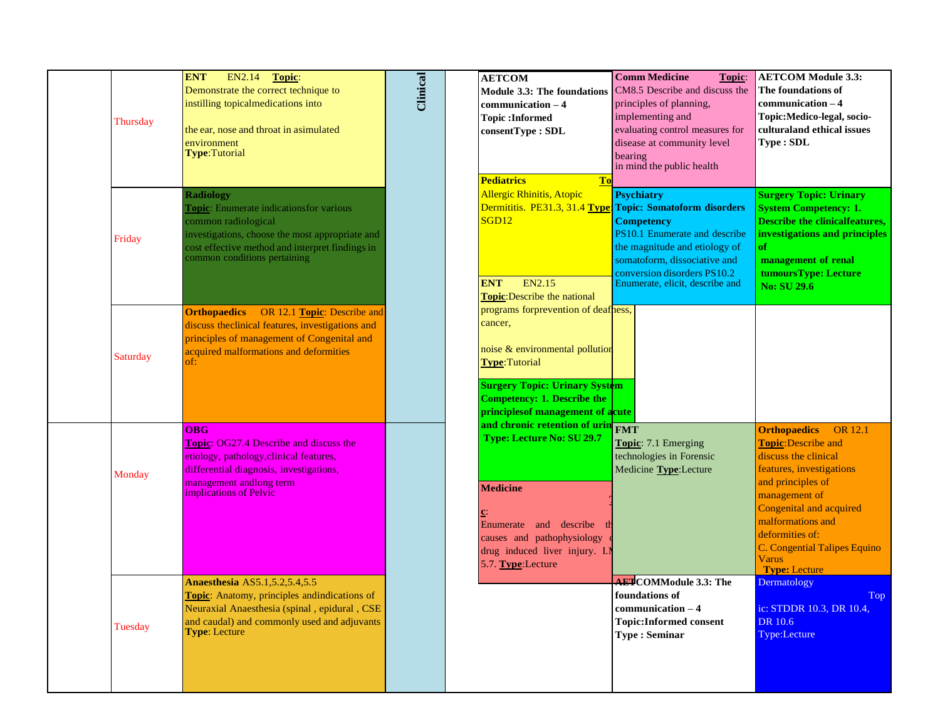| Thursday | <b>ENT</b><br>EN2.14<br>Topic:<br>Demonstrate the correct technique to<br>instilling topicalmedications into<br>the ear, nose and throat in asimulated<br>environment<br>Type:Tutorial                                   | Clinical | <b>AETCOM</b><br>$communication - 4$<br><b>Topic:Informed</b><br>consentType: SDL<br><b>Pediatrics</b><br>To                                                                                                          | <b>Comm Medicine</b><br>Topic:<br>Module 3.3: The foundations CM8.5 Describe and discuss the<br>principles of planning,<br>implementing and<br>evaluating control measures for<br>disease at community level<br>bearing<br>in mind the public health                     | <b>AETCOM Module 3.3:</b><br>The foundations of<br>$communication - 4$<br>Topic: Medico-legal, socio-<br>culturaland ethical issues<br>Type: SDL                                                                                                                                                                |
|----------|--------------------------------------------------------------------------------------------------------------------------------------------------------------------------------------------------------------------------|----------|-----------------------------------------------------------------------------------------------------------------------------------------------------------------------------------------------------------------------|--------------------------------------------------------------------------------------------------------------------------------------------------------------------------------------------------------------------------------------------------------------------------|-----------------------------------------------------------------------------------------------------------------------------------------------------------------------------------------------------------------------------------------------------------------------------------------------------------------|
| Friday   | <b>Radiology</b><br>Topic: Enumerate indicationsfor various<br>common radiological<br>investigations, choose the most appropriate and<br>cost effective method and interpret findings in<br>common conditions pertaining |          | <b>Allergic Rhinitis, Atopic</b><br>SGD12<br>EN2.15<br><b>ENT</b><br><b>Topic:</b> Describe the national                                                                                                              | <b>Psychiatry</b><br>Dermititis. PE31.3, 31.4 Type: Topic: Somatoform disorders<br><b>Competency</b><br>PS10.1 Enumerate and describe<br>the magnitude and etiology of<br>somatoform, dissociative and<br>conversion disorders PS10.2<br>Enumerate, elicit, describe and | <b>Surgery Topic: Urinary</b><br><b>System Competency: 1.</b><br><b>Describe the clinicalfeatures,</b><br>investigations and principles<br>of<br>management of renal<br>tumoursType: Lecture<br><b>No: SU 29.6</b>                                                                                              |
| Saturday | OR 12.1 Topic: Describe and<br><b>Orthopaedics</b><br>discuss the clinical features, investigations and<br>principles of management of Congenital and<br>acquired malformations and deformities                          |          | programs forprevention of deafness,<br>cancer,<br>noise & environmental pollution<br>Type:Tutorial<br><b>Surgery Topic: Urinary System</b><br><b>Competency: 1. Describe the</b><br>principles of management of acute |                                                                                                                                                                                                                                                                          |                                                                                                                                                                                                                                                                                                                 |
| Monday   | <b>OBG</b><br><b>Topic: OG27.4 Describe and discuss the</b><br>etiology, pathology, clinical features,<br>differential diagnosis, investigations,<br>management andlong term<br>implications of Pelvic                   |          | and chronic retention of urin FMT<br>Type: Lecture No: SU 29.7<br><b>Medicine</b><br>Enumerate and describe<br>causes and pathophysiology<br>drug induced liver injury. I.M<br>5.7. Type:Lecture                      | Topic: 7.1 Emerging<br>technologies in Forensic<br>Medicine Type:Lecture                                                                                                                                                                                                 | <b>Orthopaedics</b><br><b>OR</b> 12.1<br><b>Topic: Describe and</b><br>discuss the clinical<br>features, investigations<br>and principles of<br>management of<br><b>Congenital and acquired</b><br>malformations and<br>deformities of:<br>C. Congential Talipes Equino<br><b>Varus</b><br><b>Type: Lecture</b> |
| Tuesday  | <b>Anaesthesia AS5.1,5.2,5.4,5.5</b><br>Topic: Anatomy, principles andindications of<br>Neuraxial Anaesthesia (spinal, epidural, CSE<br>and caudal) and commonly used and adjuvants<br><b>Type:</b> Lecture              |          |                                                                                                                                                                                                                       | <b>AET</b> COMModule 3.3: The<br>foundations of<br>$communication - 4$<br><b>Topic:Informed consent</b><br><b>Type: Seminar</b>                                                                                                                                          | Dermatology<br>Top<br>ic: STDDR 10.3, DR 10.4,<br>DR 10.6<br>Type:Lecture                                                                                                                                                                                                                                       |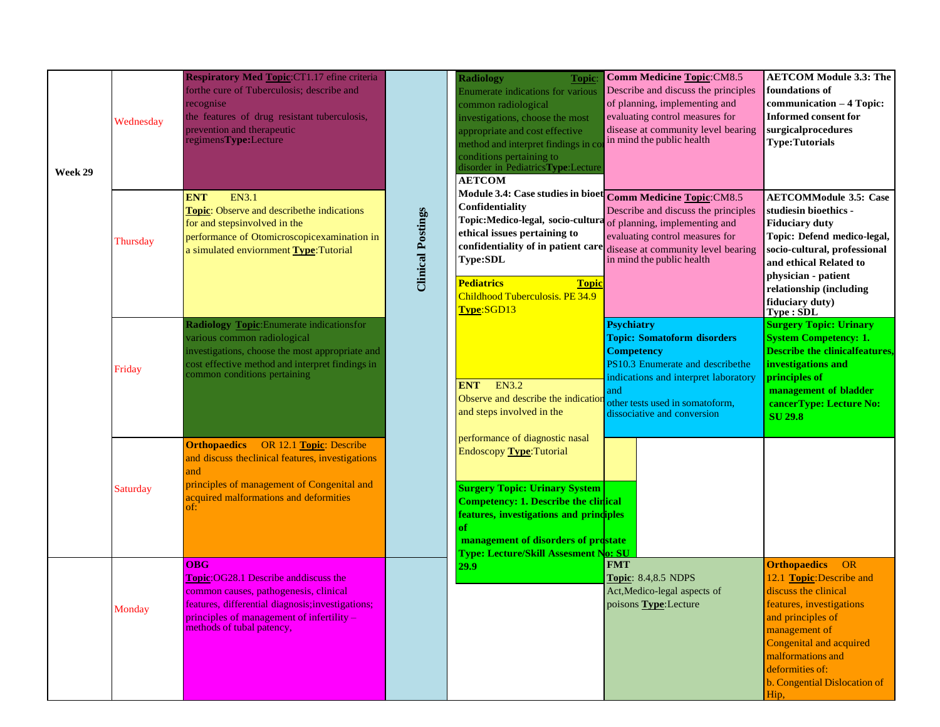| Week 29 | Wednesday | Respiratory Med Topic:CT1.17 efine criteria<br>forthe cure of Tuberculosis; describe and<br>recognise<br>the features of drug resistant tuberculosis,<br>prevention and therapeutic<br>regimensType:Lecture                          |                          | <b>Radiology</b><br>Topic<br><b>Enumerate indications for various</b><br>common radiological<br>investigations, choose the most<br>appropriate and cost effective<br>method and interpret findings in co<br>conditions pertaining to<br>disorder in PediatricsType:Lecture<br><b>AETCOM</b> | <b>Comm Medicine Topic: CM8.5</b><br>Describe and discuss the principles<br>of planning, implementing and<br>evaluating control measures for<br>disease at community level bearing<br>in mind the public health                   | <b>AETCOM Module 3.3: The</b><br>foundations of<br>communication - 4 Topic:<br><b>Informed consent for</b><br>surgicalprocedures<br><b>Type:Tutorials</b>                                                                                                  |
|---------|-----------|--------------------------------------------------------------------------------------------------------------------------------------------------------------------------------------------------------------------------------------|--------------------------|---------------------------------------------------------------------------------------------------------------------------------------------------------------------------------------------------------------------------------------------------------------------------------------------|-----------------------------------------------------------------------------------------------------------------------------------------------------------------------------------------------------------------------------------|------------------------------------------------------------------------------------------------------------------------------------------------------------------------------------------------------------------------------------------------------------|
|         | Thursday  | <b>ENT</b><br><b>EN3.1</b><br><b>Topic:</b> Observe and describethe indications<br>for and stepsinvolved in the<br>performance of Otomicroscopicexamination in<br>a simulated enviornment Type: Tutorial                             | <b>Clinical Postings</b> | Module 3.4: Case studies in bioet Comm Medicine Topic:CM8.5<br>Confidentiality<br>Topic:Medico-legal, socio-cultura of planning, implementing and<br>ethical issues pertaining to<br><b>Type:SDL</b><br><b>Pediatrics</b><br><b>Topic</b><br>Childhood Tuberculosis. PE 34.9<br>Type:SGD13  | Describe and discuss the principles<br>evaluating control measures for<br>confidentiality of in patient care disease at community level bearing<br>in mind the public health                                                      | <b>AETCOMModule 3.5: Case</b><br>studiesin bioethics -<br><b>Fiduciary duty</b><br>Topic: Defend medico-legal,<br>socio-cultural, professional<br>and ethical Related to<br>physician - patient<br>relationship (including<br>fiduciary duty)<br>Type:SDL  |
|         | Friday    | <b>Radiology Topic:</b> Enumerate indicationsfor<br>various common radiological<br>investigations, choose the most appropriate and<br>cost effective method and interpret findings in<br>common conditions pertaining                |                          | <b>EN3.2</b><br><b>ENT</b><br>Observe and describe the indication<br>and steps involved in the                                                                                                                                                                                              | <b>Psychiatry</b><br><b>Topic: Somatoform disorders</b><br><b>Competency</b><br>PS10.3 Enumerate and describethe<br>indications and interpret laboratory<br>and<br>other tests used in somatoform,<br>dissociative and conversion | <b>Surgery Topic: Urinary</b><br><b>System Competency: 1.</b><br><b>Describe the clinicalfeatures,</b><br>investigations and<br>principles of<br>management of bladder<br>cancerType: Lecture No:<br><b>SU 29.8</b>                                        |
|         | Saturday  | <b>Orthopaedics</b> OR 12.1 Topic: Describe<br>and discuss theclinical features, investigations<br>and<br>principles of management of Congenital and<br>acquired malformations and deformities<br>of:                                |                          | performance of diagnostic nasal<br>Endoscopy Type: Tutorial<br><b>Surgery Topic: Urinary System</b><br><b>Competency: 1. Describe the clinical</b><br>features, investigations and principles<br>of<br>management of disorders of prostate<br><b>Type: Lecture/Skill Assesment No: SU</b>   |                                                                                                                                                                                                                                   |                                                                                                                                                                                                                                                            |
|         | Monday    | <b>OBG</b><br><b>Topic:OG28.1 Describe and discuss the</b><br>common causes, pathogenesis, clinical<br>features, differential diagnosis; investigations;<br>principles of management of infertility $-$<br>methods of tubal patency, |                          | 29.9                                                                                                                                                                                                                                                                                        | <b>FMT</b><br><b>Topic: 8.4,8.5 NDPS</b><br>Act, Medico-legal aspects of<br>poisons <b>Type</b> : Lecture                                                                                                                         | <b>Orthopaedics</b><br>OR<br>12.1 Topic: Describe and<br>discuss the clinical<br>features, investigations<br>and principles of<br>management of<br>Congenital and acquired<br>malformations and<br>deformities of:<br>b. Congential Dislocation of<br>Hip, |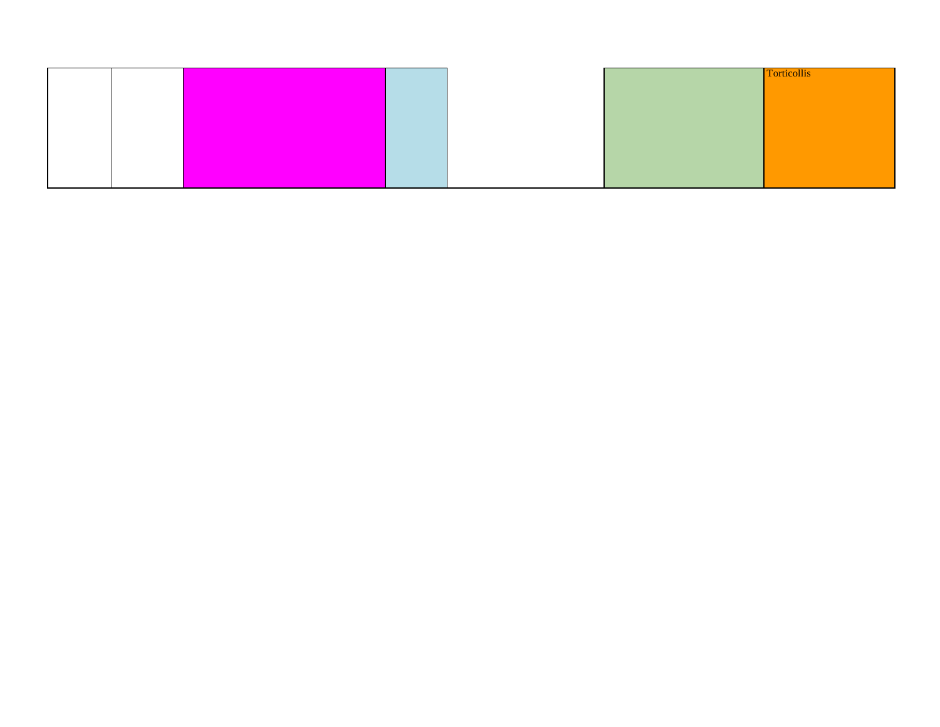|  |  |  | <b>Torticollis</b> |
|--|--|--|--------------------|
|  |  |  |                    |
|  |  |  |                    |
|  |  |  |                    |
|  |  |  |                    |
|  |  |  |                    |
|  |  |  |                    |
|  |  |  |                    |
|  |  |  |                    |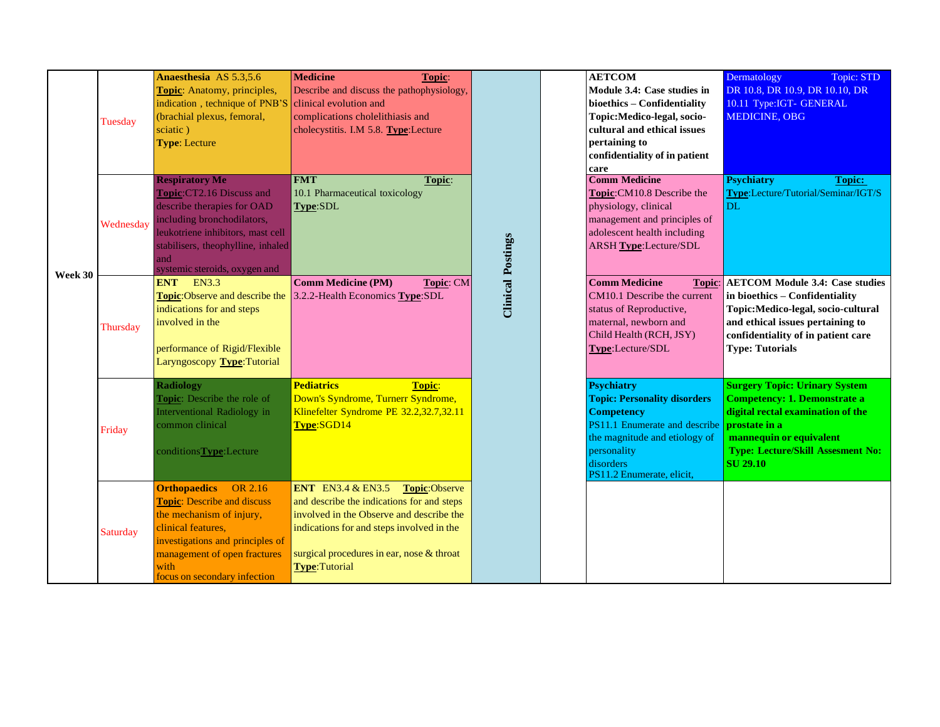|         | Tuesday   | Anaesthesia AS 5.3,5.6<br>Topic: Anatomy, principles,<br>indication, technique of PNB'S<br>(brachial plexus, femoral,<br>sciatic)<br><b>Type: Lecture</b>                                                                        | <b>Medicine</b><br>Topic:<br>Describe and discuss the pathophysiology,<br>clinical evolution and<br>complications cholelithiasis and<br>cholecystitis. I.M 5.8. Type:Lecture                                                                          |                          | <b>AETCOM</b><br>Module 3.4: Case studies in<br>bioethics - Confidentiality<br>Topic: Medico-legal, socio-<br>cultural and ethical issues<br>pertaining to<br>confidentiality of in patient<br>care      | Dermatology<br>Topic: STD<br>DR 10.8, DR 10.9, DR 10.10, DR<br>10.11 Type:IGT- GENERAL<br><b>MEDICINE, OBG</b>                                                                                                              |
|---------|-----------|----------------------------------------------------------------------------------------------------------------------------------------------------------------------------------------------------------------------------------|-------------------------------------------------------------------------------------------------------------------------------------------------------------------------------------------------------------------------------------------------------|--------------------------|----------------------------------------------------------------------------------------------------------------------------------------------------------------------------------------------------------|-----------------------------------------------------------------------------------------------------------------------------------------------------------------------------------------------------------------------------|
|         | Wednesday | <b>Respiratory Me</b><br>Topic:CT2.16 Discuss and<br>describe therapies for OAD<br>including bronchodilators,<br>leukotriene inhibitors, mast cell<br>stabilisers, theophylline, inhaled<br>and<br>systemic steroids, oxygen and | <b>FMT</b><br>Topic:<br>10.1 Pharmaceutical toxicology<br>Type:SDL                                                                                                                                                                                    |                          | <b>Comm Medicine</b><br>Topic:CM10.8 Describe the<br>physiology, clinical<br>management and principles of<br>adolescent health including<br><b>ARSH Type:Lecture/SDL</b>                                 | <b>Psychiatry</b><br>Topic:<br>Type:Lecture/Tutorial/Seminar/IGT/S<br>DL.                                                                                                                                                   |
| Week 30 | Thursday  | ENT EN3.3<br>Topic:Observe and describe the<br>indications for and steps<br>involved in the<br>performance of Rigid/Flexible<br>Laryngoscopy Type: Tutorial                                                                      | <b>Comm Medicine (PM)</b><br>Topic: CM<br>3.2.2-Health Economics Type:SDL                                                                                                                                                                             | <b>Clinical Postings</b> | <b>Comm Medicine</b><br>CM10.1 Describe the current<br>status of Reproductive,<br>maternal, newborn and<br>Child Health (RCH, JSY)<br>Type:Lecture/SDL                                                   | <b>Topic:</b> AETCOM Module 3.4: Case studies<br>in bioethics - Confidentiality<br>Topic: Medico-legal, socio-cultural<br>and ethical issues pertaining to<br>confidentiality of in patient care<br><b>Type: Tutorials</b>  |
|         | Friday    | <b>Radiology</b><br>Topic: Describe the role of<br>Interventional Radiology in<br>common clinical<br>conditionsType:Lecture                                                                                                      | <b>Pediatrics</b><br><b>Topic:</b><br>Down's Syndrome, Turnerr Syndrome,<br>Klinefelter Syndrome PE 32.2,32.7,32.11<br>Type:SGD14                                                                                                                     |                          | <b>Psychiatry</b><br><b>Topic: Personality disorders</b><br><b>Competency</b><br>PS11.1 Enumerate and describe<br>the magnitude and etiology of<br>personality<br>disorders<br>PS11.2 Enumerate, elicit, | <b>Surgery Topic: Urinary System</b><br><b>Competency: 1. Demonstrate a</b><br>digital rectal examination of the<br>prostate in a<br>mannequin or equivalent<br><b>Type: Lecture/Skill Assesment No:</b><br><b>SU 29.10</b> |
|         | Saturday  | <b>Orthopaedics</b> OR 2.16<br><b>Topic:</b> Describe and discuss<br>the mechanism of injury,<br>clinical features,<br>investigations and principles of<br>management of open fractures<br>with<br>focus on secondary infection  | <b>ENT</b> EN3.4 & EN3.5<br>Topic:Observe<br>and describe the indications for and steps<br>involved in the Observe and describe the<br>indications for and steps involved in the<br>surgical procedures in ear, nose & throat<br><b>Type:Tutorial</b> |                          |                                                                                                                                                                                                          |                                                                                                                                                                                                                             |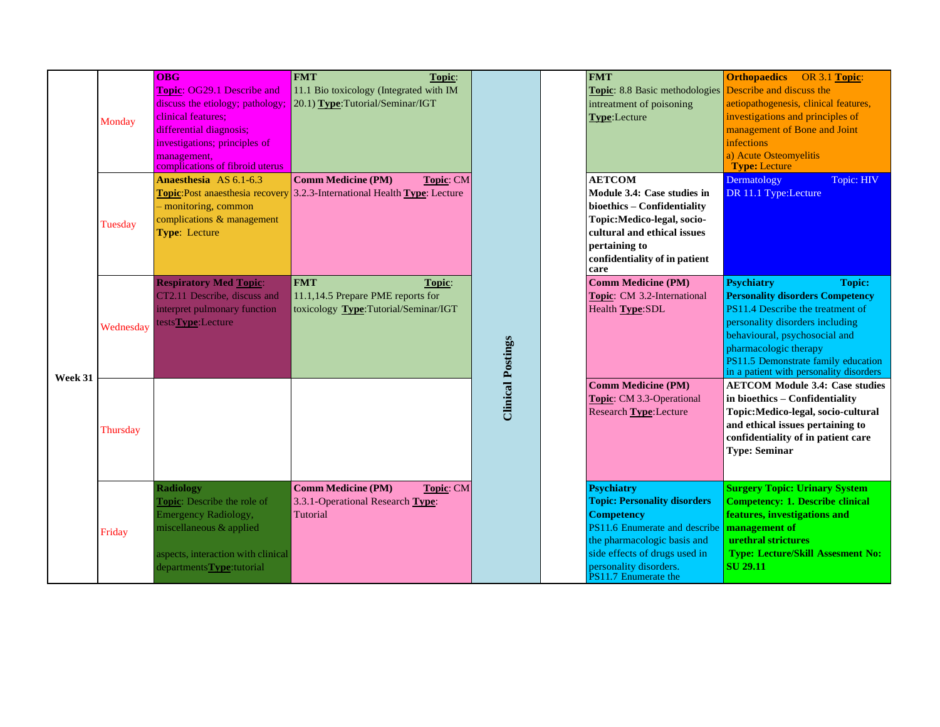|         | Monday    | <b>OBG</b><br>Topic: OG29.1 Describe and<br>discuss the etiology; pathology;<br>clinical features:<br>differential diagnosis;<br>investigations; principles of<br>management,<br>complications of fibroid uterus | <b>FMT</b><br>Topic:<br>11.1 Bio toxicology (Integrated with IM<br>20.1) Type: Tutorial/Seminar/IGT                                |                          | <b>FMT</b><br><b>Topic:</b> 8.8 Basic methodologies <b>Describe and discuss the</b><br>intreatment of poisoning<br>Type:Lecture                                                                                                  | <b>Orthopaedics</b><br>OR 3.1 Topic:<br>aetiopathogenesis, clinical features,<br>investigations and principles of<br>management of Bone and Joint<br>infections<br>a) Acute Osteomyelitis<br><b>Type: Lecture</b>                                                                                |
|---------|-----------|------------------------------------------------------------------------------------------------------------------------------------------------------------------------------------------------------------------|------------------------------------------------------------------------------------------------------------------------------------|--------------------------|----------------------------------------------------------------------------------------------------------------------------------------------------------------------------------------------------------------------------------|--------------------------------------------------------------------------------------------------------------------------------------------------------------------------------------------------------------------------------------------------------------------------------------------------|
|         | Tuesday   | Anaesthesia AS 6.1-6.3<br>- monitoring, common<br>complications & management<br><b>Type: Lecture</b>                                                                                                             | <b>Comm Medicine (PM)</b><br>Topic: CM<br><b>Topic:</b> Post anaesthesia recovery 3.2.3-International Health <b>Type</b> : Lecture |                          | <b>AETCOM</b><br>Module 3.4: Case studies in<br>bioethics - Confidentiality<br>Topic:Medico-legal, socio-<br>cultural and ethical issues<br>pertaining to<br>confidentiality of in patient<br>care                               | Dermatology<br>Topic: HIV<br>DR 11.1 Type:Lecture                                                                                                                                                                                                                                                |
|         | Wednesday | <b>Respiratory Med Topic:</b><br>CT2.11 Describe, discuss and<br>interpret pulmonary function<br>testsType:Lecture                                                                                               | <b>FMT</b><br>Topic:<br>11.1,14.5 Prepare PME reports for<br>toxicology Type:Tutorial/Seminar/IGT                                  | <b>Clinical Postings</b> | <b>Comm Medicine (PM)</b><br>Topic: CM 3.2-International<br>Health Type:SDL                                                                                                                                                      | <b>Psychiatry</b><br><b>Topic:</b><br><b>Personality disorders Competency</b><br>PS11.4 Describe the treatment of<br>personality disorders including<br>behavioural, psychosocial and<br>pharmacologic therapy<br>PS11.5 Demonstrate family education<br>in a patient with personality disorders |
| Week 31 | Thursday  |                                                                                                                                                                                                                  |                                                                                                                                    |                          | <b>Comm Medicine (PM)</b><br>Topic: CM 3.3-Operational<br>Research Type: Lecture                                                                                                                                                 | <b>AETCOM Module 3.4: Case studies</b><br>in bioethics - Confidentiality<br>Topic: Medico-legal, socio-cultural<br>and ethical issues pertaining to<br>confidentiality of in patient care<br><b>Type: Seminar</b>                                                                                |
|         | Friday    | <b>Radiology</b><br>Topic: Describe the role of<br><b>Emergency Radiology,</b><br>miscellaneous & applied<br>aspects, interaction with clinical<br>departments Type: tutorial                                    | <b>Comm Medicine (PM)</b><br><b>Topic: CM</b><br>3.3.1-Operational Research Type:<br>Tutorial                                      |                          | <b>Psychiatry</b><br><b>Topic: Personality disorders</b><br><b>Competency</b><br>PS11.6 Enumerate and describe<br>the pharmacologic basis and<br>side effects of drugs used in<br>personality disorders.<br>PS11.7 Enumerate the | <b>Surgery Topic: Urinary System</b><br><b>Competency: 1. Describe clinical</b><br>features, investigations and<br>management of<br>urethral strictures<br><b>Type: Lecture/Skill Assesment No:</b><br><b>SU</b> 29.11                                                                           |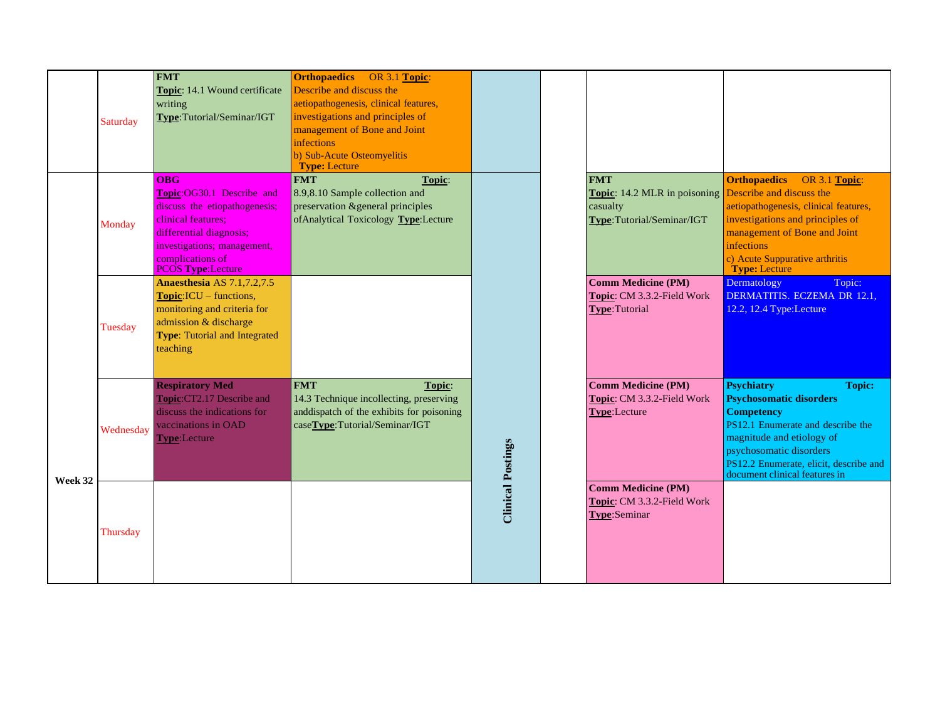|         | Saturday  | <b>FMT</b><br>Topic: 14.1 Wound certificate<br>writing<br>Type:Tutorial/Seminar/IGT                                                                                                                      | <b>Orthopaedics</b> OR 3.1 Topic:<br>Describe and discuss the<br>aetiopathogenesis, clinical features,<br>investigations and principles of<br>management of Bone and Joint<br><i>infections</i><br>b) Sub-Acute Osteomyelitis<br><b>Type: Lecture</b> |                          |                                                                                            |                                                                                                                                                                                                                                                                   |
|---------|-----------|----------------------------------------------------------------------------------------------------------------------------------------------------------------------------------------------------------|-------------------------------------------------------------------------------------------------------------------------------------------------------------------------------------------------------------------------------------------------------|--------------------------|--------------------------------------------------------------------------------------------|-------------------------------------------------------------------------------------------------------------------------------------------------------------------------------------------------------------------------------------------------------------------|
|         | Monday    | <b>OBG</b><br>Topic:OG30.1 Describe and<br>discuss the etiopathogenesis;<br>clinical features:<br>differential diagnosis;<br>investigations; management,<br>complications of<br><b>PCOS Type:Lecture</b> | <b>FMT</b><br>Topic:<br>8.9,8.10 Sample collection and<br>preservation & general principles<br>of Analytical Toxicology Type: Lecture                                                                                                                 |                          | <b>FMT</b><br><b>Topic:</b> 14.2 MLR in poisoning<br>casualty<br>Type:Tutorial/Seminar/IGT | <b>Orthopaedics</b><br>OR 3.1 Topic:<br>Describe and discuss the<br>aetiopathogenesis, clinical features,<br>investigations and principles of<br>management of Bone and Joint<br>infections<br>c) Acute Suppurative arthritis<br><b>Type: Lecture</b>             |
|         | Tuesday   | <b>Anaesthesia AS 7.1,7.2,7.5</b><br>$Topic: ICU - functions,$<br>monitoring and criteria for<br>admission & discharge<br><b>Type:</b> Tutorial and Integrated<br>teaching                               |                                                                                                                                                                                                                                                       |                          | <b>Comm Medicine (PM)</b><br>Topic: CM 3.3.2-Field Work<br>Type:Tutorial                   | Dermatology<br>Topic:<br>DERMATITIS. ECZEMA DR 12.1,<br>12.2, 12.4 Type: Lecture                                                                                                                                                                                  |
|         | Wednesday | <b>Respiratory Med</b><br>Topic:CT2.17 Describe and<br>discuss the indications for<br>vaccinations in OAD<br>Type:Lecture                                                                                | <b>FMT</b><br>Topic:<br>14.3 Technique incollecting, preserving<br>and<br>dispatch of the exhibits for poisoning<br>caseType:Tutorial/Seminar/IGT                                                                                                     |                          | <b>Comm Medicine (PM)</b><br>Topic: CM 3.3.2-Field Work<br>Type:Lecture                    | <b>Psychiatry</b><br><b>Topic:</b><br><b>Psychosomatic disorders</b><br><b>Competency</b><br>PS12.1 Enumerate and describe the<br>magnitude and etiology of<br>psychosomatic disorders<br>PS12.2 Enumerate, elicit, describe and<br>document clinical features in |
| Week 32 | Thursday  |                                                                                                                                                                                                          |                                                                                                                                                                                                                                                       | <b>Clinical Postings</b> | <b>Comm Medicine (PM)</b><br>Topic: CM 3.3.2-Field Work<br>Type:Seminar                    |                                                                                                                                                                                                                                                                   |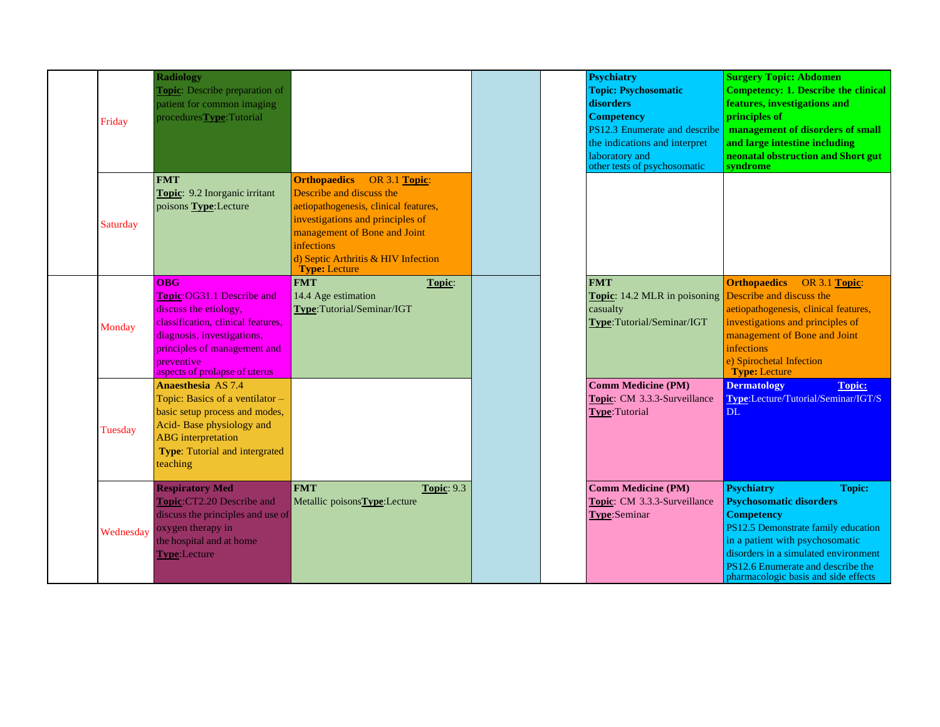| Friday    | <b>Radiology</b><br><b>Topic:</b> Describe preparation of<br>patient for common imaging<br>proceduresType:Tutorial                                                                                                   |                                                                                                                                                                                                                                                            | <b>Psychiatry</b><br><b>Topic: Psychosomatic</b><br>disorders<br><b>Competency</b><br>PS12.3 Enumerate and describe<br>the indications and interpret<br>laboratory and<br>other tests of psychosomatic | <b>Surgery Topic: Abdomen</b><br><b>Competency: 1. Describe the clinical</b><br>features, investigations and<br>principles of<br>management of disorders of small<br>and large intestine including<br>neonatal obstruction and Short gut<br>syndrome                                     |
|-----------|----------------------------------------------------------------------------------------------------------------------------------------------------------------------------------------------------------------------|------------------------------------------------------------------------------------------------------------------------------------------------------------------------------------------------------------------------------------------------------------|--------------------------------------------------------------------------------------------------------------------------------------------------------------------------------------------------------|------------------------------------------------------------------------------------------------------------------------------------------------------------------------------------------------------------------------------------------------------------------------------------------|
| Saturday  | <b>FMT</b><br>Topic: 9.2 Inorganic irritant<br>poisons Type:Lecture                                                                                                                                                  | <b>Orthopaedics</b><br>OR 3.1 Topic:<br>Describe and discuss the<br>aetiopathogenesis, clinical features,<br>investigations and principles of<br>management of Bone and Joint<br>infections<br>d) Septic Arthritis & HIV Infection<br><b>Type: Lecture</b> |                                                                                                                                                                                                        |                                                                                                                                                                                                                                                                                          |
| Monday    | <b>OBG</b><br>Topic: OG31.1 Describe and<br>discuss the etiology,<br>classification, clinical features,<br>diagnosis, investigations,<br>principles of management and<br>preventive<br>aspects of prolapse of uterus | <b>FMT</b><br>Topic:<br>14.4 Age estimation<br>Type:Tutorial/Seminar/IGT                                                                                                                                                                                   | <b>FMT</b><br><b>Topic:</b> 14.2 MLR in poisoning <b>Describe and discuss the</b><br>casualty<br>Type:Tutorial/Seminar/IGT                                                                             | <b>Orthopaedics</b><br>OR $3.1$ Topic:<br>aetiopathogenesis, clinical features,<br>investigations and principles of<br>management of Bone and Joint<br>infections<br>e) Spirochetal Infection<br><b>Type: Lecture</b>                                                                    |
| Tuesday   | <b>Anaesthesia AS 7.4</b><br>Topic: Basics of a ventilator -<br>basic setup process and modes,<br>Acid-Base physiology and<br><b>ABG</b> interpretation<br>Type: Tutorial and intergrated<br>teaching                |                                                                                                                                                                                                                                                            | <b>Comm Medicine (PM)</b><br>Topic: CM 3.3.3-Surveillance<br>Type:Tutorial                                                                                                                             | <b>Topic:</b><br><b>Dermatology</b><br>Type:Lecture/Tutorial/Seminar/IGT/S<br><b>DL</b>                                                                                                                                                                                                  |
| Wednesday | <b>Respiratory Med</b><br>Topic:CT2.20 Describe and<br>discuss the principles and use of<br>oxygen therapy in<br>the hospital and at home<br><b>Type:</b> Lecture                                                    | <b>FMT</b><br><b>Topic: 9.3</b><br>Metallic poisonsType:Lecture                                                                                                                                                                                            | <b>Comm Medicine (PM)</b><br>Topic: CM 3.3.3-Surveillance<br>Type:Seminar                                                                                                                              | <b>Psychiatry</b><br><b>Topic:</b><br><b>Psychosomatic disorders</b><br><b>Competency</b><br>PS12.5 Demonstrate family education<br>in a patient with psychosomatic<br>disorders in a simulated environment<br>PS12.6 Enumerate and describe the<br>pharmacologic basis and side effects |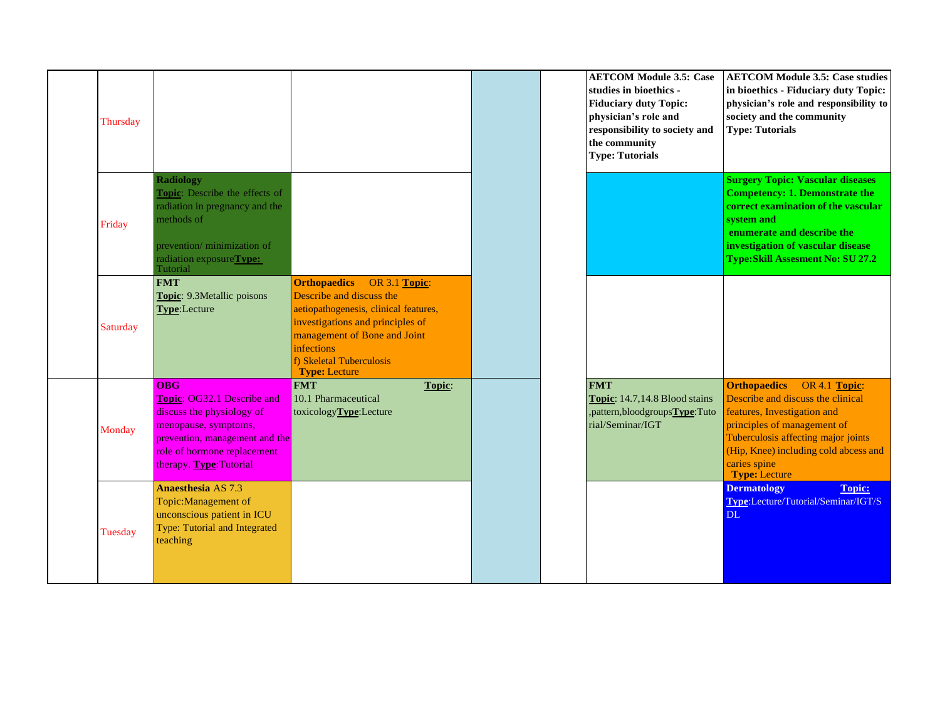| Thursday |                                                                                                                                                                                                 |                                                                                                                                                                                                                                              |  | <b>AETCOM Module 3.5: Case</b><br>studies in bioethics -<br><b>Fiduciary duty Topic:</b><br>physician's role and<br>responsibility to society and<br>the community<br><b>Type: Tutorials</b> | <b>AETCOM Module 3.5: Case studies</b><br>in bioethics - Fiduciary duty Topic:<br>physician's role and responsibility to<br>society and the community<br><b>Type: Tutorials</b>                                                                                 |
|----------|-------------------------------------------------------------------------------------------------------------------------------------------------------------------------------------------------|----------------------------------------------------------------------------------------------------------------------------------------------------------------------------------------------------------------------------------------------|--|----------------------------------------------------------------------------------------------------------------------------------------------------------------------------------------------|-----------------------------------------------------------------------------------------------------------------------------------------------------------------------------------------------------------------------------------------------------------------|
| Friday   | <b>Radiology</b><br>Topic: Describe the effects of<br>radiation in pregnancy and the<br>methods of<br>prevention/ minimization of<br>radiation exposureType:<br>Tutorial                        |                                                                                                                                                                                                                                              |  |                                                                                                                                                                                              | <b>Surgery Topic: Vascular diseases</b><br><b>Competency: 1. Demonstrate the</b><br>correct examination of the vascular<br>system and<br>enumerate and describe the<br>investigation of vascular disease<br><b>Type:Skill Assesment No: SU 27.2</b>             |
| Saturday | <b>FMT</b><br>Topic: 9.3Metallic poisons<br>Type:Lecture                                                                                                                                        | <b>Orthopaedics</b> OR 3.1 Topic:<br>Describe and discuss the<br>aetiopathogenesis, clinical features,<br>investigations and principles of<br>management of Bone and Joint<br>infections<br>f) Skeletal Tuberculosis<br><b>Type: Lecture</b> |  |                                                                                                                                                                                              |                                                                                                                                                                                                                                                                 |
| Monday   | $\overline{OBG}$<br>Topic: OG32.1 Describe and<br>discuss the physiology of<br>menopause, symptoms,<br>prevention, management and the<br>role of hormone replacement<br>therapy. Type: Tutorial | <b>FMT</b><br>Topic:<br>10.1 Pharmaceutical<br>toxicologyType:Lecture                                                                                                                                                                        |  | <b>FMT</b><br><b>Topic:</b> 14.7,14.8 Blood stains<br>,pattern,bloodgroupsType:Tuto<br>rial/Seminar/IGT                                                                                      | <b>Orthopaedics</b><br>OR 4.1 Topic:<br>Describe and discuss the clinical<br>features, Investigation and<br>principles of management of<br>Tuberculosis affecting major joints<br>(Hip, Knee) including cold abcess and<br>caries spine<br><b>Type: Lecture</b> |
| Tuesday  | <b>Anaesthesia AS 7.3</b><br>Topic: Management of<br>unconscious patient in ICU<br>Type: Tutorial and Integrated<br>teaching                                                                    |                                                                                                                                                                                                                                              |  |                                                                                                                                                                                              | <b>Topic:</b><br><b>Dermatology</b><br>Type:Lecture/Tutorial/Seminar/IGT/S<br><b>DL</b>                                                                                                                                                                         |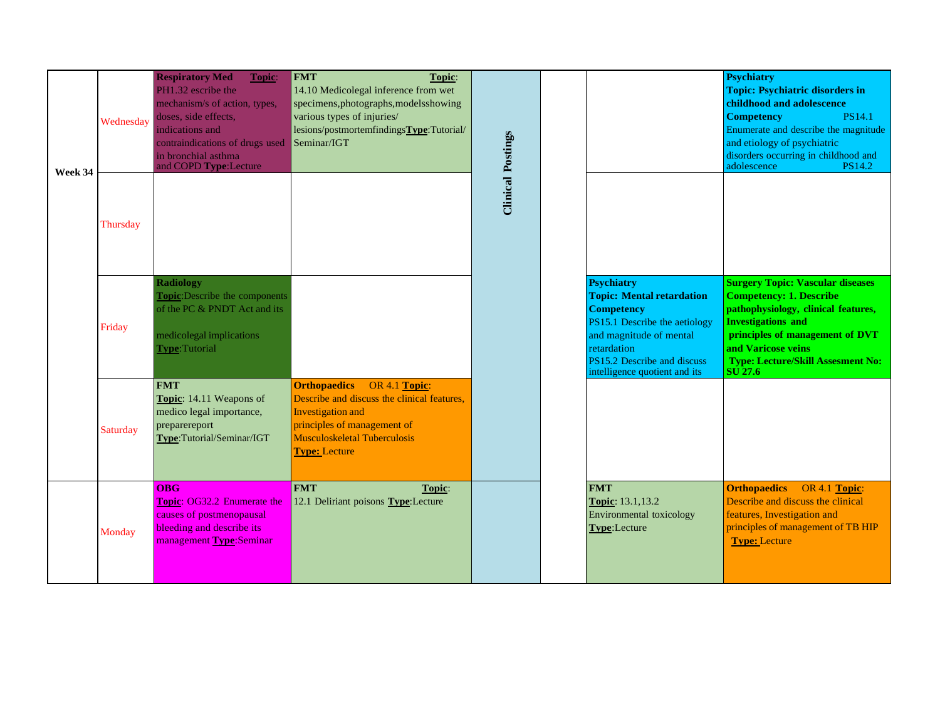| Week 34 | Wednesday | <b>Respiratory Med</b><br>Topic:<br>PH1.32 escribe the<br>mechanism/s of action, types,<br>doses, side effects,<br>indications and<br>contraindications of drugs used<br>in bronchial asthma<br>and COPD Type: Lecture | <b>FMT</b><br>Topic:<br>14.10 Medicolegal inference from wet<br>specimens, photographs, models showing<br>various types of injuries/<br>lesions/postmortemfindingsType:Tutorial/<br>Seminar/IGT     | <b>Clinical Postings</b> |                                                                                                                                                                                                                       | <b>Psychiatry</b><br><b>Topic: Psychiatric disorders in</b><br>childhood and adolescence<br><b>Competency</b><br><b>PS14.1</b><br>Enumerate and describe the magnitude<br>and etiology of psychiatric<br>disorders occurring in childhood and<br>adolescence<br><b>PS14.2</b>       |
|---------|-----------|------------------------------------------------------------------------------------------------------------------------------------------------------------------------------------------------------------------------|-----------------------------------------------------------------------------------------------------------------------------------------------------------------------------------------------------|--------------------------|-----------------------------------------------------------------------------------------------------------------------------------------------------------------------------------------------------------------------|-------------------------------------------------------------------------------------------------------------------------------------------------------------------------------------------------------------------------------------------------------------------------------------|
|         | Thursday  |                                                                                                                                                                                                                        |                                                                                                                                                                                                     |                          |                                                                                                                                                                                                                       |                                                                                                                                                                                                                                                                                     |
|         | Friday    | <b>Radiology</b><br><b>Topic:</b> Describe the components<br>of the PC & PNDT Act and its<br>medicolegal implications<br><b>Type:</b> Tutorial                                                                         |                                                                                                                                                                                                     |                          | <b>Psychiatry</b><br><b>Topic: Mental retardation</b><br><b>Competency</b><br>PS15.1 Describe the aetiology<br>and magnitude of mental<br>retardation<br>PS15.2 Describe and discuss<br>intelligence quotient and its | <b>Surgery Topic: Vascular diseases</b><br><b>Competency: 1. Describe</b><br>pathophysiology, clinical features,<br><b>Investigations and</b><br>principles of management of DVT<br>and Varicose veins<br><b>Type: Lecture/Skill Assesment No:</b><br>$\overline{\mathrm{SU}}$ 27.6 |
|         | Saturday  | <b>FMT</b><br>Topic: 14.11 Weapons of<br>medico legal importance,<br>preparereport<br>Type:Tutorial/Seminar/IGT                                                                                                        | <b>Orthopaedics</b> OR 4.1 Topic:<br>Describe and discuss the clinical features,<br>Investigation and<br>principles of management of<br><b>Musculoskeletal Tuberculosis</b><br><b>Type: Lecture</b> |                          |                                                                                                                                                                                                                       |                                                                                                                                                                                                                                                                                     |
|         | Monday    | <b>OBG</b><br>Topic: OG32.2 Enumerate the<br>causes of postmenopausal<br>bleeding and describe its<br>management Type:Seminar                                                                                          | <b>FMT</b><br>Topic:<br>12.1 Deliriant poisons Type: Lecture                                                                                                                                        |                          | <b>FMT</b><br>Topic: 13.1,13.2<br>Environmental toxicology<br>Type:Lecture                                                                                                                                            | <b>Orthopaedics</b><br>OR 4.1 Topic:<br>Describe and discuss the clinical<br>features, Investigation and<br>principles of management of TB HIP<br><b>Type: Lecture</b>                                                                                                              |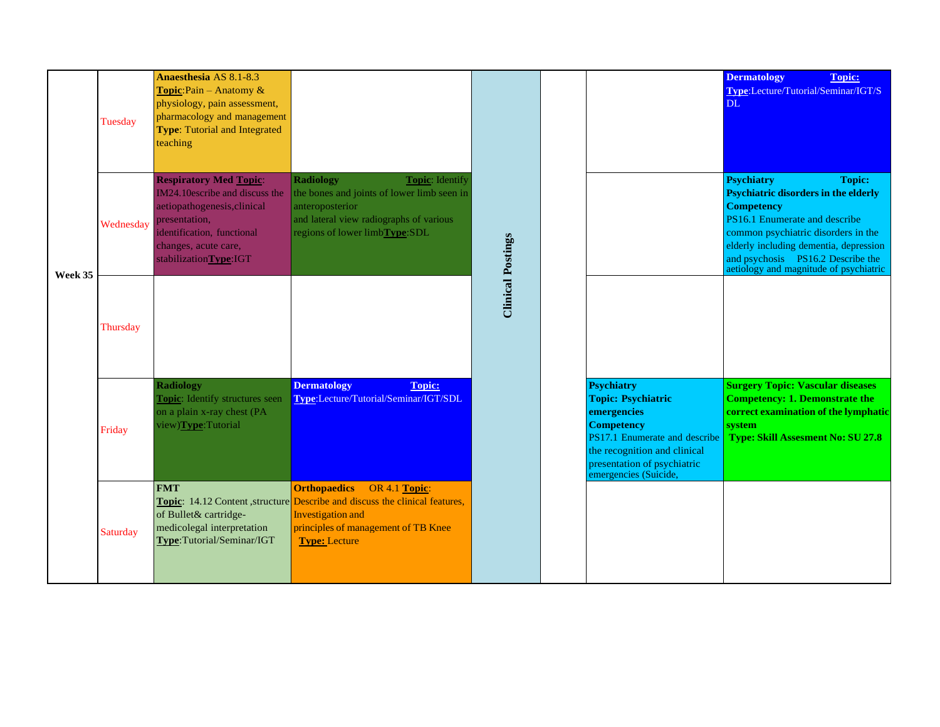|         | Tuesday   | Anaesthesia AS 8.1-8.3<br>Topic: Pain - Anatomy &<br>physiology, pain assessment,<br>pharmacology and management<br><b>Type:</b> Tutorial and Integrated<br>teaching                           |                                                                                                                                                                                                                              |                          |                                                                                                                                                                                                             | <b>Dermatology</b><br><b>Topic:</b><br>Type:Lecture/Tutorial/Seminar/IGT/S<br>DL.                                                                                                                                                                                                                       |
|---------|-----------|------------------------------------------------------------------------------------------------------------------------------------------------------------------------------------------------|------------------------------------------------------------------------------------------------------------------------------------------------------------------------------------------------------------------------------|--------------------------|-------------------------------------------------------------------------------------------------------------------------------------------------------------------------------------------------------------|---------------------------------------------------------------------------------------------------------------------------------------------------------------------------------------------------------------------------------------------------------------------------------------------------------|
| Week 35 | Wednesday | <b>Respiratory Med Topic:</b><br>IM24.10escribe and discuss the<br>aetiopathogenesis, clinical<br>presentation,<br>identification, functional<br>changes, acute care,<br>stabilizationType:IGT | <b>Radiology</b><br><b>Topic:</b> Identify<br>the bones and joints of lower limb seen in<br>anteroposterior<br>and lateral view radiographs of various<br>regions of lower limbType:SDL                                      | <b>Clinical Postings</b> |                                                                                                                                                                                                             | <b>Psychiatry</b><br><b>Topic:</b><br><b>Psychiatric disorders in the elderly</b><br><b>Competency</b><br>PS16.1 Enumerate and describe<br>common psychiatric disorders in the<br>elderly including dementia, depression<br>and psychosis PS16.2 Describe the<br>aetiology and magnitude of psychiatric |
|         | Thursday  |                                                                                                                                                                                                |                                                                                                                                                                                                                              |                          |                                                                                                                                                                                                             |                                                                                                                                                                                                                                                                                                         |
|         | Friday    | <b>Radiology</b><br><b>Topic:</b> Identify structures seen<br>on a plain x-ray chest (PA<br>view)Type:Tutorial                                                                                 | <b>Dermatology</b><br><b>Topic:</b><br>Type:Lecture/Tutorial/Seminar/IGT/SDL                                                                                                                                                 |                          | <b>Psychiatry</b><br><b>Topic: Psychiatric</b><br>emergencies<br><b>Competency</b><br>PS17.1 Enumerate and describe<br>the recognition and clinical<br>presentation of psychiatric<br>emergencies (Suicide, | <b>Surgery Topic: Vascular diseases</b><br><b>Competency: 1. Demonstrate the</b><br>correct examination of the lymphatic<br>system<br><b>Type: Skill Assesment No: SU 27.8</b>                                                                                                                          |
|         | Saturday  | <b>FMT</b><br>of Bullet& cartridge-<br>medicolegal interpretation<br>Type:Tutorial/Seminar/IGT                                                                                                 | <b>Orthopaedics</b><br>OR 4.1 Topic:<br><b>Topic:</b> 14.12 Content, structure <b>Describe</b> and discuss the clinical features,<br><b>Investigation</b> and<br>principles of management of TB Knee<br><b>Type: Lecture</b> |                          |                                                                                                                                                                                                             |                                                                                                                                                                                                                                                                                                         |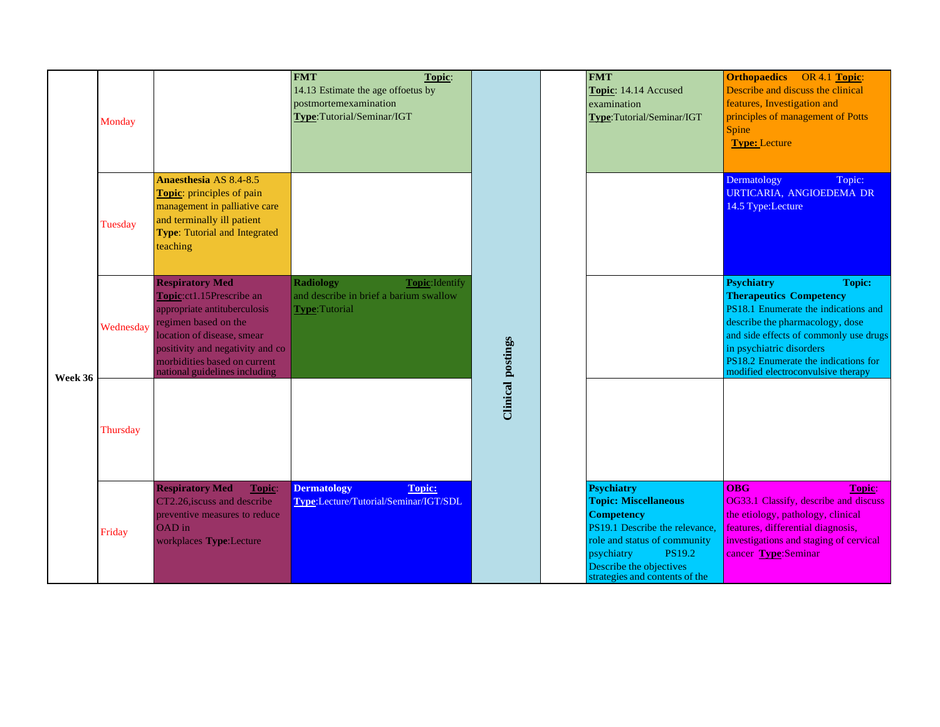|         | Monday    |                                                                                                                                                                                                                                               | <b>FMT</b><br>Topic:<br>14.13 Estimate the age offoetus by<br>postmortemexamination<br>Type:Tutorial/Seminar/IGT |                          | <b>FMT</b><br>Topic: 14.14 Accused<br>examination<br>Type:Tutorial/Seminar/IGT                                                                                                                                                      | <b>Orthopaedics</b> OR 4.1 Topic:<br>Describe and discuss the clinical<br>features, Investigation and<br>principles of management of Potts<br>Spine<br><b>Type: Lecture</b>                                                                                                                         |
|---------|-----------|-----------------------------------------------------------------------------------------------------------------------------------------------------------------------------------------------------------------------------------------------|------------------------------------------------------------------------------------------------------------------|--------------------------|-------------------------------------------------------------------------------------------------------------------------------------------------------------------------------------------------------------------------------------|-----------------------------------------------------------------------------------------------------------------------------------------------------------------------------------------------------------------------------------------------------------------------------------------------------|
|         | Tuesday   | <b>Anaesthesia AS 8.4-8.5</b><br>Topic: principles of pain<br>management in palliative care<br>and terminally ill patient<br><b>Type:</b> Tutorial and Integrated<br>teaching                                                                 |                                                                                                                  |                          |                                                                                                                                                                                                                                     | Dermatology<br>Topic:<br>URTICARIA, ANGIOEDEMA DR<br>14.5 Type:Lecture                                                                                                                                                                                                                              |
| Week 36 | Wednesday | <b>Respiratory Med</b><br>Topic:ct1.15Prescribe an<br>appropriate antituberculosis<br>regimen based on the<br>location of disease, smear<br>positivity and negativity and co<br>morbidities based on current<br>national guidelines including | <b>Radiology</b><br>Topic: Identify<br>and describe in brief a barium swallow<br><b>Type:Tutorial</b>            | <b>Clinical postings</b> |                                                                                                                                                                                                                                     | <b>Psychiatry</b><br><b>Topic:</b><br><b>Therapeutics Competency</b><br>PS18.1 Enumerate the indications and<br>describe the pharmacology, dose<br>and side effects of commonly use drugs<br>in psychiatric disorders<br>PS18.2 Enumerate the indications for<br>modified electroconvulsive therapy |
|         | Thursday  |                                                                                                                                                                                                                                               |                                                                                                                  |                          |                                                                                                                                                                                                                                     |                                                                                                                                                                                                                                                                                                     |
|         | Friday    | <b>Respiratory Med</b><br>Topic:<br>CT2.26, iscuss and describe<br>preventive measures to reduce<br>OAD in<br>workplaces Type:Lecture                                                                                                         | Topic:<br><b>Dermatology</b><br>Type:Lecture/Tutorial/Seminar/IGT/SDL                                            |                          | <b>Psychiatry</b><br><b>Topic: Miscellaneous</b><br><b>Competency</b><br>PS19.1 Describe the relevance,<br>role and status of community<br>psychiatry<br><b>PS19.2</b><br>Describe the objectives<br>strategies and contents of the | <b>OBG</b><br>Topic:<br>OG33.1 Classify, describe and discuss<br>the etiology, pathology, clinical<br>features, differential diagnosis,<br>investigations and staging of cervical<br>cancer Type:Seminar                                                                                            |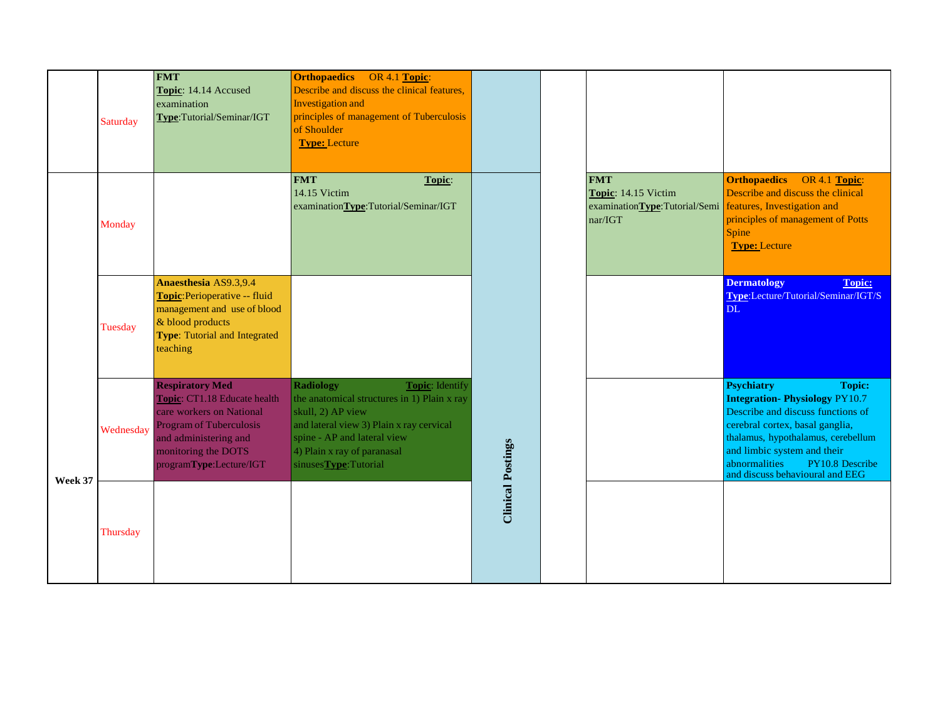|         | Saturday       | <b>FMT</b><br>Topic: 14.14 Accused<br>examination<br>Type:Tutorial/Seminar/IGT                                                                                                           | <b>Orthopaedics</b> OR 4.1 Topic:<br>Describe and discuss the clinical features,<br>Investigation and<br>principles of management of Tuberculosis<br>of Shoulder<br><b>Type: Lecture</b>                                                  |                          |                                                                               |                                                                                                                                                                                                                                                                                                |
|---------|----------------|------------------------------------------------------------------------------------------------------------------------------------------------------------------------------------------|-------------------------------------------------------------------------------------------------------------------------------------------------------------------------------------------------------------------------------------------|--------------------------|-------------------------------------------------------------------------------|------------------------------------------------------------------------------------------------------------------------------------------------------------------------------------------------------------------------------------------------------------------------------------------------|
|         | Monday         |                                                                                                                                                                                          | <b>FMT</b><br>Topic:<br>14.15 Victim<br>examinationType:Tutorial/Seminar/IGT                                                                                                                                                              |                          | <b>FMT</b><br>Topic: 14.15 Victim<br>examinationType:Tutorial/Semi<br>nar/IGT | <b>Orthopaedics</b><br>OR 4.1 Topic:<br>Describe and discuss the clinical<br>features, Investigation and<br>principles of management of Potts<br>Spine<br><b>Type: Lecture</b>                                                                                                                 |
|         | <b>Tuesday</b> | <b>Anaesthesia AS9.3,9.4</b><br>Topic: Perioperative -- fluid<br>management and use of blood<br>& blood products<br>Type: Tutorial and Integrated<br>teaching                            |                                                                                                                                                                                                                                           |                          |                                                                               | <b>Dermatology</b><br><b>Topic:</b><br>Type:Lecture/Tutorial/Seminar/IGT/S<br><b>DL</b>                                                                                                                                                                                                        |
| Week 37 | Wednesday      | <b>Respiratory Med</b><br>Topic: CT1.18 Educate health<br>care workers on National<br>Program of Tuberculosis<br>and administering and<br>monitoring the DOTS<br>programType:Lecture/IGT | <b>Radiology</b><br>Topic: Identify<br>the anatomical structures in 1) Plain x ray<br>skull, 2) AP view<br>and lateral view 3) Plain x ray cervical<br>spine - AP and lateral view<br>4) Plain x ray of paranasal<br>sinusesType:Tutorial | <b>Clinical Postings</b> |                                                                               | <b>Psychiatry</b><br><b>Topic:</b><br><b>Integration-Physiology PY10.7</b><br>Describe and discuss functions of<br>cerebral cortex, basal ganglia,<br>thalamus, hypothalamus, cerebellum<br>and limbic system and their<br>abnormalities<br>PY10.8 Describe<br>and discuss behavioural and EEG |
|         | Thursday       |                                                                                                                                                                                          |                                                                                                                                                                                                                                           |                          |                                                                               |                                                                                                                                                                                                                                                                                                |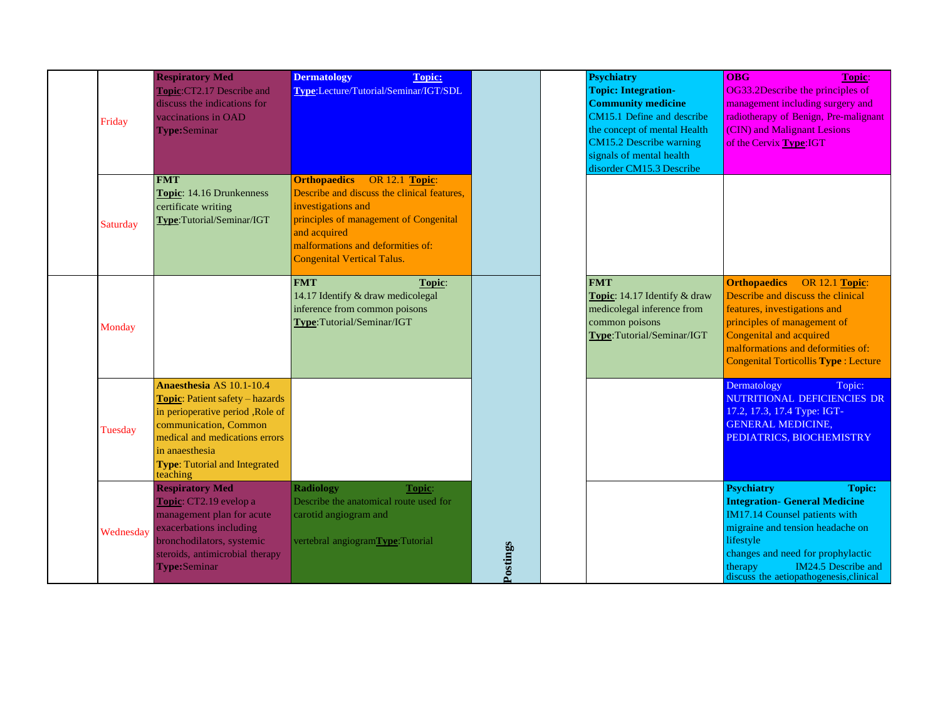| Friday    | <b>Respiratory Med</b><br>Topic:CT2.17 Describe and<br>discuss the indications for<br>vaccinations in OAD<br><b>Type:Seminar</b>                                                                                                  | <b>Dermatology</b><br><b>Topic:</b><br>Type:Lecture/Tutorial/Seminar/IGT/SDL                                                                                                                                                         |          | <b>Psychiatry</b><br><b>Topic: Integration-</b><br><b>Community medicine</b><br>CM15.1 Define and describe<br>the concept of mental Health<br>CM15.2 Describe warning<br>signals of mental health<br>disorder CM15.3 Describe | <b>OBG</b><br>Topic:<br>OG33.2Describe the principles of<br>management including surgery and<br>radiotherapy of Benign, Pre-malignant<br>(CIN) and Malignant Lesions<br>of the Cervix Type: IGT                                                                                |
|-----------|-----------------------------------------------------------------------------------------------------------------------------------------------------------------------------------------------------------------------------------|--------------------------------------------------------------------------------------------------------------------------------------------------------------------------------------------------------------------------------------|----------|-------------------------------------------------------------------------------------------------------------------------------------------------------------------------------------------------------------------------------|--------------------------------------------------------------------------------------------------------------------------------------------------------------------------------------------------------------------------------------------------------------------------------|
| Saturday  | <b>FMT</b><br>Topic: 14.16 Drunkenness<br>certificate writing<br>Type:Tutorial/Seminar/IGT                                                                                                                                        | <b>Orthopaedics</b> OR 12.1 Topic:<br>Describe and discuss the clinical features,<br>investigations and<br>principles of management of Congenital<br>and acquired<br>malformations and deformities of:<br>Congenital Vertical Talus. |          |                                                                                                                                                                                                                               |                                                                                                                                                                                                                                                                                |
| Monday    |                                                                                                                                                                                                                                   | <b>FMT</b><br>Topic:<br>14.17 Identify & draw medicolegal<br>inference from common poisons<br>Type:Tutorial/Seminar/IGT                                                                                                              |          | <b>FMT</b><br>Topic: 14.17 Identify & draw<br>medicolegal inference from<br>common poisons<br>Type:Tutorial/Seminar/IGT                                                                                                       | <b>Orthopaedics</b><br><b>OR 12.1 Topic:</b><br>Describe and discuss the clinical<br>features, investigations and<br>principles of management of<br>Congenital and acquired<br>malformations and deformities of:<br>Congenital Torticollis Type : Lecture                      |
| Tuesday   | Anaesthesia AS 10.1-10.4<br>Topic: Patient safety - hazards<br>in perioperative period , Role of<br>communication, Common<br>medical and medications errors<br>in anaesthesia<br><b>Type: Tutorial and Integrated</b><br>teaching |                                                                                                                                                                                                                                      |          |                                                                                                                                                                                                                               | Dermatology<br>Topic:<br>NUTRITIONAL DEFICIENCIES DR<br>17.2, 17.3, 17.4 Type: IGT-<br><b>GENERAL MEDICINE,</b><br>PEDIATRICS, BIOCHEMISTRY                                                                                                                                    |
| Wednesday | <b>Respiratory Med</b><br>Topic: CT2.19 evelop a<br>management plan for acute<br>exacerbations including<br>bronchodilators, systemic<br>steroids, antimicrobial therapy<br>Type:Seminar                                          | <b>Radiology</b><br>Topic:<br>Describe the anatomical route used for<br>carotid angiogram and<br>vertebral angiogramType:Tutorial                                                                                                    | Postings |                                                                                                                                                                                                                               | <b>Psychiatry</b><br><b>Topic:</b><br><b>Integration- General Medicine</b><br>IM17.14 Counsel patients with<br>migraine and tension headache on<br>lifestyle<br>changes and need for prophylactic<br>IM24.5 Describe and<br>therapy<br>discuss the aetiopathogenesis, clinical |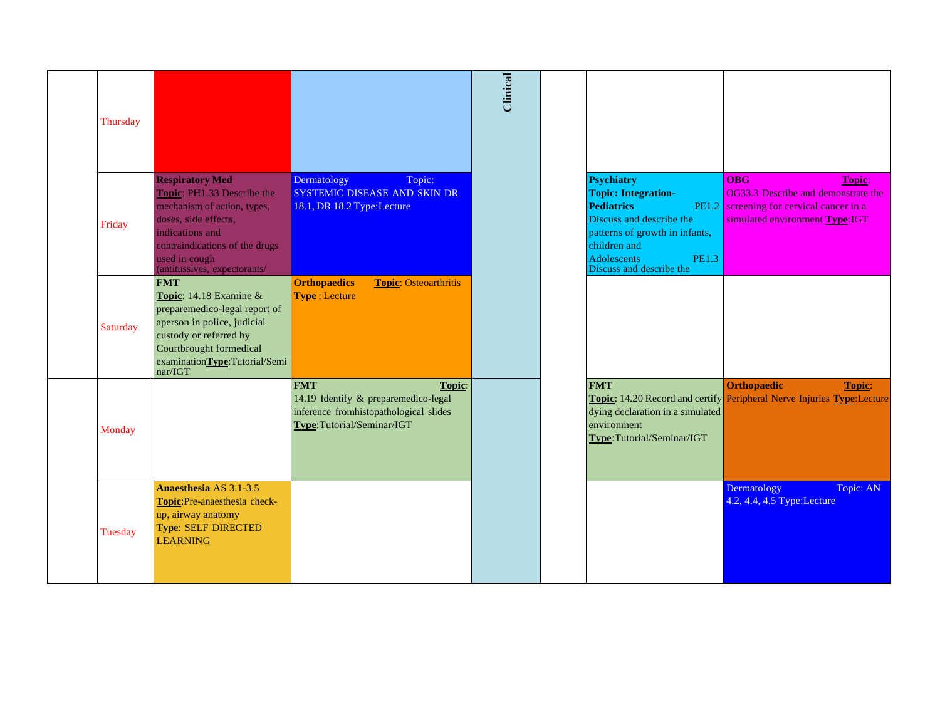| Thursday |                                                                                                                                                                                                                   |                                                                                                                                     | <b>Clinical</b> |                                                                                                                                                                                                                      |                                                                                                                                                  |
|----------|-------------------------------------------------------------------------------------------------------------------------------------------------------------------------------------------------------------------|-------------------------------------------------------------------------------------------------------------------------------------|-----------------|----------------------------------------------------------------------------------------------------------------------------------------------------------------------------------------------------------------------|--------------------------------------------------------------------------------------------------------------------------------------------------|
| Friday   | <b>Respiratory Med</b><br>Topic: PH1.33 Describe the<br>mechanism of action, types,<br>doses, side effects,<br>indications and<br>contraindications of the drugs<br>used in cough<br>(antitussives, expectorants/ | Dermatology<br>Topic:<br>SYSTEMIC DISEASE AND SKIN DR<br>18.1, DR 18.2 Type:Lecture                                                 |                 | <b>Psychiatry</b><br><b>Topic: Integration-</b><br><b>Pediatrics</b><br>Discuss and describe the<br>patterns of growth in infants,<br>children and<br><b>Adolescents</b><br><b>PE1.3</b><br>Discuss and describe the | <b>OBG</b><br><b>Topic:</b><br>OG33.3 Describe and demonstrate the<br>PE1.2 screening for cervical cancer in a<br>simulated environment Type:IGT |
| Saturday | <b>FMT</b><br>Topic: 14.18 Examine &<br>preparemedico-legal report of<br>aperson in police, judicial<br>custody or referred by<br>Courtbrought formedical<br>examination <b>Type</b> :Tutorial/Seminar/IGT        | <b>Orthopaedics</b><br><b>Topic: Osteoarthritis</b><br><b>Type: Lecture</b>                                                         |                 |                                                                                                                                                                                                                      |                                                                                                                                                  |
| Monday   |                                                                                                                                                                                                                   | <b>FMT</b><br>Topic:<br>14.19 Identify & preparemedico-legal<br>inference fromhistopathological slides<br>Type:Tutorial/Seminar/IGT |                 | <b>FMT</b><br>dying declaration in a simulated<br>environment<br>Type:Tutorial/Seminar/IGT                                                                                                                           | Orthopaedic<br>Topic:<br><b>Topic:</b> 14.20 Record and certify <b>Peripheral Nerve Injuries Type:</b> Lecture                                   |
| Tuesday  | Anaesthesia AS 3.1-3.5<br>Topic:Pre-anaesthesia check-<br>up, airway anatomy<br>Type: SELF DIRECTED<br><b>LEARNING</b>                                                                                            |                                                                                                                                     |                 |                                                                                                                                                                                                                      | Topic: AN<br>Dermatology<br>4.2, 4.4, 4.5 Type:Lecture                                                                                           |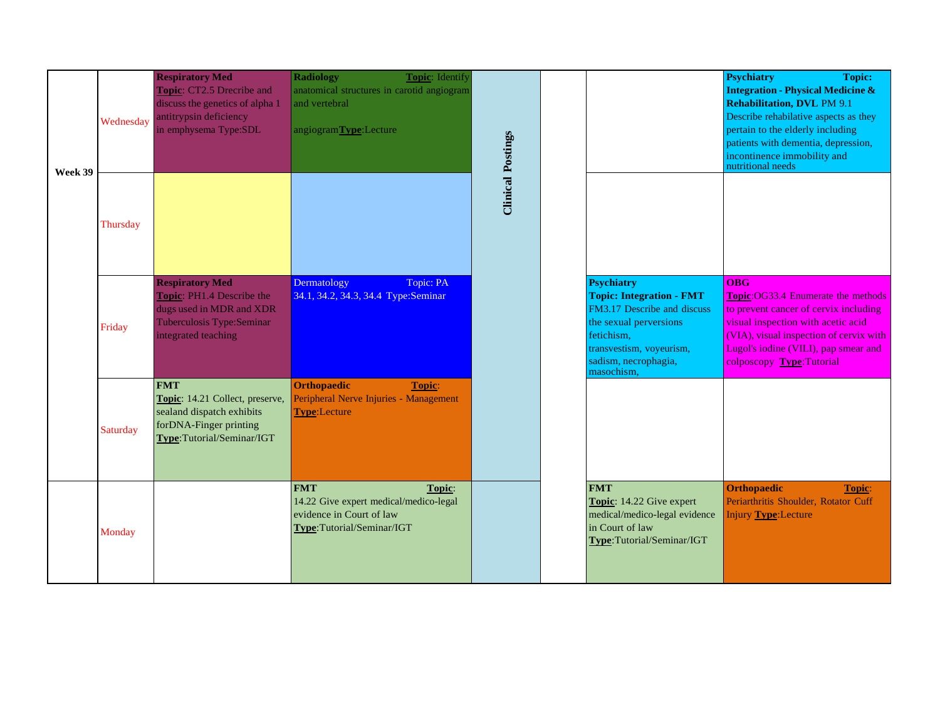| Week 39 | Wednesday | <b>Respiratory Med</b><br>Topic: CT2.5 Drecribe and<br>discuss the genetics of alpha 1<br>antitrypsin deficiency<br>in emphysema Type:SDL | <b>Radiology</b><br>Topic: Identify<br>anatomical structures in carotid angiogram<br>and vertebral<br>angiogramType:Lecture | <b>Clinical Postings</b> |                                                                                                                                                                                               | <b>Psychiatry</b><br><b>Topic:</b><br><b>Integration - Physical Medicine &amp;</b><br><b>Rehabilitation, DVL PM 9.1</b><br>Describe rehabilative aspects as they<br>pertain to the elderly including<br>patients with dementia, depression,<br>incontinence immobility and<br>nutritional needs |
|---------|-----------|-------------------------------------------------------------------------------------------------------------------------------------------|-----------------------------------------------------------------------------------------------------------------------------|--------------------------|-----------------------------------------------------------------------------------------------------------------------------------------------------------------------------------------------|-------------------------------------------------------------------------------------------------------------------------------------------------------------------------------------------------------------------------------------------------------------------------------------------------|
|         | Thursday  |                                                                                                                                           |                                                                                                                             |                          |                                                                                                                                                                                               |                                                                                                                                                                                                                                                                                                 |
|         | Friday    | <b>Respiratory Med</b><br>Topic: PH1.4 Describe the<br>dugs used in MDR and XDR<br>Tuberculosis Type:Seminar<br>integrated teaching       | Dermatology<br>Topic: PA<br>34.1, 34.2, 34.3, 34.4 Type:Seminar                                                             |                          | <b>Psychiatry</b><br><b>Topic: Integration - FMT</b><br>FM3.17 Describe and discuss<br>the sexual perversions<br>fetichism,<br>transvestism, voyeurism,<br>sadism, necrophagia,<br>masochism, | $\overline{OBG}$<br><b>Topic:OG33.4 Enumerate the methods</b><br>to prevent cancer of cervix including<br>visual inspection with acetic acid<br>(VIA), visual inspection of cervix with<br>Lugol's iodine (VILI), pap smear and<br>colposcopy Type: Tutorial                                    |
|         | Saturday  | <b>FMT</b><br>Topic: 14.21 Collect, preserve,<br>sealand dispatch exhibits<br>forDNA-Finger printing<br>Type:Tutorial/Seminar/IGT         | <b>Orthopaedic</b><br>Topic:<br>Peripheral Nerve Injuries - Management<br><b>Type:</b> Lecture                              |                          |                                                                                                                                                                                               |                                                                                                                                                                                                                                                                                                 |
|         | Monday    |                                                                                                                                           | <b>FMT</b><br>Topic:<br>14.22 Give expert medical/medico-legal<br>evidence in Court of law<br>Type:Tutorial/Seminar/IGT     |                          | <b>FMT</b><br>Topic: 14.22 Give expert<br>medical/medico-legal evidence<br>in Court of law<br>Type:Tutorial/Seminar/IGT                                                                       | <b>Orthopaedic</b><br>Topic:<br>Periarthritis Shoulder, Rotator Cuff<br><b>Injury Type: Lecture</b>                                                                                                                                                                                             |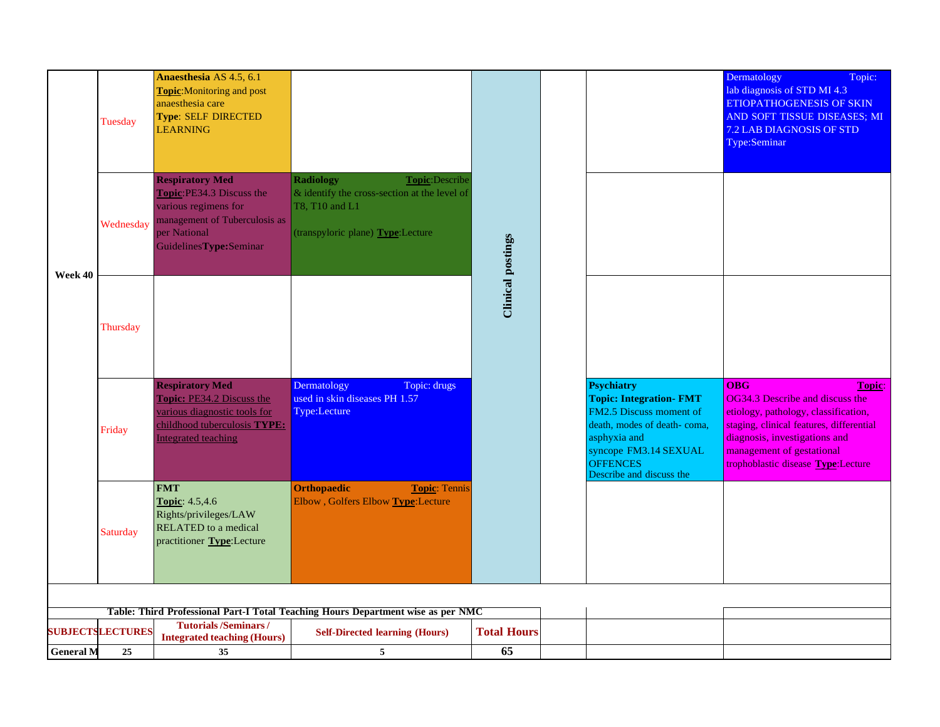|                                                                                  | Tuesday                 | Anaesthesia AS 4.5, 6.1<br>Topic: Monitoring and post<br>anaesthesia care<br><b>Type: SELF DIRECTED</b><br><b>LEARNING</b>                               |                                                                                                                                           |                          |  |                                                                                                                                                                                                       | Dermatology<br>Topic:<br>lab diagnosis of STD MI 4.3<br>ETIOPATHOGENESIS OF SKIN<br>AND SOFT TISSUE DISEASES; MI<br>7.2 LAB DIAGNOSIS OF STD<br>Type:Seminar                                                                                    |
|----------------------------------------------------------------------------------|-------------------------|----------------------------------------------------------------------------------------------------------------------------------------------------------|-------------------------------------------------------------------------------------------------------------------------------------------|--------------------------|--|-------------------------------------------------------------------------------------------------------------------------------------------------------------------------------------------------------|-------------------------------------------------------------------------------------------------------------------------------------------------------------------------------------------------------------------------------------------------|
| Week 40                                                                          | Wednesday               | <b>Respiratory Med</b><br>Topic:PE34.3 Discuss the<br>various regimens for<br>management of Tuberculosis as<br>per National<br>GuidelinesType:Seminar    | <b>Radiology</b><br>Topic:Describe<br>& identify the cross-section at the level of<br>T8, T10 and L1<br>(transpyloric plane) Type:Lecture | <b>Clinical postings</b> |  |                                                                                                                                                                                                       |                                                                                                                                                                                                                                                 |
|                                                                                  | Thursday                |                                                                                                                                                          |                                                                                                                                           |                          |  |                                                                                                                                                                                                       |                                                                                                                                                                                                                                                 |
|                                                                                  | Friday                  | <b>Respiratory Med</b><br><b>Topic: PE34.2 Discuss the</b><br>various diagnostic tools for<br>childhood tuberculosis TYPE:<br><b>Integrated teaching</b> | Dermatology<br>Topic: drugs<br>used in skin diseases PH 1.57<br>Type:Lecture                                                              |                          |  | <b>Psychiatry</b><br><b>Topic: Integration- FMT</b><br>FM2.5 Discuss moment of<br>death, modes of death-coma,<br>asphyxia and<br>syncope FM3.14 SEXUAL<br><b>OFFENCES</b><br>Describe and discuss the | <b>OBG</b><br>Topic:<br>OG34.3 Describe and discuss the<br>etiology, pathology, classification,<br>staging, clinical features, differential<br>diagnosis, investigations and<br>management of gestational<br>trophoblastic disease Type:Lecture |
|                                                                                  | <b>Saturday</b>         | <b>FMT</b><br>Topic: 4.5,4.6<br>Rights/privileges/LAW<br>RELATED to a medical<br>practitioner Type:Lecture                                               | <b>Orthopaedic</b><br><b>Topic: Tennis</b><br>Elbow, Golfers Elbow Type:Lecture                                                           |                          |  |                                                                                                                                                                                                       |                                                                                                                                                                                                                                                 |
| Table: Third Professional Part-I Total Teaching Hours Department wise as per NMC |                         |                                                                                                                                                          |                                                                                                                                           |                          |  |                                                                                                                                                                                                       |                                                                                                                                                                                                                                                 |
|                                                                                  | <b>SUBJECTSLECTURES</b> | <b>Tutorials/Seminars/</b>                                                                                                                               | <b>Self-Directed learning (Hours)</b>                                                                                                     | <b>Total Hours</b>       |  |                                                                                                                                                                                                       |                                                                                                                                                                                                                                                 |
| <b>General M</b>                                                                 | 25                      | <b>Integrated teaching (Hours)</b><br>35                                                                                                                 | 5                                                                                                                                         | 65                       |  |                                                                                                                                                                                                       |                                                                                                                                                                                                                                                 |